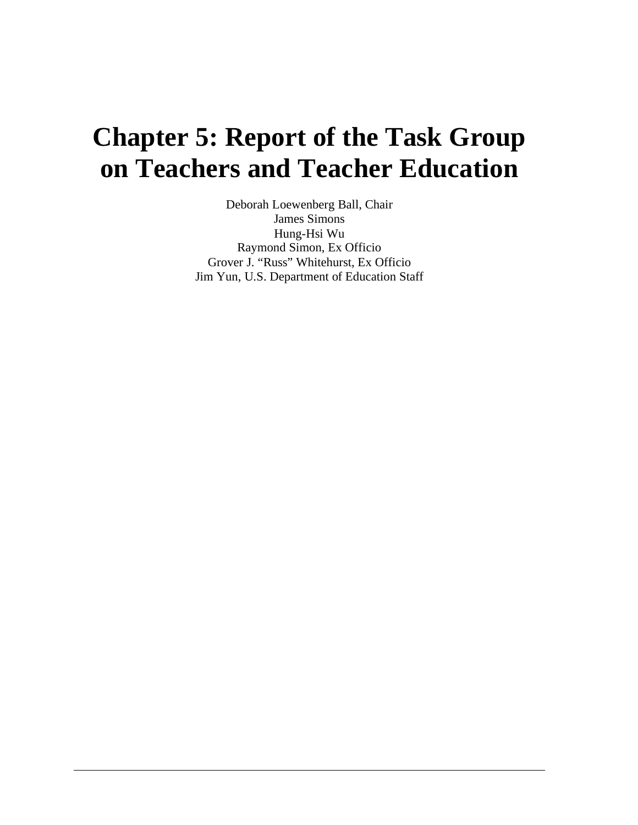# **Chapter 5: Report of the Task Group on Teachers and Teacher Education**

Deborah Loewenberg Ball, Chair James Simons Hung-Hsi Wu Raymond Simon, Ex Officio Grover J. "Russ" Whitehurst, Ex Officio Jim Yun, U.S. Department of Education Staff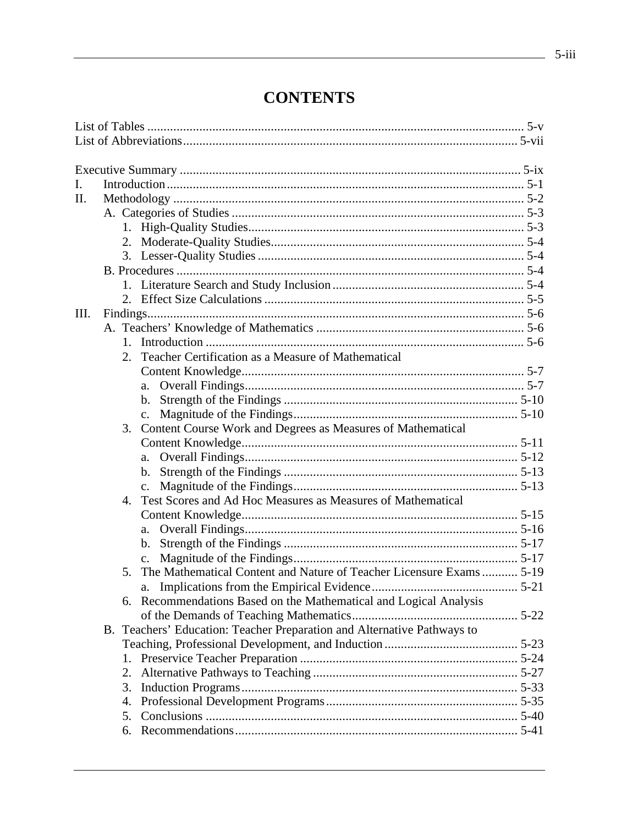# **CONTENTS**

| I.   |    |                                                                         |  |
|------|----|-------------------------------------------------------------------------|--|
| Π.   |    |                                                                         |  |
|      |    |                                                                         |  |
|      |    |                                                                         |  |
|      |    |                                                                         |  |
|      |    |                                                                         |  |
|      |    |                                                                         |  |
|      |    |                                                                         |  |
|      |    |                                                                         |  |
| III. |    |                                                                         |  |
|      |    |                                                                         |  |
|      |    |                                                                         |  |
|      |    | Teacher Certification as a Measure of Mathematical                      |  |
|      |    |                                                                         |  |
|      |    | a.                                                                      |  |
|      |    | b.                                                                      |  |
|      |    |                                                                         |  |
|      | 3. | Content Course Work and Degrees as Measures of Mathematical             |  |
|      |    |                                                                         |  |
|      |    | a.                                                                      |  |
|      |    |                                                                         |  |
|      |    | $\mathbf{c}$ .                                                          |  |
|      | 4. | Test Scores and Ad Hoc Measures as Measures of Mathematical             |  |
|      |    |                                                                         |  |
|      |    | a.                                                                      |  |
|      |    |                                                                         |  |
|      |    |                                                                         |  |
|      | 5. | The Mathematical Content and Nature of Teacher Licensure Exams  5-19    |  |
|      |    |                                                                         |  |
|      |    | Recommendations Based on the Mathematical and Logical Analysis          |  |
|      |    |                                                                         |  |
|      |    | B. Teachers' Education: Teacher Preparation and Alternative Pathways to |  |
|      |    |                                                                         |  |
|      |    |                                                                         |  |
|      | 2. |                                                                         |  |
|      | 3. |                                                                         |  |
|      | 4. |                                                                         |  |
|      | 5. |                                                                         |  |
|      | 6. |                                                                         |  |
|      |    |                                                                         |  |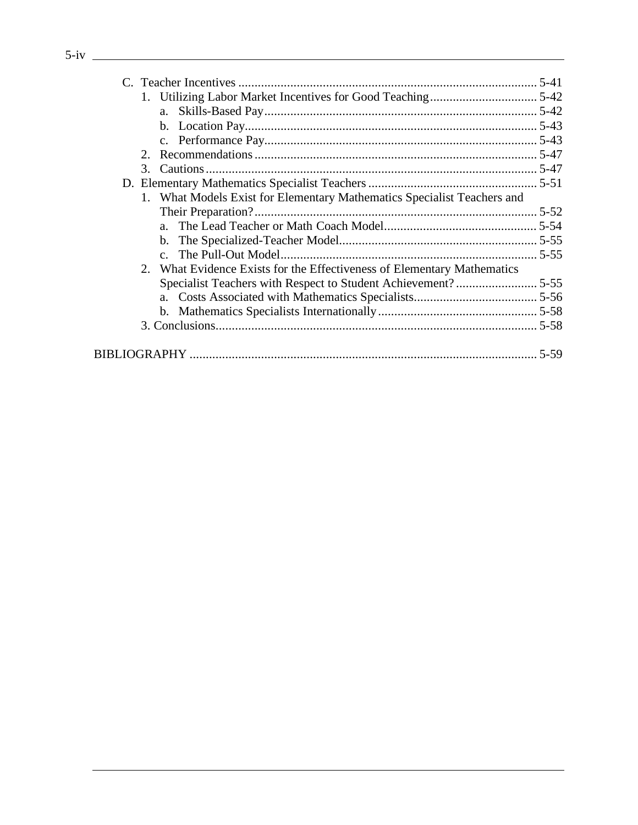| C. Teacher Incentives                                                   |  |
|-------------------------------------------------------------------------|--|
| . Utilizing Labor Market Incentives for Good Teaching                   |  |
| a. Skills-Based Pay                                                     |  |
| b. Location Pay                                                         |  |
|                                                                         |  |
| '. Recommendations                                                      |  |
| Cautions.                                                               |  |
| D. Elementary Mathematics Specialist Teachers.                          |  |
| What Models Exist for Elementary Mathematics Specialist Teachers and    |  |
| Their Preparation?                                                      |  |
| a. The Lead Teacher or Math Coach Model.                                |  |
| b. The Specialized-Teacher Model                                        |  |
| c. The Pull-Out Model                                                   |  |
| 2. What Evidence Exists for the Effectiveness of Elementary Mathematics |  |
| Specialist Teachers with Respect to Student Achievement?.               |  |
| Costs Associated with Mathematics Specialists                           |  |
| b. Mathematics Specialists Internationally                              |  |
| 3. Conclusions.                                                         |  |
|                                                                         |  |
| <b>BIBLIOGRAPHY</b>                                                     |  |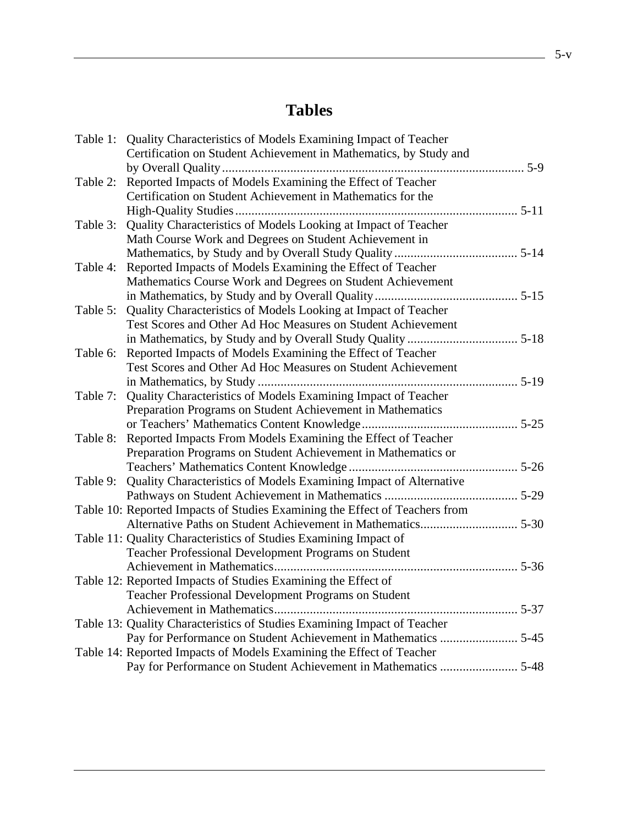# **Tables**

|          | Table 1: Quality Characteristics of Models Examining Impact of Teacher      |  |
|----------|-----------------------------------------------------------------------------|--|
|          | Certification on Student Achievement in Mathematics, by Study and           |  |
|          |                                                                             |  |
| Table 2: | Reported Impacts of Models Examining the Effect of Teacher                  |  |
|          | Certification on Student Achievement in Mathematics for the                 |  |
|          |                                                                             |  |
| Table 3: | Quality Characteristics of Models Looking at Impact of Teacher              |  |
|          | Math Course Work and Degrees on Student Achievement in                      |  |
|          |                                                                             |  |
| Table 4: | Reported Impacts of Models Examining the Effect of Teacher                  |  |
|          | Mathematics Course Work and Degrees on Student Achievement                  |  |
|          |                                                                             |  |
| Table 5: | Quality Characteristics of Models Looking at Impact of Teacher              |  |
|          | Test Scores and Other Ad Hoc Measures on Student Achievement                |  |
|          |                                                                             |  |
| Table 6: | Reported Impacts of Models Examining the Effect of Teacher                  |  |
|          | Test Scores and Other Ad Hoc Measures on Student Achievement                |  |
|          |                                                                             |  |
| Table 7: | Quality Characteristics of Models Examining Impact of Teacher               |  |
|          | Preparation Programs on Student Achievement in Mathematics                  |  |
|          |                                                                             |  |
| Table 8: | Reported Impacts From Models Examining the Effect of Teacher                |  |
|          | Preparation Programs on Student Achievement in Mathematics or               |  |
|          |                                                                             |  |
| Table 9: | Quality Characteristics of Models Examining Impact of Alternative           |  |
|          |                                                                             |  |
|          | Table 10: Reported Impacts of Studies Examining the Effect of Teachers from |  |
|          |                                                                             |  |
|          | Table 11: Quality Characteristics of Studies Examining Impact of            |  |
|          | Teacher Professional Development Programs on Student                        |  |
|          |                                                                             |  |
|          | Table 12: Reported Impacts of Studies Examining the Effect of               |  |
|          | Teacher Professional Development Programs on Student                        |  |
|          |                                                                             |  |
|          | Table 13: Quality Characteristics of Studies Examining Impact of Teacher    |  |
|          | Pay for Performance on Student Achievement in Mathematics  5-45             |  |
|          | Table 14: Reported Impacts of Models Examining the Effect of Teacher        |  |
|          | Pay for Performance on Student Achievement in Mathematics  5-48             |  |
|          |                                                                             |  |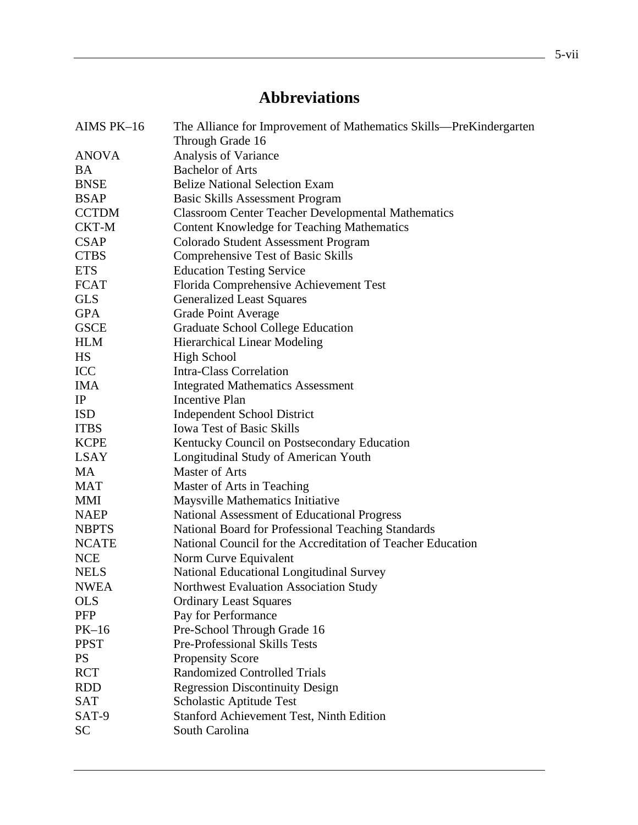# **Abbreviations**

|              | The Alliance for Improvement of Mathematics Skills—PreKindergarten |  |  |  |  |  |  |  |
|--------------|--------------------------------------------------------------------|--|--|--|--|--|--|--|
|              | Through Grade 16                                                   |  |  |  |  |  |  |  |
| <b>ANOVA</b> | Analysis of Variance                                               |  |  |  |  |  |  |  |
| <b>BA</b>    | <b>Bachelor of Arts</b>                                            |  |  |  |  |  |  |  |
| <b>BNSE</b>  | <b>Belize National Selection Exam</b>                              |  |  |  |  |  |  |  |
| <b>BSAP</b>  | <b>Basic Skills Assessment Program</b>                             |  |  |  |  |  |  |  |
| <b>CCTDM</b> | <b>Classroom Center Teacher Developmental Mathematics</b>          |  |  |  |  |  |  |  |
| CKT-M        | <b>Content Knowledge for Teaching Mathematics</b>                  |  |  |  |  |  |  |  |
| <b>CSAP</b>  | <b>Colorado Student Assessment Program</b>                         |  |  |  |  |  |  |  |
| <b>CTBS</b>  | Comprehensive Test of Basic Skills                                 |  |  |  |  |  |  |  |
| <b>ETS</b>   | <b>Education Testing Service</b>                                   |  |  |  |  |  |  |  |
| <b>FCAT</b>  | Florida Comprehensive Achievement Test                             |  |  |  |  |  |  |  |
| <b>GLS</b>   | <b>Generalized Least Squares</b>                                   |  |  |  |  |  |  |  |
| <b>GPA</b>   | <b>Grade Point Average</b>                                         |  |  |  |  |  |  |  |
| <b>GSCE</b>  | <b>Graduate School College Education</b>                           |  |  |  |  |  |  |  |
| <b>HLM</b>   | <b>Hierarchical Linear Modeling</b>                                |  |  |  |  |  |  |  |
| HS           | <b>High School</b>                                                 |  |  |  |  |  |  |  |
| <b>ICC</b>   | <b>Intra-Class Correlation</b>                                     |  |  |  |  |  |  |  |
| <b>IMA</b>   | <b>Integrated Mathematics Assessment</b>                           |  |  |  |  |  |  |  |
| IP           | <b>Incentive Plan</b>                                              |  |  |  |  |  |  |  |
| <b>ISD</b>   | <b>Independent School District</b>                                 |  |  |  |  |  |  |  |
| <b>ITBS</b>  | <b>Iowa Test of Basic Skills</b>                                   |  |  |  |  |  |  |  |
| <b>KCPE</b>  | Kentucky Council on Postsecondary Education                        |  |  |  |  |  |  |  |
| <b>LSAY</b>  | Longitudinal Study of American Youth                               |  |  |  |  |  |  |  |
| MA           | <b>Master of Arts</b>                                              |  |  |  |  |  |  |  |
| <b>MAT</b>   | Master of Arts in Teaching                                         |  |  |  |  |  |  |  |
| <b>MMI</b>   | Maysville Mathematics Initiative                                   |  |  |  |  |  |  |  |
| <b>NAEP</b>  | National Assessment of Educational Progress                        |  |  |  |  |  |  |  |
| <b>NBPTS</b> | National Board for Professional Teaching Standards                 |  |  |  |  |  |  |  |
| <b>NCATE</b> | National Council for the Accreditation of Teacher Education        |  |  |  |  |  |  |  |
| <b>NCE</b>   | Norm Curve Equivalent                                              |  |  |  |  |  |  |  |
| <b>NELS</b>  | National Educational Longitudinal Survey                           |  |  |  |  |  |  |  |
| <b>NWEA</b>  | Northwest Evaluation Association Study                             |  |  |  |  |  |  |  |
| <b>OLS</b>   | <b>Ordinary Least Squares</b>                                      |  |  |  |  |  |  |  |
| <b>PFP</b>   | Pay for Performance                                                |  |  |  |  |  |  |  |
| $PK-16$      | Pre-School Through Grade 16                                        |  |  |  |  |  |  |  |
| <b>PPST</b>  | Pre-Professional Skills Tests                                      |  |  |  |  |  |  |  |
| <b>PS</b>    | <b>Propensity Score</b>                                            |  |  |  |  |  |  |  |
| <b>RCT</b>   | <b>Randomized Controlled Trials</b>                                |  |  |  |  |  |  |  |
| <b>RDD</b>   | <b>Regression Discontinuity Design</b>                             |  |  |  |  |  |  |  |
| <b>SAT</b>   | Scholastic Aptitude Test                                           |  |  |  |  |  |  |  |
| SAT-9        | <b>Stanford Achievement Test, Ninth Edition</b>                    |  |  |  |  |  |  |  |
| <b>SC</b>    | South Carolina                                                     |  |  |  |  |  |  |  |
|              |                                                                    |  |  |  |  |  |  |  |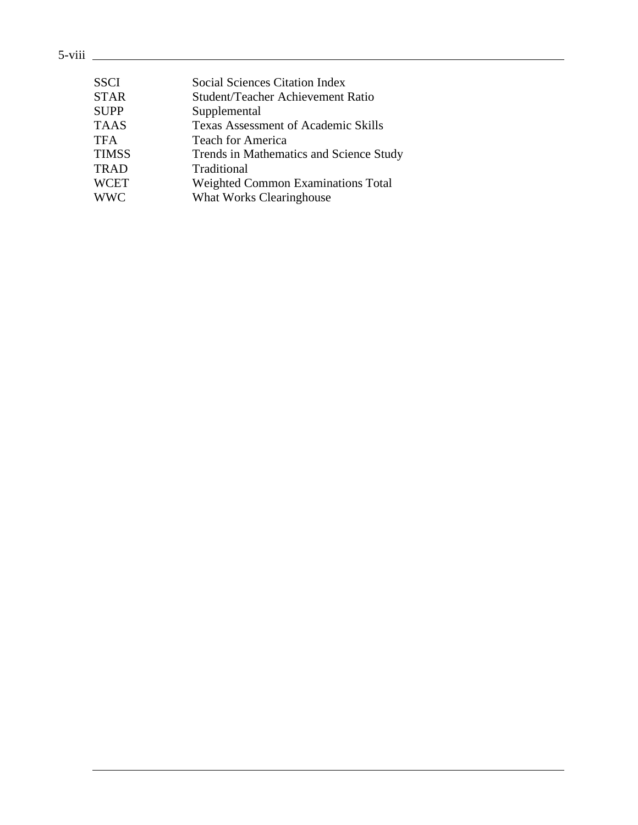### 5-viii

| <b>SSCI</b>  | <b>Social Sciences Citation Index</b>      |
|--------------|--------------------------------------------|
| <b>STAR</b>  | Student/Teacher Achievement Ratio          |
| <b>SUPP</b>  | Supplemental                               |
| <b>TAAS</b>  | <b>Texas Assessment of Academic Skills</b> |
| <b>TFA</b>   | <b>Teach for America</b>                   |
| <b>TIMSS</b> | Trends in Mathematics and Science Study    |
| <b>TRAD</b>  | Traditional                                |
| <b>WCET</b>  | <b>Weighted Common Examinations Total</b>  |
| <b>WWC</b>   | <b>What Works Clearinghouse</b>            |
|              |                                            |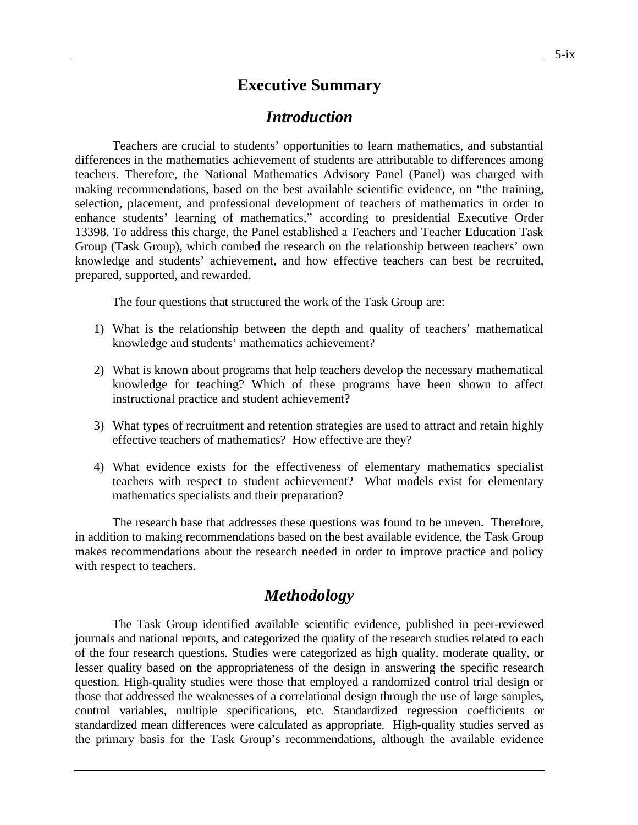### **Executive Summary**

### *Introduction*

Teachers are crucial to students' opportunities to learn mathematics, and substantial differences in the mathematics achievement of students are attributable to differences among teachers. Therefore, the National Mathematics Advisory Panel (Panel) was charged with making recommendations, based on the best available scientific evidence, on "the training, selection, placement, and professional development of teachers of mathematics in order to enhance students' learning of mathematics," according to presidential Executive Order 13398. To address this charge, the Panel established a Teachers and Teacher Education Task Group (Task Group), which combed the research on the relationship between teachers' own knowledge and students' achievement, and how effective teachers can best be recruited, prepared, supported, and rewarded.

The four questions that structured the work of the Task Group are:

- 1) What is the relationship between the depth and quality of teachers' mathematical knowledge and students' mathematics achievement?
- 2) What is known about programs that help teachers develop the necessary mathematical knowledge for teaching? Which of these programs have been shown to affect instructional practice and student achievement?
- 3) What types of recruitment and retention strategies are used to attract and retain highly effective teachers of mathematics? How effective are they?
- 4) What evidence exists for the effectiveness of elementary mathematics specialist teachers with respect to student achievement? What models exist for elementary mathematics specialists and their preparation?

The research base that addresses these questions was found to be uneven. Therefore, in addition to making recommendations based on the best available evidence, the Task Group makes recommendations about the research needed in order to improve practice and policy with respect to teachers.

### *Methodology*

The Task Group identified available scientific evidence, published in peer-reviewed journals and national reports, and categorized the quality of the research studies related to each of the four research questions. Studies were categorized as high quality, moderate quality, or lesser quality based on the appropriateness of the design in answering the specific research question. High-quality studies were those that employed a randomized control trial design or those that addressed the weaknesses of a correlational design through the use of large samples, control variables, multiple specifications, etc. Standardized regression coefficients or standardized mean differences were calculated as appropriate. High-quality studies served as the primary basis for the Task Group's recommendations, although the available evidence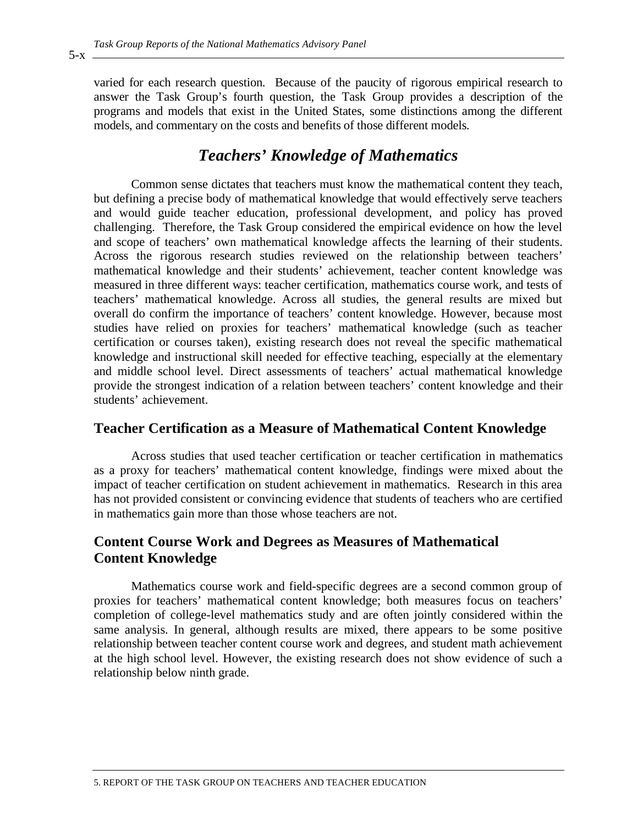varied for each research question. Because of the paucity of rigorous empirical research to answer the Task Group's fourth question, the Task Group provides a description of the programs and models that exist in the United States, some distinctions among the different models, and commentary on the costs and benefits of those different models.

### *Teachers' Knowledge of Mathematics*

Common sense dictates that teachers must know the mathematical content they teach, but defining a precise body of mathematical knowledge that would effectively serve teachers and would guide teacher education, professional development, and policy has proved challenging. Therefore, the Task Group considered the empirical evidence on how the level and scope of teachers' own mathematical knowledge affects the learning of their students. Across the rigorous research studies reviewed on the relationship between teachers' mathematical knowledge and their students' achievement, teacher content knowledge was measured in three different ways: teacher certification, mathematics course work, and tests of teachers' mathematical knowledge. Across all studies, the general results are mixed but overall do confirm the importance of teachers' content knowledge. However, because most studies have relied on proxies for teachers' mathematical knowledge (such as teacher certification or courses taken), existing research does not reveal the specific mathematical knowledge and instructional skill needed for effective teaching, especially at the elementary and middle school level. Direct assessments of teachers' actual mathematical knowledge provide the strongest indication of a relation between teachers' content knowledge and their students' achievement.

#### **Teacher Certification as a Measure of Mathematical Content Knowledge**

Across studies that used teacher certification or teacher certification in mathematics as a proxy for teachers' mathematical content knowledge, findings were mixed about the impact of teacher certification on student achievement in mathematics. Research in this area has not provided consistent or convincing evidence that students of teachers who are certified in mathematics gain more than those whose teachers are not.

### **Content Course Work and Degrees as Measures of Mathematical Content Knowledge**

Mathematics course work and field-specific degrees are a second common group of proxies for teachers' mathematical content knowledge; both measures focus on teachers' completion of college-level mathematics study and are often jointly considered within the same analysis. In general, although results are mixed, there appears to be some positive relationship between teacher content course work and degrees, and student math achievement at the high school level. However, the existing research does not show evidence of such a relationship below ninth grade.

 $5-x$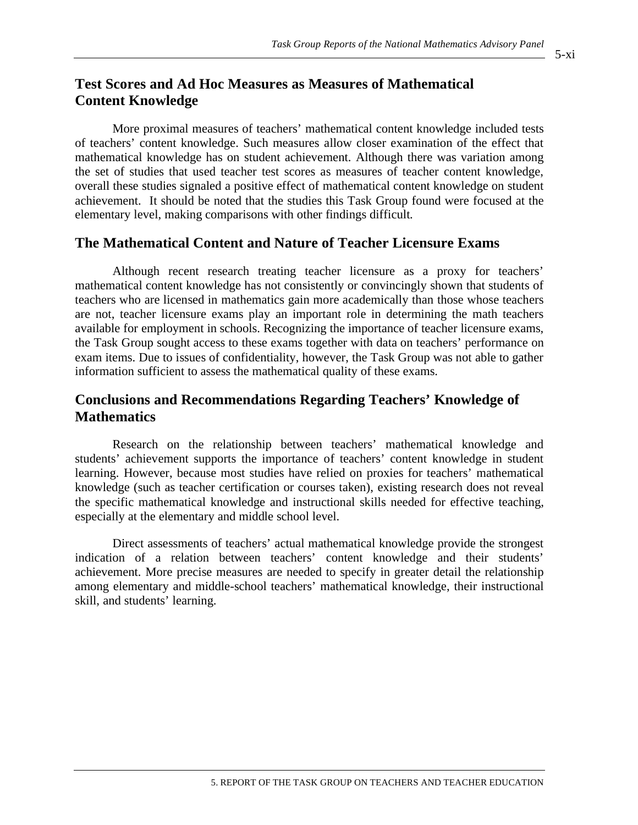### **Test Scores and Ad Hoc Measures as Measures of Mathematical Content Knowledge**

More proximal measures of teachers' mathematical content knowledge included tests of teachers' content knowledge. Such measures allow closer examination of the effect that mathematical knowledge has on student achievement. Although there was variation among the set of studies that used teacher test scores as measures of teacher content knowledge, overall these studies signaled a positive effect of mathematical content knowledge on student achievement. It should be noted that the studies this Task Group found were focused at the elementary level, making comparisons with other findings difficult.

### **The Mathematical Content and Nature of Teacher Licensure Exams**

Although recent research treating teacher licensure as a proxy for teachers' mathematical content knowledge has not consistently or convincingly shown that students of teachers who are licensed in mathematics gain more academically than those whose teachers are not, teacher licensure exams play an important role in determining the math teachers available for employment in schools. Recognizing the importance of teacher licensure exams, the Task Group sought access to these exams together with data on teachers' performance on exam items. Due to issues of confidentiality, however, the Task Group was not able to gather information sufficient to assess the mathematical quality of these exams.

### **Conclusions and Recommendations Regarding Teachers' Knowledge of Mathematics**

Research on the relationship between teachers' mathematical knowledge and students' achievement supports the importance of teachers' content knowledge in student learning. However, because most studies have relied on proxies for teachers' mathematical knowledge (such as teacher certification or courses taken), existing research does not reveal the specific mathematical knowledge and instructional skills needed for effective teaching, especially at the elementary and middle school level.

Direct assessments of teachers' actual mathematical knowledge provide the strongest indication of a relation between teachers' content knowledge and their students' achievement. More precise measures are needed to specify in greater detail the relationship among elementary and middle-school teachers' mathematical knowledge, their instructional skill, and students' learning.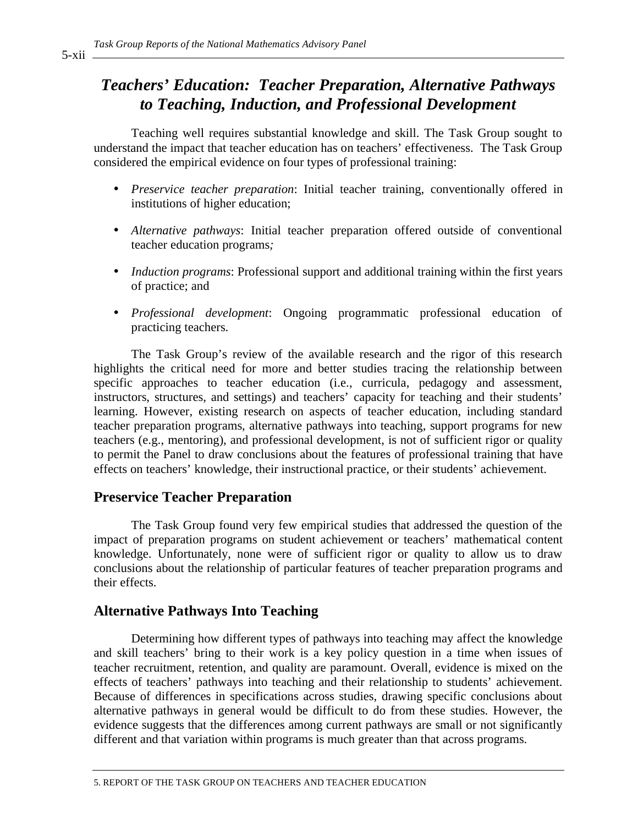## *Teachers' Education: Teacher Preparation, Alternative Pathways to Teaching, Induction, and Professional Development*

Teaching well requires substantial knowledge and skill. The Task Group sought to understand the impact that teacher education has on teachers' effectiveness. The Task Group considered the empirical evidence on four types of professional training:

- *Preservice teacher preparation*: Initial teacher training, conventionally offered in institutions of higher education;
- *Alternative pathways*: Initial teacher preparation offered outside of conventional teacher education programs*;*
- *Induction programs*: Professional support and additional training within the first years of practice; and
- *Professional development*: Ongoing programmatic professional education of practicing teachers.

The Task Group's review of the available research and the rigor of this research highlights the critical need for more and better studies tracing the relationship between specific approaches to teacher education (i.e., curricula, pedagogy and assessment, instructors, structures, and settings) and teachers' capacity for teaching and their students' learning. However, existing research on aspects of teacher education, including standard teacher preparation programs, alternative pathways into teaching, support programs for new teachers (e.g., mentoring), and professional development, is not of sufficient rigor or quality to permit the Panel to draw conclusions about the features of professional training that have effects on teachers' knowledge, their instructional practice, or their students' achievement.

#### **Preservice Teacher Preparation**

The Task Group found very few empirical studies that addressed the question of the impact of preparation programs on student achievement or teachers' mathematical content knowledge. Unfortunately, none were of sufficient rigor or quality to allow us to draw conclusions about the relationship of particular features of teacher preparation programs and their effects.

### **Alternative Pathways Into Teaching**

Determining how different types of pathways into teaching may affect the knowledge and skill teachers' bring to their work is a key policy question in a time when issues of teacher recruitment, retention, and quality are paramount. Overall, evidence is mixed on the effects of teachers' pathways into teaching and their relationship to students' achievement. Because of differences in specifications across studies, drawing specific conclusions about alternative pathways in general would be difficult to do from these studies. However, the evidence suggests that the differences among current pathways are small or not significantly different and that variation within programs is much greater than that across programs.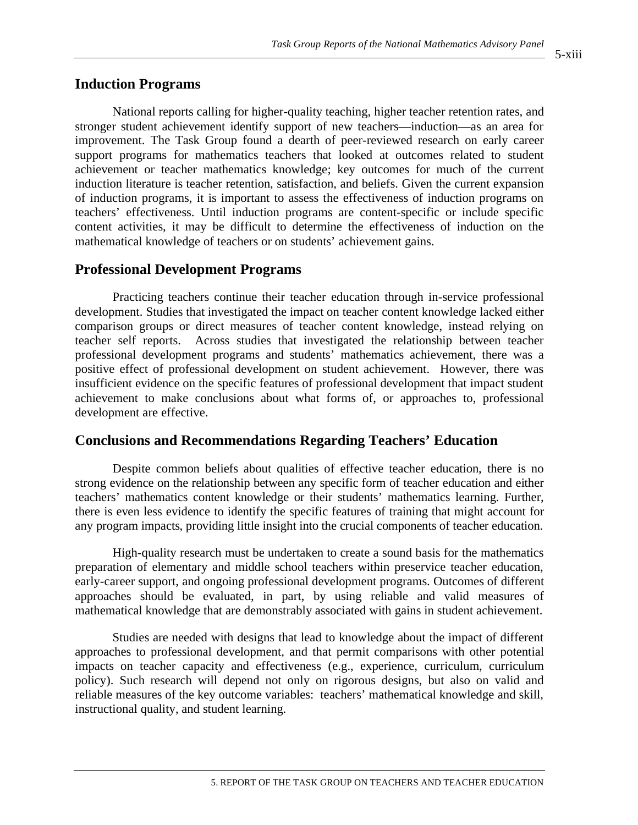#### **Induction Programs**

National reports calling for higher-quality teaching, higher teacher retention rates, and stronger student achievement identify support of new teachers—induction—as an area for improvement. The Task Group found a dearth of peer-reviewed research on early career support programs for mathematics teachers that looked at outcomes related to student achievement or teacher mathematics knowledge; key outcomes for much of the current induction literature is teacher retention, satisfaction, and beliefs. Given the current expansion of induction programs, it is important to assess the effectiveness of induction programs on teachers' effectiveness. Until induction programs are content-specific or include specific content activities, it may be difficult to determine the effectiveness of induction on the mathematical knowledge of teachers or on students' achievement gains.

#### **Professional Development Programs**

Practicing teachers continue their teacher education through in-service professional development. Studies that investigated the impact on teacher content knowledge lacked either comparison groups or direct measures of teacher content knowledge, instead relying on teacher self reports. Across studies that investigated the relationship between teacher professional development programs and students' mathematics achievement, there was a positive effect of professional development on student achievement. However, there was insufficient evidence on the specific features of professional development that impact student achievement to make conclusions about what forms of, or approaches to, professional development are effective.

### **Conclusions and Recommendations Regarding Teachers' Education**

Despite common beliefs about qualities of effective teacher education, there is no strong evidence on the relationship between any specific form of teacher education and either teachers' mathematics content knowledge or their students' mathematics learning. Further, there is even less evidence to identify the specific features of training that might account for any program impacts, providing little insight into the crucial components of teacher education.

High-quality research must be undertaken to create a sound basis for the mathematics preparation of elementary and middle school teachers within preservice teacher education, early-career support, and ongoing professional development programs. Outcomes of different approaches should be evaluated, in part, by using reliable and valid measures of mathematical knowledge that are demonstrably associated with gains in student achievement.

Studies are needed with designs that lead to knowledge about the impact of different approaches to professional development, and that permit comparisons with other potential impacts on teacher capacity and effectiveness (e.g., experience, curriculum, curriculum policy). Such research will depend not only on rigorous designs, but also on valid and reliable measures of the key outcome variables: teachers' mathematical knowledge and skill, instructional quality, and student learning.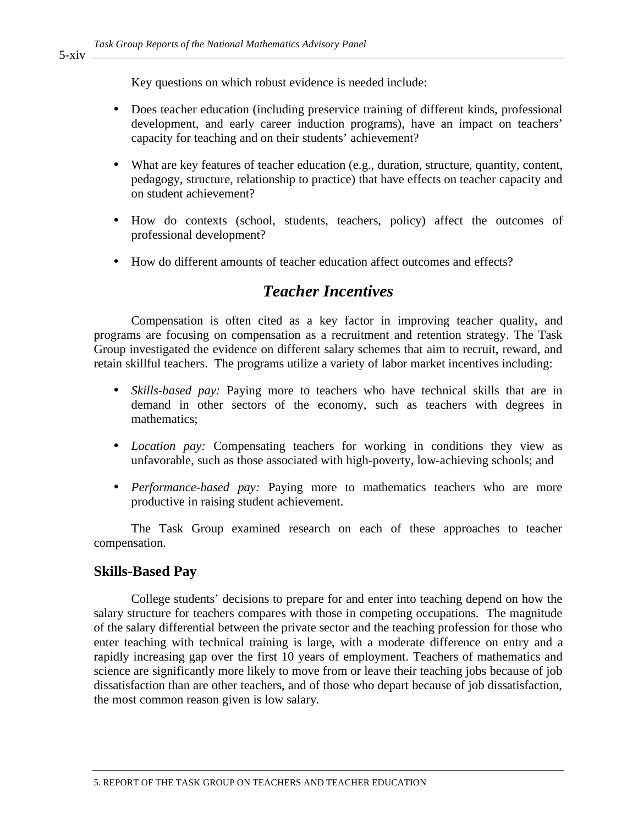Key questions on which robust evidence is needed include:

- Does teacher education (including preservice training of different kinds, professional development, and early career induction programs), have an impact on teachers' capacity for teaching and on their students' achievement?
- What are key features of teacher education (e.g., duration, structure, quantity, content, pedagogy, structure, relationship to practice) that have effects on teacher capacity and on student achievement?
- How do contexts (school, students, teachers, policy) affect the outcomes of professional development?
- How do different amounts of teacher education affect outcomes and effects?

### *Teacher Incentives*

Compensation is often cited as a key factor in improving teacher quality, and programs are focusing on compensation as a recruitment and retention strategy. The Task Group investigated the evidence on different salary schemes that aim to recruit, reward, and retain skillful teachers. The programs utilize a variety of labor market incentives including:

- *Skills-based pay:* Paying more to teachers who have technical skills that are in demand in other sectors of the economy, such as teachers with degrees in mathematics;
- *Location pay:* Compensating teachers for working in conditions they view as unfavorable, such as those associated with high-poverty, low-achieving schools; and
- *Performance-based pay:* Paying more to mathematics teachers who are more productive in raising student achievement.

The Task Group examined research on each of these approaches to teacher compensation.

#### **Skills-Based Pay**

College students' decisions to prepare for and enter into teaching depend on how the salary structure for teachers compares with those in competing occupations. The magnitude of the salary differential between the private sector and the teaching profession for those who enter teaching with technical training is large, with a moderate difference on entry and a rapidly increasing gap over the first 10 years of employment. Teachers of mathematics and science are significantly more likely to move from or leave their teaching jobs because of job dissatisfaction than are other teachers, and of those who depart because of job dissatisfaction, the most common reason given is low salary.

5-xiv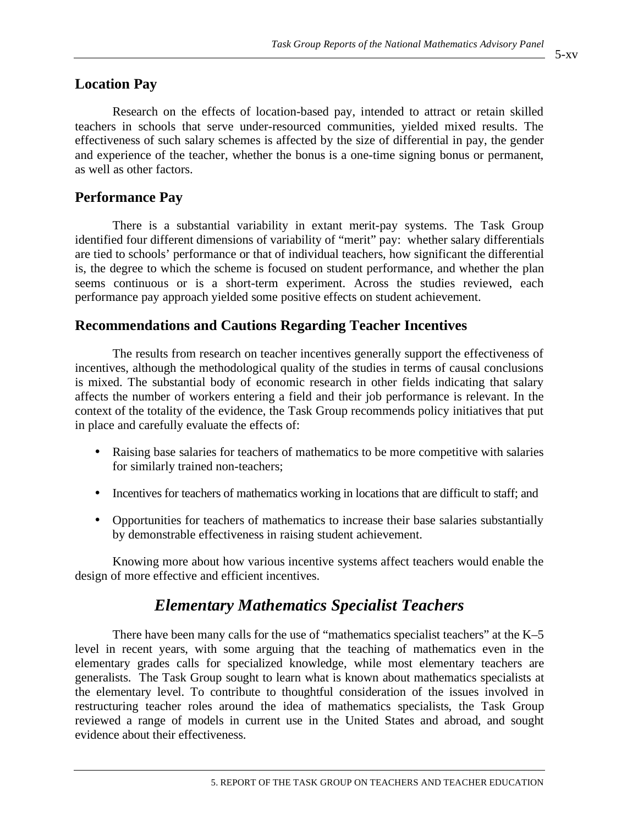### **Location Pay**

Research on the effects of location-based pay, intended to attract or retain skilled teachers in schools that serve under-resourced communities, yielded mixed results. The effectiveness of such salary schemes is affected by the size of differential in pay, the gender and experience of the teacher, whether the bonus is a one-time signing bonus or permanent, as well as other factors.

### **Performance Pay**

There is a substantial variability in extant merit-pay systems. The Task Group identified four different dimensions of variability of "merit" pay: whether salary differentials are tied to schools' performance or that of individual teachers, how significant the differential is, the degree to which the scheme is focused on student performance, and whether the plan seems continuous or is a short-term experiment. Across the studies reviewed, each performance pay approach yielded some positive effects on student achievement.

### **Recommendations and Cautions Regarding Teacher Incentives**

The results from research on teacher incentives generally support the effectiveness of incentives, although the methodological quality of the studies in terms of causal conclusions is mixed. The substantial body of economic research in other fields indicating that salary affects the number of workers entering a field and their job performance is relevant. In the context of the totality of the evidence, the Task Group recommends policy initiatives that put in place and carefully evaluate the effects of:

- Raising base salaries for teachers of mathematics to be more competitive with salaries for similarly trained non-teachers;
- Incentives for teachers of mathematics working in locations that are difficult to staff; and
- Opportunities for teachers of mathematics to increase their base salaries substantially by demonstrable effectiveness in raising student achievement.

Knowing more about how various incentive systems affect teachers would enable the design of more effective and efficient incentives.

# *Elementary Mathematics Specialist Teachers*

There have been many calls for the use of "mathematics specialist teachers" at the K–5 level in recent years, with some arguing that the teaching of mathematics even in the elementary grades calls for specialized knowledge, while most elementary teachers are generalists. The Task Group sought to learn what is known about mathematics specialists at the elementary level. To contribute to thoughtful consideration of the issues involved in restructuring teacher roles around the idea of mathematics specialists, the Task Group reviewed a range of models in current use in the United States and abroad, and sought evidence about their effectiveness.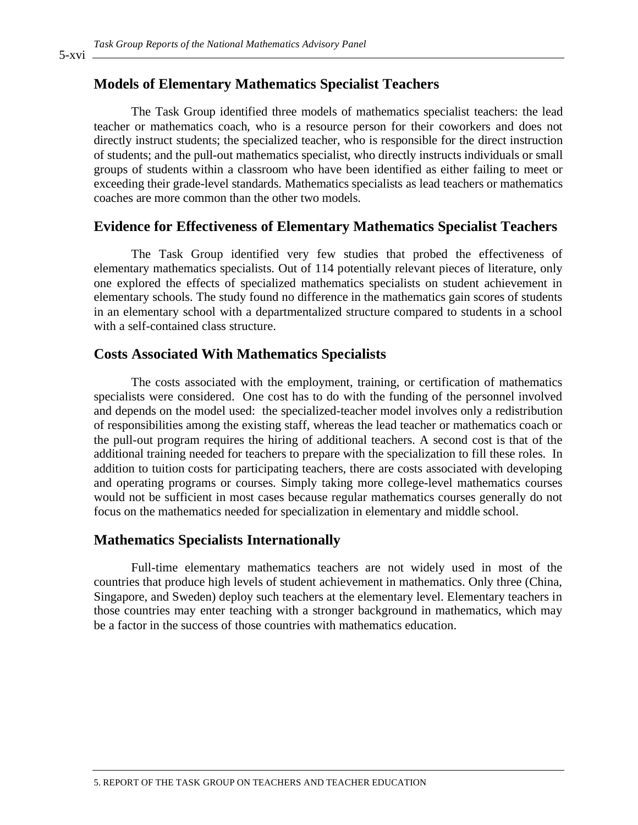### **Models of Elementary Mathematics Specialist Teachers**

The Task Group identified three models of mathematics specialist teachers: the lead teacher or mathematics coach*,* who is a resource person for their coworkers and does not directly instruct students; the specialized teacher, who is responsible for the direct instruction of students; and the pull-out mathematics specialist*,* who directly instructs individuals or small groups of students within a classroom who have been identified as either failing to meet or exceeding their grade-level standards. Mathematics specialists as lead teachers or mathematics coaches are more common than the other two models.

#### **Evidence for Effectiveness of Elementary Mathematics Specialist Teachers**

The Task Group identified very few studies that probed the effectiveness of elementary mathematics specialists. Out of 114 potentially relevant pieces of literature, only one explored the effects of specialized mathematics specialists on student achievement in elementary schools. The study found no difference in the mathematics gain scores of students in an elementary school with a departmentalized structure compared to students in a school with a self-contained class structure.

#### **Costs Associated With Mathematics Specialists**

The costs associated with the employment, training, or certification of mathematics specialists were considered.One cost has to do with the funding of the personnel involved and depends on the model used: the specialized-teacher model involves only a redistribution of responsibilities among the existing staff, whereas the lead teacher or mathematics coach or the pull-out program requires the hiring of additional teachers. A second cost is that of the additional training needed for teachers to prepare with the specialization to fill these roles. In addition to tuition costs for participating teachers, there are costs associated with developing and operating programs or courses. Simply taking more college-level mathematics courses would not be sufficient in most cases because regular mathematics courses generally do not focus on the mathematics needed for specialization in elementary and middle school.

#### **Mathematics Specialists Internationally**

Full-time elementary mathematics teachers are not widely used in most of the countries that produce high levels of student achievement in mathematics. Only three (China, Singapore, and Sweden) deploy such teachers at the elementary level. Elementary teachers in those countries may enter teaching with a stronger background in mathematics, which may be a factor in the success of those countries with mathematics education.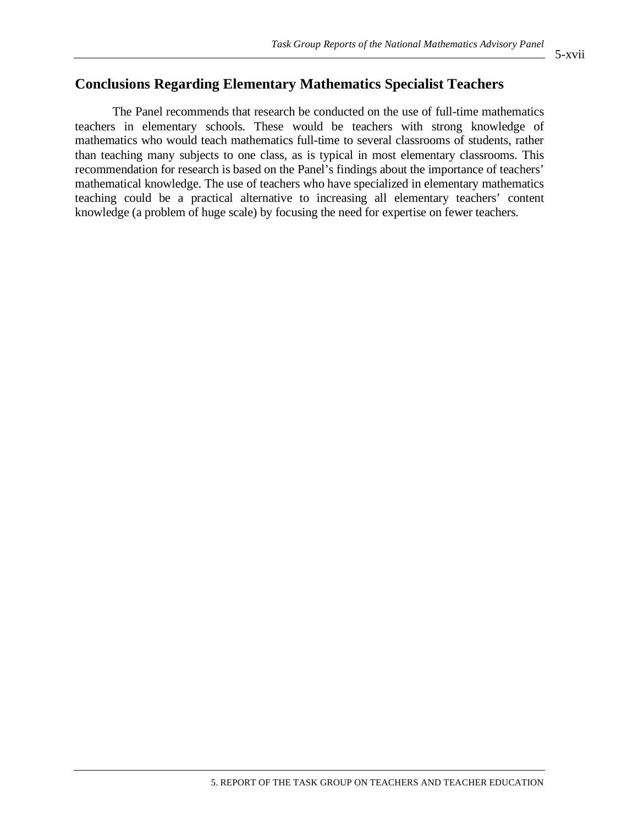### **Conclusions Regarding Elementary Mathematics Specialist Teachers**

The Panel recommends that research be conducted on the use of full-time mathematics teachers in elementary schools. These would be teachers with strong knowledge of mathematics who would teach mathematics full-time to several classrooms of students, rather than teaching many subjects to one class, as is typical in most elementary classrooms. This recommendation for research is based on the Panel's findings about the importance of teachers' mathematical knowledge. The use of teachers who have specialized in elementary mathematics teaching could be a practical alternative to increasing all elementary teachers' content knowledge (a problem of huge scale) by focusing the need for expertise on fewer teachers.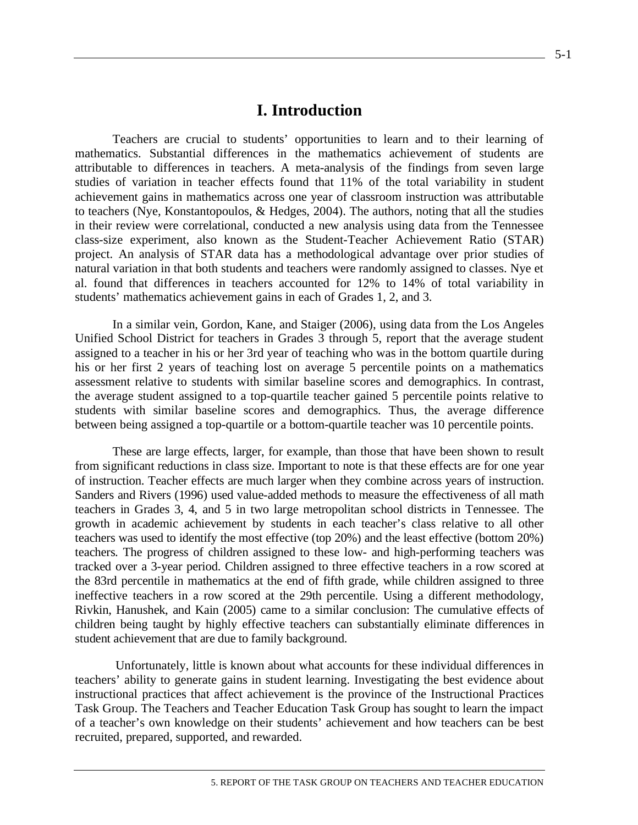### **I. Introduction**

Teachers are crucial to students' opportunities to learn and to their learning of mathematics. Substantial differences in the mathematics achievement of students are attributable to differences in teachers. A meta-analysis of the findings from seven large studies of variation in teacher effects found that 11% of the total variability in student achievement gains in mathematics across one year of classroom instruction was attributable to teachers (Nye, Konstantopoulos, & Hedges, 2004). The authors, noting that all the studies in their review were correlational, conducted a new analysis using data from the Tennessee class-size experiment, also known as the Student-Teacher Achievement Ratio (STAR) project. An analysis of STAR data has a methodological advantage over prior studies of natural variation in that both students and teachers were randomly assigned to classes. Nye et al. found that differences in teachers accounted for 12% to 14% of total variability in students' mathematics achievement gains in each of Grades 1, 2, and 3.

In a similar vein, Gordon, Kane, and Staiger (2006), using data from the Los Angeles Unified School District for teachers in Grades 3 through 5, report that the average student assigned to a teacher in his or her 3rd year of teaching who was in the bottom quartile during his or her first 2 years of teaching lost on average 5 percentile points on a mathematics assessment relative to students with similar baseline scores and demographics. In contrast, the average student assigned to a top-quartile teacher gained 5 percentile points relative to students with similar baseline scores and demographics. Thus, the average difference between being assigned a top-quartile or a bottom-quartile teacher was 10 percentile points.

These are large effects, larger, for example, than those that have been shown to result from significant reductions in class size. Important to note is that these effects are for one year of instruction. Teacher effects are much larger when they combine across years of instruction. Sanders and Rivers (1996) used value-added methods to measure the effectiveness of all math teachers in Grades 3, 4, and 5 in two large metropolitan school districts in Tennessee. The growth in academic achievement by students in each teacher's class relative to all other teachers was used to identify the most effective (top 20%) and the least effective (bottom 20%) teachers. The progress of children assigned to these low- and high-performing teachers was tracked over a 3-year period. Children assigned to three effective teachers in a row scored at the 83rd percentile in mathematics at the end of fifth grade, while children assigned to three ineffective teachers in a row scored at the 29th percentile. Using a different methodology, Rivkin, Hanushek, and Kain (2005) came to a similar conclusion: The cumulative effects of children being taught by highly effective teachers can substantially eliminate differences in student achievement that are due to family background.

 Unfortunately, little is known about what accounts for these individual differences in teachers' ability to generate gains in student learning. Investigating the best evidence about instructional practices that affect achievement is the province of the Instructional Practices Task Group. The Teachers and Teacher Education Task Group has sought to learn the impact of a teacher's own knowledge on their students' achievement and how teachers can be best recruited, prepared, supported, and rewarded.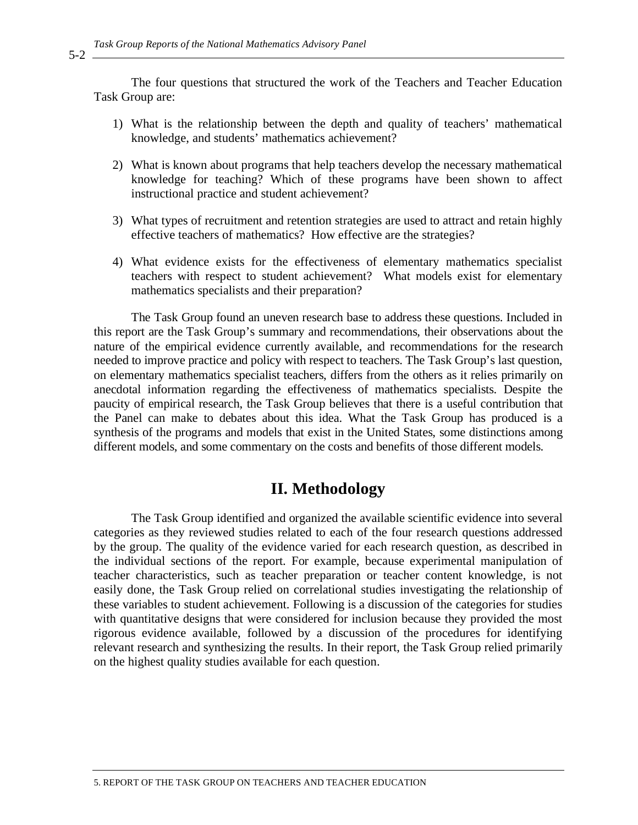The four questions that structured the work of the Teachers and Teacher Education Task Group are:

- 1) What is the relationship between the depth and quality of teachers' mathematical knowledge, and students' mathematics achievement?
- 2) What is known about programs that help teachers develop the necessary mathematical knowledge for teaching? Which of these programs have been shown to affect instructional practice and student achievement?
- 3) What types of recruitment and retention strategies are used to attract and retain highly effective teachers of mathematics? How effective are the strategies?
- 4) What evidence exists for the effectiveness of elementary mathematics specialist teachers with respect to student achievement? What models exist for elementary mathematics specialists and their preparation?

The Task Group found an uneven research base to address these questions. Included in this report are the Task Group's summary and recommendations, their observations about the nature of the empirical evidence currently available, and recommendations for the research needed to improve practice and policy with respect to teachers. The Task Group's last question, on elementary mathematics specialist teachers, differs from the others as it relies primarily on anecdotal information regarding the effectiveness of mathematics specialists. Despite the paucity of empirical research, the Task Group believes that there is a useful contribution that the Panel can make to debates about this idea. What the Task Group has produced is a synthesis of the programs and models that exist in the United States, some distinctions among different models, and some commentary on the costs and benefits of those different models.

### **II. Methodology**

The Task Group identified and organized the available scientific evidence into several categories as they reviewed studies related to each of the four research questions addressed by the group. The quality of the evidence varied for each research question, as described in the individual sections of the report. For example, because experimental manipulation of teacher characteristics, such as teacher preparation or teacher content knowledge, is not easily done, the Task Group relied on correlational studies investigating the relationship of these variables to student achievement. Following is a discussion of the categories for studies with quantitative designs that were considered for inclusion because they provided the most rigorous evidence available, followed by a discussion of the procedures for identifying relevant research and synthesizing the results. In their report, the Task Group relied primarily on the highest quality studies available for each question.

5-2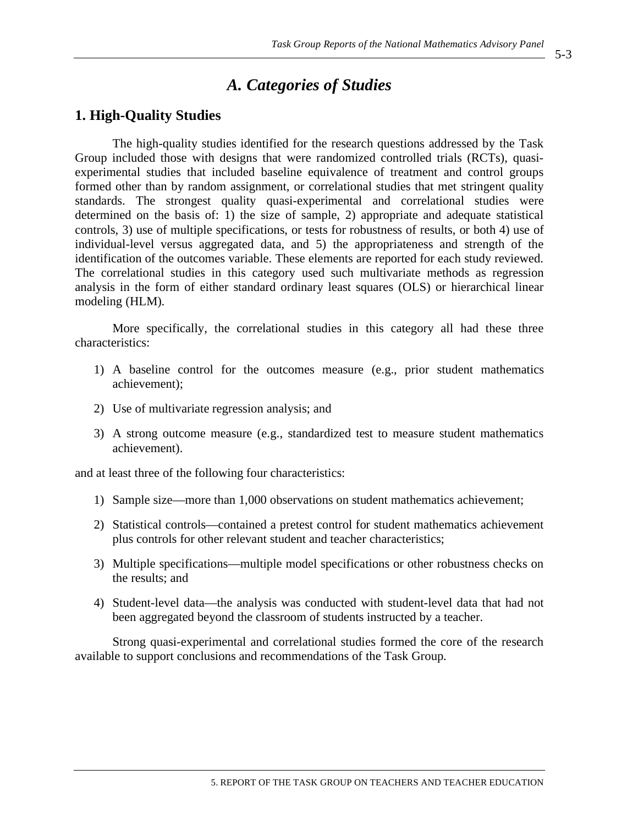### *A. Categories of Studies*

#### **1. High-Quality Studies**

The high-quality studies identified for the research questions addressed by the Task Group included those with designs that were randomized controlled trials (RCTs), quasiexperimental studies that included baseline equivalence of treatment and control groups formed other than by random assignment, or correlational studies that met stringent quality standards. The strongest quality quasi-experimental and correlational studies were determined on the basis of: 1) the size of sample, 2) appropriate and adequate statistical controls, 3) use of multiple specifications, or tests for robustness of results, or both 4) use of individual-level versus aggregated data, and 5) the appropriateness and strength of the identification of the outcomes variable. These elements are reported for each study reviewed. The correlational studies in this category used such multivariate methods as regression analysis in the form of either standard ordinary least squares (OLS) or hierarchical linear modeling (HLM).

More specifically, the correlational studies in this category all had these three characteristics:

- 1) A baseline control for the outcomes measure (e.g., prior student mathematics achievement);
- 2) Use of multivariate regression analysis; and
- 3) A strong outcome measure (e.g., standardized test to measure student mathematics achievement).

and at least three of the following four characteristics:

- 1) Sample size—more than 1,000 observations on student mathematics achievement;
- 2) Statistical controls—contained a pretest control for student mathematics achievement plus controls for other relevant student and teacher characteristics;
- 3) Multiple specifications—multiple model specifications or other robustness checks on the results; and
- 4) Student-level data—the analysis was conducted with student-level data that had not been aggregated beyond the classroom of students instructed by a teacher.

Strong quasi-experimental and correlational studies formed the core of the research available to support conclusions and recommendations of the Task Group.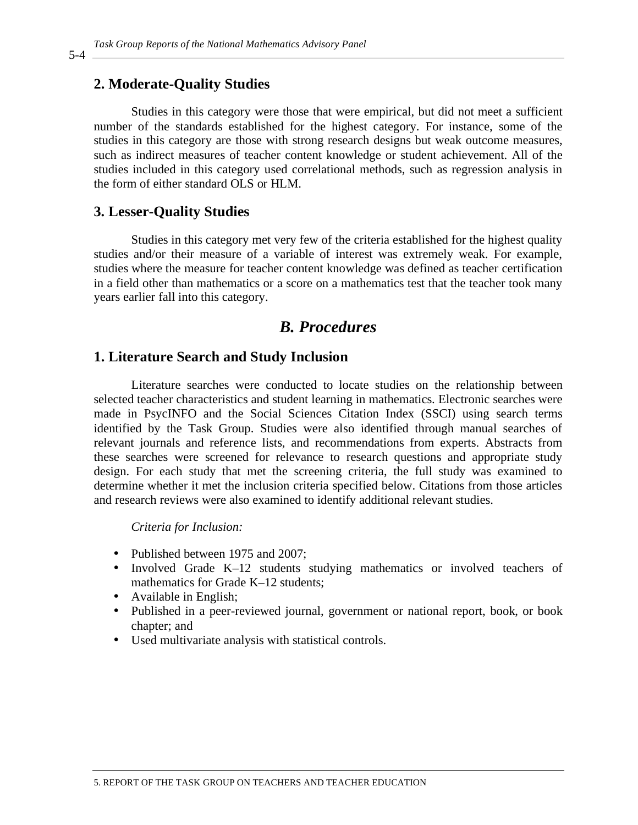### **2. Moderate-Quality Studies**

Studies in this category were those that were empirical, but did not meet a sufficient number of the standards established for the highest category. For instance, some of the studies in this category are those with strong research designs but weak outcome measures, such as indirect measures of teacher content knowledge or student achievement. All of the studies included in this category used correlational methods, such as regression analysis in the form of either standard OLS or HLM.

#### **3. Lesser-Quality Studies**

Studies in this category met very few of the criteria established for the highest quality studies and/or their measure of a variable of interest was extremely weak. For example, studies where the measure for teacher content knowledge was defined as teacher certification in a field other than mathematics or a score on a mathematics test that the teacher took many years earlier fall into this category.

### *B. Procedures*

#### **1. Literature Search and Study Inclusion**

Literature searches were conducted to locate studies on the relationship between selected teacher characteristics and student learning in mathematics. Electronic searches were made in PsycINFO and the Social Sciences Citation Index (SSCI) using search terms identified by the Task Group. Studies were also identified through manual searches of relevant journals and reference lists, and recommendations from experts. Abstracts from these searches were screened for relevance to research questions and appropriate study design. For each study that met the screening criteria, the full study was examined to determine whether it met the inclusion criteria specified below. Citations from those articles and research reviews were also examined to identify additional relevant studies.

*Criteria for Inclusion:* 

- Published between 1975 and 2007;
- Involved Grade K–12 students studying mathematics or involved teachers of mathematics for Grade K–12 students;
- Available in English;
- Published in a peer-reviewed journal, government or national report, book, or book chapter; and
- Used multivariate analysis with statistical controls.

5-4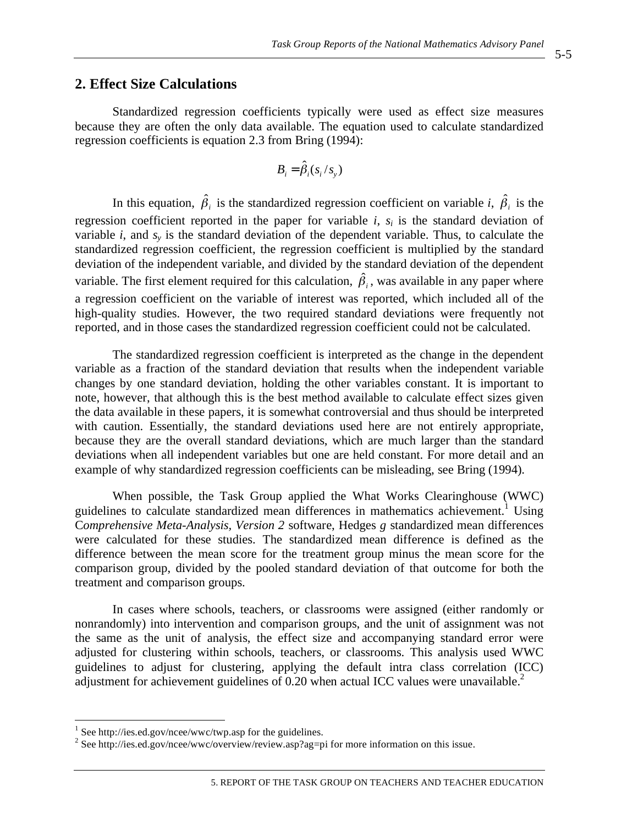#### **2. Effect Size Calculations**

Standardized regression coefficients typically were used as effect size measures because they are often the only data available. The equation used to calculate standardized regression coefficients is equation 2.3 from Bring (1994):

$$
B_i = \hat{\beta}_i(s_i / s_y)
$$

In this equation,  $\hat{\beta}_i$  is the standardized regression coefficient on variable *i*,  $\hat{\beta}_i$  is the regression coefficient reported in the paper for variable  $i$ ,  $s_i$  is the standard deviation of variable *i*, and *sy* is the standard deviation of the dependent variable. Thus, to calculate the standardized regression coefficient, the regression coefficient is multiplied by the standard deviation of the independent variable, and divided by the standard deviation of the dependent variable. The first element required for this calculation,  $\hat{\beta}_i$ , was available in any paper where a regression coefficient on the variable of interest was reported, which included all of the high-quality studies. However, the two required standard deviations were frequently not reported, and in those cases the standardized regression coefficient could not be calculated.

The standardized regression coefficient is interpreted as the change in the dependent variable as a fraction of the standard deviation that results when the independent variable changes by one standard deviation, holding the other variables constant. It is important to note, however, that although this is the best method available to calculate effect sizes given the data available in these papers, it is somewhat controversial and thus should be interpreted with caution. Essentially, the standard deviations used here are not entirely appropriate, because they are the overall standard deviations, which are much larger than the standard deviations when all independent variables but one are held constant. For more detail and an example of why standardized regression coefficients can be misleading, see Bring (1994).

When possible, the Task Group applied the What Works Clearinghouse (WWC) guidelines to calculate standardized mean differences in mathematics achievement.<sup>1</sup> Using C*omprehensive Meta-Analysis, Version 2* software, Hedges *g* standardized mean differences were calculated for these studies. The standardized mean difference is defined as the difference between the mean score for the treatment group minus the mean score for the comparison group, divided by the pooled standard deviation of that outcome for both the treatment and comparison groups.

In cases where schools, teachers, or classrooms were assigned (either randomly or nonrandomly) into intervention and comparison groups, and the unit of assignment was not the same as the unit of analysis, the effect size and accompanying standard error were adjusted for clustering within schools, teachers, or classrooms. This analysis used WWC guidelines to adjust for clustering, applying the default intra class correlation (ICC) adjustment for achievement guidelines of  $0.20$  when actual ICC values were unavailable.<sup>2</sup>

<sup>&</sup>lt;sup>1</sup> See http://ies.ed.gov/ncee/wwc/twp.asp for the guidelines.

<sup>&</sup>lt;sup>2</sup> See http://ies.ed.gov/ncee/wwc/overview/review.asp?ag=pi for more information on this issue.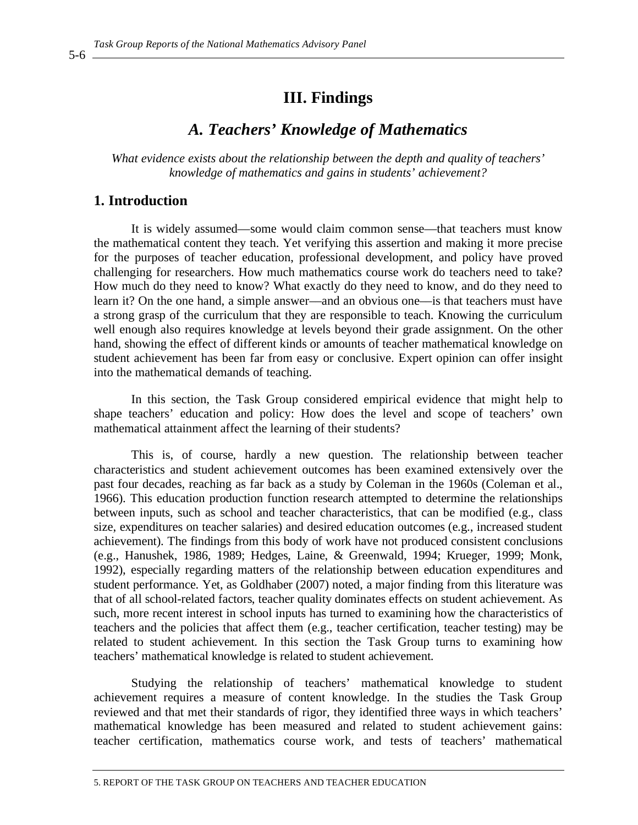### **III. Findings**

### *A. Teachers' Knowledge of Mathematics*

*What evidence exists about the relationship between the depth and quality of teachers' knowledge of mathematics and gains in students' achievement?* 

#### **1. Introduction**

It is widely assumed—some would claim common sense—that teachers must know the mathematical content they teach. Yet verifying this assertion and making it more precise for the purposes of teacher education, professional development, and policy have proved challenging for researchers. How much mathematics course work do teachers need to take? How much do they need to know? What exactly do they need to know, and do they need to learn it? On the one hand, a simple answer––and an obvious one––is that teachers must have a strong grasp of the curriculum that they are responsible to teach. Knowing the curriculum well enough also requires knowledge at levels beyond their grade assignment. On the other hand, showing the effect of different kinds or amounts of teacher mathematical knowledge on student achievement has been far from easy or conclusive. Expert opinion can offer insight into the mathematical demands of teaching.

In this section, the Task Group considered empirical evidence that might help to shape teachers' education and policy: How does the level and scope of teachers' own mathematical attainment affect the learning of their students?

This is, of course, hardly a new question. The relationship between teacher characteristics and student achievement outcomes has been examined extensively over the past four decades, reaching as far back as a study by Coleman in the 1960s (Coleman et al., 1966). This education production function research attempted to determine the relationships between inputs, such as school and teacher characteristics, that can be modified (e.g., class size, expenditures on teacher salaries) and desired education outcomes (e.g., increased student achievement). The findings from this body of work have not produced consistent conclusions (e.g., Hanushek, 1986, 1989; Hedges, Laine, & Greenwald, 1994; Krueger, 1999; Monk, 1992), especially regarding matters of the relationship between education expenditures and student performance. Yet, as Goldhaber (2007) noted, a major finding from this literature was that of all school-related factors, teacher quality dominates effects on student achievement. As such, more recent interest in school inputs has turned to examining how the characteristics of teachers and the policies that affect them (e.g., teacher certification, teacher testing) may be related to student achievement. In this section the Task Group turns to examining how teachers' mathematical knowledge is related to student achievement.

Studying the relationship of teachers' mathematical knowledge to student achievement requires a measure of content knowledge. In the studies the Task Group reviewed and that met their standards of rigor, they identified three ways in which teachers' mathematical knowledge has been measured and related to student achievement gains: teacher certification, mathematics course work, and tests of teachers' mathematical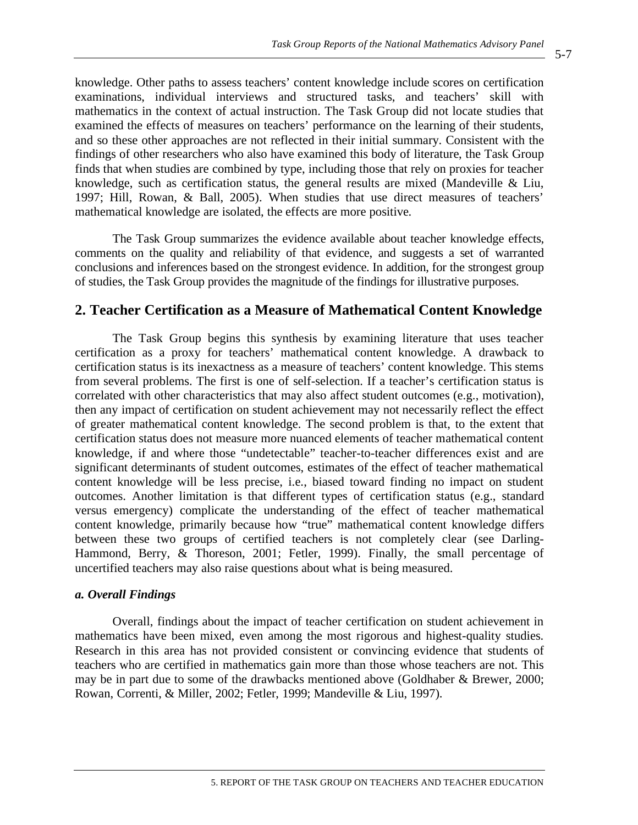knowledge. Other paths to assess teachers' content knowledge include scores on certification examinations, individual interviews and structured tasks, and teachers' skill with mathematics in the context of actual instruction. The Task Group did not locate studies that examined the effects of measures on teachers' performance on the learning of their students, and so these other approaches are not reflected in their initial summary. Consistent with the findings of other researchers who also have examined this body of literature, the Task Group finds that when studies are combined by type, including those that rely on proxies for teacher knowledge, such as certification status, the general results are mixed (Mandeville & Liu, 1997; Hill, Rowan, & Ball, 2005). When studies that use direct measures of teachers' mathematical knowledge are isolated, the effects are more positive.

The Task Group summarizes the evidence available about teacher knowledge effects, comments on the quality and reliability of that evidence, and suggests a set of warranted conclusions and inferences based on the strongest evidence. In addition, for the strongest group of studies, the Task Group provides the magnitude of the findings for illustrative purposes.

### **2. Teacher Certification as a Measure of Mathematical Content Knowledge**

The Task Group begins this synthesis by examining literature that uses teacher certification as a proxy for teachers' mathematical content knowledge. A drawback to certification status is its inexactness as a measure of teachers' content knowledge. This stems from several problems. The first is one of self-selection. If a teacher's certification status is correlated with other characteristics that may also affect student outcomes (e.g., motivation), then any impact of certification on student achievement may not necessarily reflect the effect of greater mathematical content knowledge. The second problem is that, to the extent that certification status does not measure more nuanced elements of teacher mathematical content knowledge, if and where those "undetectable" teacher-to-teacher differences exist and are significant determinants of student outcomes, estimates of the effect of teacher mathematical content knowledge will be less precise, i.e., biased toward finding no impact on student outcomes. Another limitation is that different types of certification status (e.g., standard versus emergency) complicate the understanding of the effect of teacher mathematical content knowledge, primarily because how "true" mathematical content knowledge differs between these two groups of certified teachers is not completely clear (see Darling-Hammond, Berry, & Thoreson, 2001; Fetler, 1999). Finally, the small percentage of uncertified teachers may also raise questions about what is being measured.

#### *a. Overall Findings*

Overall, findings about the impact of teacher certification on student achievement in mathematics have been mixed, even among the most rigorous and highest-quality studies. Research in this area has not provided consistent or convincing evidence that students of teachers who are certified in mathematics gain more than those whose teachers are not. This may be in part due to some of the drawbacks mentioned above (Goldhaber & Brewer, 2000; Rowan, Correnti, & Miller, 2002; Fetler, 1999; Mandeville & Liu, 1997).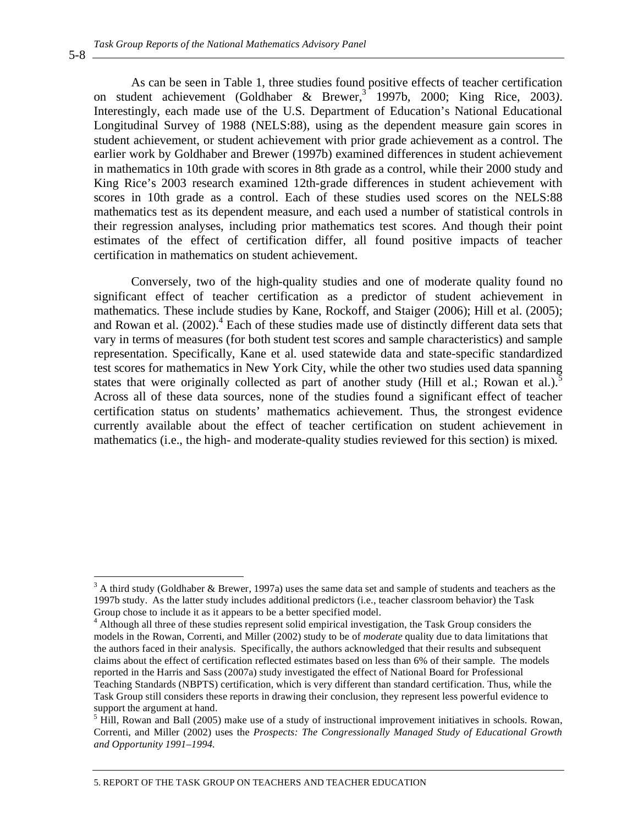As can be seen in Table 1, three studies found positive effects of teacher certification on student achievement (Goldhaber & Brewer,<sup>3</sup> 1997b, 2000; King Rice, 2003). Interestingly, each made use of the U.S. Department of Education's National Educational Longitudinal Survey of 1988 (NELS:88), using as the dependent measure gain scores in student achievement, or student achievement with prior grade achievement as a control. The earlier work by Goldhaber and Brewer (1997b) examined differences in student achievement in mathematics in 10th grade with scores in 8th grade as a control, while their 2000 study and King Rice's 2003 research examined 12th-grade differences in student achievement with scores in 10th grade as a control. Each of these studies used scores on the NELS:88 mathematics test as its dependent measure, and each used a number of statistical controls in their regression analyses, including prior mathematics test scores. And though their point estimates of the effect of certification differ, all found positive impacts of teacher certification in mathematics on student achievement.

Conversely, two of the high-quality studies and one of moderate quality found no significant effect of teacher certification as a predictor of student achievement in mathematics. These include studies by Kane, Rockoff, and Staiger (2006); Hill et al. (2005); and Rowan et al.  $(2002)$ .<sup>4</sup> Each of these studies made use of distinctly different data sets that vary in terms of measures (for both student test scores and sample characteristics) and sample representation. Specifically, Kane et al. used statewide data and state-specific standardized test scores for mathematics in New York City, while the other two studies used data spanning states that were originally collected as part of another study (Hill et al.; Rowan et al.).<sup>5</sup> Across all of these data sources, none of the studies found a significant effect of teacher certification status on students' mathematics achievement. Thus, the strongest evidence currently available about the effect of teacher certification on student achievement in mathematics (i.e., the high- and moderate-quality studies reviewed for this section) is mixed.

5-8

 $\overline{a}$ 

 $3$  A third study (Goldhaber & Brewer, 1997a) uses the same data set and sample of students and teachers as the 1997b study. As the latter study includes additional predictors (i.e., teacher classroom behavior) the Task Group chose to include it as it appears to be a better specified model.

<sup>&</sup>lt;sup>4</sup> Although all three of these studies represent solid empirical investigation, the Task Group considers the models in the Rowan, Correnti, and Miller (2002) study to be of *moderate* quality due to data limitations that the authors faced in their analysis. Specifically, the authors acknowledged that their results and subsequent claims about the effect of certification reflected estimates based on less than 6% of their sample. The models reported in the Harris and Sass (2007a) study investigated the effect of National Board for Professional Teaching Standards (NBPTS) certification, which is very different than standard certification. Thus, while the Task Group still considers these reports in drawing their conclusion, they represent less powerful evidence to support the argument at hand.

<sup>&</sup>lt;sup>5</sup> Hill, Rowan and Ball (2005) make use of a study of instructional improvement initiatives in schools. Rowan, Correnti, and Miller (2002) uses the *Prospects: The Congressionally Managed Study of Educational Growth and Opportunity 1991–1994.*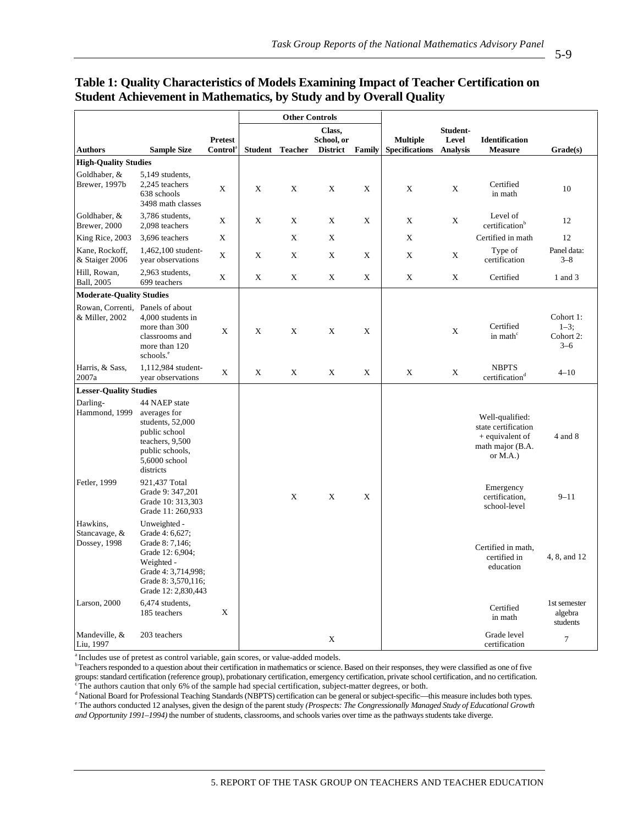#### **Table 1: Quality Characteristics of Models Examining Impact of Teacher Certification on Student Achievement in Mathematics, by Study and by Overall Quality**

|                                                    |                                                                                                                                                           |                | <b>Other Controls</b> |                |                 |                 |                       |                       |                                                                                                |                                                |
|----------------------------------------------------|-----------------------------------------------------------------------------------------------------------------------------------------------------------|----------------|-----------------------|----------------|-----------------|-----------------|-----------------------|-----------------------|------------------------------------------------------------------------------------------------|------------------------------------------------|
|                                                    |                                                                                                                                                           | <b>Pretest</b> | Class,<br>School, or  |                |                 | <b>Multiple</b> | Student-<br>Level     | <b>Identification</b> |                                                                                                |                                                |
| <b>Authors</b>                                     | <b>Sample Size</b>                                                                                                                                        | Control        | <b>Student</b>        | <b>Teacher</b> | <b>District</b> | Family          | <b>Specifications</b> | <b>Analysis</b>       | <b>Measure</b>                                                                                 | Grade(s)                                       |
| <b>High-Quality Studies</b>                        |                                                                                                                                                           |                |                       |                |                 |                 |                       |                       |                                                                                                |                                                |
| Goldhaber, &<br>Brewer, 1997b                      | 5,149 students,<br>2,245 teachers<br>638 schools<br>3498 math classes                                                                                     | X              | X                     | X              | X               | X               | X                     | X                     | Certified<br>in math                                                                           | 10                                             |
| Goldhaber, &<br>Brewer, 2000                       | 3,786 students,<br>2,098 teachers                                                                                                                         | X              | $\mathbf X$           | X              | X               | X               | X                     | X                     | Level of<br>certification <sup>b</sup>                                                         | 12                                             |
| King Rice, 2003                                    | 3,696 teachers                                                                                                                                            | X              |                       | X              | X               |                 | X                     |                       | Certified in math                                                                              | 12                                             |
| Kane, Rockoff,<br>& Staiger 2006                   | 1,462,100 student-<br>year observations                                                                                                                   | X              | X                     | X              | X               | X               | X                     | X                     | Type of<br>certification                                                                       | Panel data:<br>$3 - 8$                         |
| Hill, Rowan,<br>Ball, 2005                         | 2,963 students,<br>699 teachers                                                                                                                           | X              | X                     | X              | X               | X               | X                     | X                     | Certified                                                                                      | 1 and 3                                        |
| <b>Moderate-Quality Studies</b>                    |                                                                                                                                                           |                |                       |                |                 |                 |                       |                       |                                                                                                |                                                |
| Rowan, Correnti, Panels of about<br>& Miller, 2002 | 4,000 students in<br>more than 300<br>classrooms and<br>more than 120<br>schools. <sup>e</sup>                                                            | X              | X                     | X              | X               | X               |                       | X                     | Certified<br>in math <sup>c</sup>                                                              | Cohort 1:<br>$1 - 3$ ;<br>Cohort 2:<br>$3 - 6$ |
| Harris, & Sass,<br>2007a                           | 1,112,984 student-<br>year observations                                                                                                                   | X              | X                     | X              | X               | X               | X                     | X                     | <b>NBPTS</b><br>certification <sup>d</sup>                                                     | $4 - 10$                                       |
| <b>Lesser-Quality Studies</b>                      |                                                                                                                                                           |                |                       |                |                 |                 |                       |                       |                                                                                                |                                                |
| Darling-<br>Hammond, 1999                          | 44 NAEP state<br>averages for<br>students, 52,000<br>public school<br>teachers, 9,500<br>public schools,<br>5,6000 school<br>districts                    |                |                       |                |                 |                 |                       |                       | Well-qualified:<br>state certification<br>$+$ equivalent of<br>math major (B.A.<br>or $M.A.$ ) | 4 and 8                                        |
| Fetler, 1999                                       | 921,437 Total<br>Grade 9: 347,201<br>Grade 10: 313,303<br>Grade 11: 260,933                                                                               |                |                       | X              | X               | X               |                       |                       | Emergency<br>certification,<br>school-level                                                    | $9 - 11$                                       |
| Hawkins,<br>Stancavage, &<br>Dossey, 1998          | Unweighted -<br>Grade 4: 6,627;<br>Grade 8: 7,146;<br>Grade 12: 6,904;<br>Weighted -<br>Grade 4: 3,714,998;<br>Grade 8: 3,570,116;<br>Grade 12: 2,830,443 |                |                       |                |                 |                 |                       |                       | Certified in math,<br>certified in<br>education                                                | 4, 8, and 12                                   |
| Larson, 2000                                       | 6,474 students,<br>185 teachers                                                                                                                           | Χ              |                       |                |                 |                 |                       |                       | Certified<br>in math                                                                           | 1st semester<br>algebra<br>students            |
| Mandeville, &<br>Liu, 1997                         | 203 teachers                                                                                                                                              |                |                       |                | X               |                 |                       |                       | Grade level<br>certification                                                                   | $\tau$                                         |

<sup>a</sup> Includes use of pretest as control variable, gain scores, or value-added models.

**b** Teachers responded to a question about their certification in mathematics or science. Based on their responses, they were classified as one of five groups: standard certification (reference group), probationary certification, emergency certification, private school certification, and no certification.<br>The authors caution that only 6% of the sample had special certific

<sup>d</sup> National Board for Professional Teaching Standards (NBPTS) certification can be general or subject-specific—this measure includes both types.<br><sup>e</sup> The euthers conducted 12 analyses, given the design of the permat study <sup>e</sup> The authors conducted 12 analyses, given the design of the parent study *(Prospects: The Congressionally Managed Study of Educational Growth* 

*and Opportunity 1991–1994)* the number of students, classrooms, and schools varies over time as the pathways students take diverge.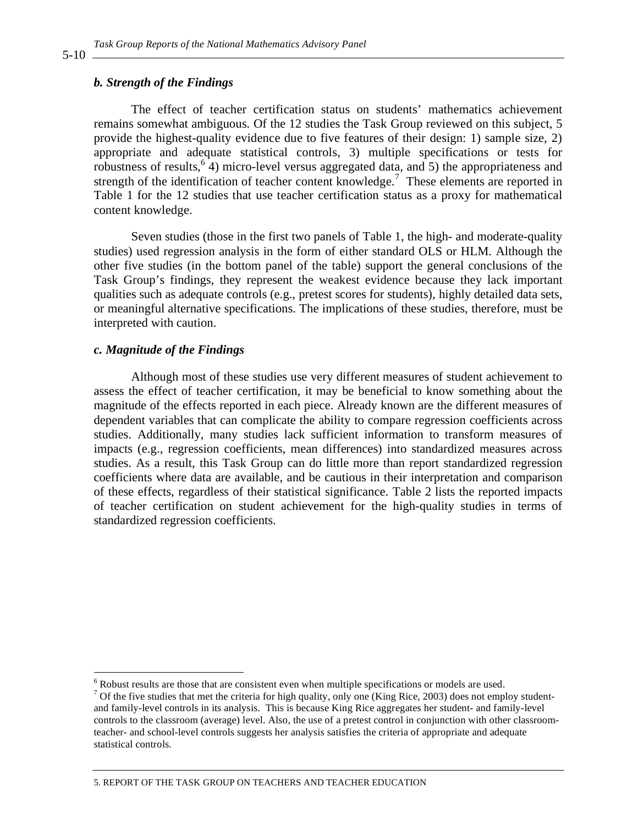#### *b. Strength of the Findings*

The effect of teacher certification status on students' mathematics achievement remains somewhat ambiguous. Of the 12 studies the Task Group reviewed on this subject, 5 provide the highest-quality evidence due to five features of their design: 1) sample size, 2) appropriate and adequate statistical controls, 3) multiple specifications or tests for robustness of results,  $6\overline{4}$ ) micro-level versus aggregated data, and 5) the appropriateness and strength of the identification of teacher content knowledge.<sup>7</sup> These elements are reported in Table 1 for the 12 studies that use teacher certification status as a proxy for mathematical content knowledge.

Seven studies (those in the first two panels of Table 1, the high- and moderate-quality studies) used regression analysis in the form of either standard OLS or HLM. Although the other five studies (in the bottom panel of the table) support the general conclusions of the Task Group's findings, they represent the weakest evidence because they lack important qualities such as adequate controls (e.g., pretest scores for students), highly detailed data sets, or meaningful alternative specifications. The implications of these studies, therefore, must be interpreted with caution.

#### *c. Magnitude of the Findings*

Although most of these studies use very different measures of student achievement to assess the effect of teacher certification, it may be beneficial to know something about the magnitude of the effects reported in each piece. Already known are the different measures of dependent variables that can complicate the ability to compare regression coefficients across studies. Additionally, many studies lack sufficient information to transform measures of impacts (e.g., regression coefficients, mean differences) into standardized measures across studies. As a result, this Task Group can do little more than report standardized regression coefficients where data are available, and be cautious in their interpretation and comparison of these effects, regardless of their statistical significance. Table 2 lists the reported impacts of teacher certification on student achievement for the high-quality studies in terms of standardized regression coefficients.

5-10

 6 Robust results are those that are consistent even when multiple specifications or models are used.

<sup>&</sup>lt;sup>7</sup> Of the five studies that met the criteria for high quality, only one (King Rice, 2003) does not employ studentand family-level controls in its analysis. This is because King Rice aggregates her student- and family-level controls to the classroom (average) level. Also, the use of a pretest control in conjunction with other classroomteacher- and school-level controls suggests her analysis satisfies the criteria of appropriate and adequate statistical controls.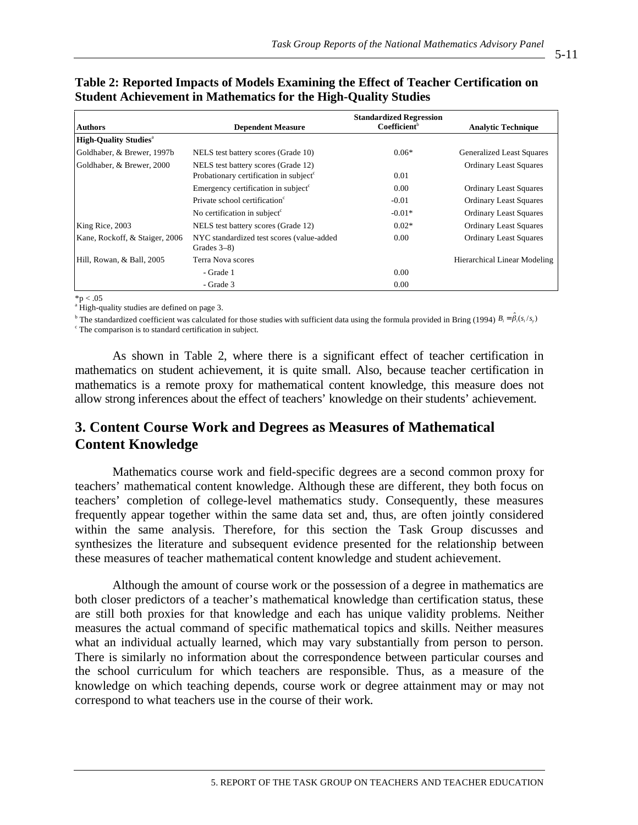5-11

| <b>Authors</b>                           | <b>Dependent Measure</b>                                    | <b>Standardized Regression</b><br>Coefficient <sup>b</sup> | <b>Analytic Technique</b>        |
|------------------------------------------|-------------------------------------------------------------|------------------------------------------------------------|----------------------------------|
| <b>High-Ouality Studies</b> <sup>a</sup> |                                                             |                                                            |                                  |
| Goldhaber, & Brewer, 1997b               | NELS test battery scores (Grade 10)                         | $0.06*$                                                    | <b>Generalized Least Squares</b> |
| Goldhaber, & Brewer, 2000                | NELS test battery scores (Grade 12)                         |                                                            | <b>Ordinary Least Squares</b>    |
|                                          | Probationary certification in subject <sup>c</sup>          | 0.01                                                       |                                  |
|                                          | Emergency certification in subject <sup>c</sup>             | 0.00                                                       | <b>Ordinary Least Squares</b>    |
|                                          | Private school certification <sup>c</sup>                   | $-0.01$                                                    | <b>Ordinary Least Squares</b>    |
|                                          | No certification in subject $\epsilon$                      | $-0.01*$                                                   | <b>Ordinary Least Squares</b>    |
| King Rice, 2003                          | NELS test battery scores (Grade 12)                         | $0.02*$                                                    | <b>Ordinary Least Squares</b>    |
| Kane, Rockoff, & Staiger, 2006           | NYC standardized test scores (value-added<br>Grades $3-8$ ) | 0.00                                                       | <b>Ordinary Least Squares</b>    |
| Hill, Rowan, & Ball, 2005                | Terra Nova scores                                           |                                                            | Hierarchical Linear Modeling     |
|                                          | - Grade 1                                                   | 0.00                                                       |                                  |
|                                          | - Grade 3                                                   | 0.00                                                       |                                  |

#### **Table 2: Reported Impacts of Models Examining the Effect of Teacher Certification on Student Achievement in Mathematics for the High-Quality Studies**

 $*_{p} < .05$ 

<sup>a</sup> High-quality studies are defined on page 3.

<sup>b</sup> The standardized coefficient was calculated for those studies with sufficient data using the formula provided in Bring (1994)  $B_i = \hat{\beta}_i(s_i/s_j)$ 

<sup>c</sup> The comparison is to standard certification in subject.

As shown in Table 2, where there is a significant effect of teacher certification in mathematics on student achievement, it is quite small. Also, because teacher certification in mathematics is a remote proxy for mathematical content knowledge, this measure does not allow strong inferences about the effect of teachers' knowledge on their students' achievement.

### **3. Content Course Work and Degrees as Measures of Mathematical Content Knowledge**

Mathematics course work and field-specific degrees are a second common proxy for teachers' mathematical content knowledge. Although these are different, they both focus on teachers' completion of college-level mathematics study. Consequently, these measures frequently appear together within the same data set and, thus, are often jointly considered within the same analysis. Therefore, for this section the Task Group discusses and synthesizes the literature and subsequent evidence presented for the relationship between these measures of teacher mathematical content knowledge and student achievement.

Although the amount of course work or the possession of a degree in mathematics are both closer predictors of a teacher's mathematical knowledge than certification status, these are still both proxies for that knowledge and each has unique validity problems. Neither measures the actual command of specific mathematical topics and skills. Neither measures what an individual actually learned, which may vary substantially from person to person. There is similarly no information about the correspondence between particular courses and the school curriculum for which teachers are responsible. Thus, as a measure of the knowledge on which teaching depends, course work or degree attainment may or may not correspond to what teachers use in the course of their work.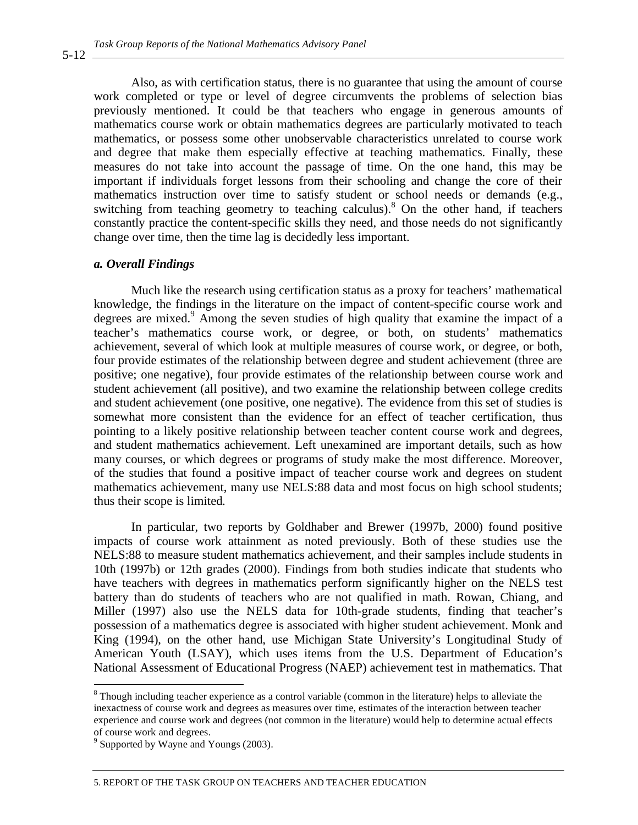Also, as with certification status, there is no guarantee that using the amount of course work completed or type or level of degree circumvents the problems of selection bias previously mentioned. It could be that teachers who engage in generous amounts of mathematics course work or obtain mathematics degrees are particularly motivated to teach mathematics, or possess some other unobservable characteristics unrelated to course work and degree that make them especially effective at teaching mathematics. Finally, these measures do not take into account the passage of time. On the one hand, this may be important if individuals forget lessons from their schooling and change the core of their mathematics instruction over time to satisfy student or school needs or demands (e.g., switching from teaching geometry to teaching calculus).<sup>8</sup> On the other hand, if teachers constantly practice the content-specific skills they need, and those needs do not significantly change over time, then the time lag is decidedly less important.

#### *a. Overall Findings*

Much like the research using certification status as a proxy for teachers' mathematical knowledge, the findings in the literature on the impact of content-specific course work and degrees are mixed.<sup>9</sup> Among the seven studies of high quality that examine the impact of a teacher's mathematics course work, or degree, or both, on students' mathematics achievement, several of which look at multiple measures of course work, or degree, or both, four provide estimates of the relationship between degree and student achievement (three are positive; one negative), four provide estimates of the relationship between course work and student achievement (all positive), and two examine the relationship between college credits and student achievement (one positive, one negative). The evidence from this set of studies is somewhat more consistent than the evidence for an effect of teacher certification, thus pointing to a likely positive relationship between teacher content course work and degrees, and student mathematics achievement. Left unexamined are important details, such as how many courses, or which degrees or programs of study make the most difference. Moreover, of the studies that found a positive impact of teacher course work and degrees on student mathematics achievement, many use NELS:88 data and most focus on high school students; thus their scope is limited.

In particular, two reports by Goldhaber and Brewer (1997b, 2000) found positive impacts of course work attainment as noted previously. Both of these studies use the NELS:88 to measure student mathematics achievement, and their samples include students in 10th (1997b) or 12th grades (2000). Findings from both studies indicate that students who have teachers with degrees in mathematics perform significantly higher on the NELS test battery than do students of teachers who are not qualified in math. Rowan, Chiang, and Miller (1997) also use the NELS data for 10th-grade students, finding that teacher's possession of a mathematics degree is associated with higher student achievement. Monk and King (1994), on the other hand, use Michigan State University's Longitudinal Study of American Youth (LSAY), which uses items from the U.S. Department of Education's National Assessment of Educational Progress (NAEP) achievement test in mathematics. That

 $\overline{a}$ 

5-12

 $8$  Though including teacher experience as a control variable (common in the literature) helps to alleviate the inexactness of course work and degrees as measures over time, estimates of the interaction between teacher experience and course work and degrees (not common in the literature) would help to determine actual effects of course work and degrees.

<sup>9</sup> Supported by Wayne and Youngs (2003).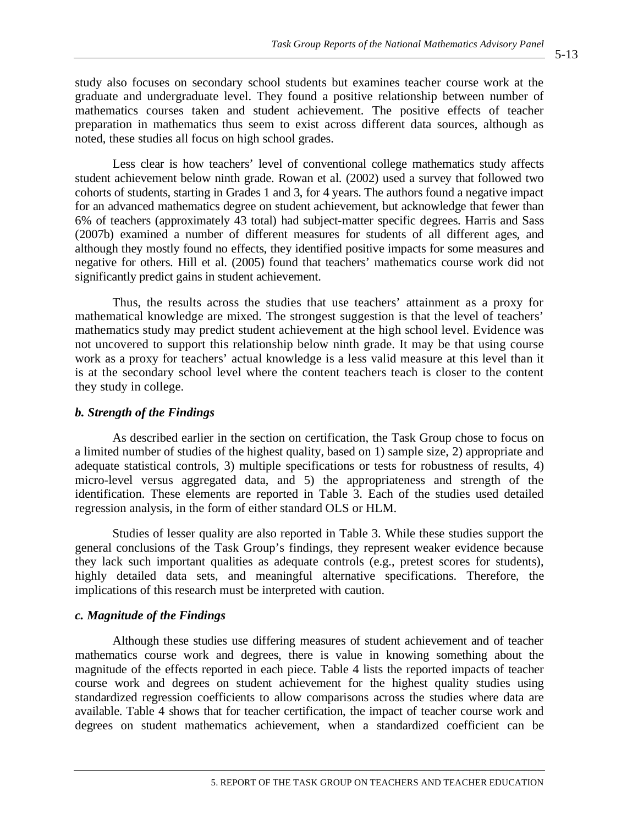study also focuses on secondary school students but examines teacher course work at the graduate and undergraduate level. They found a positive relationship between number of mathematics courses taken and student achievement. The positive effects of teacher preparation in mathematics thus seem to exist across different data sources, although as noted, these studies all focus on high school grades.

Less clear is how teachers' level of conventional college mathematics study affects student achievement below ninth grade. Rowan et al. (2002) used a survey that followed two cohorts of students, starting in Grades 1 and 3, for 4 years. The authors found a negative impact for an advanced mathematics degree on student achievement, but acknowledge that fewer than 6% of teachers (approximately 43 total) had subject-matter specific degrees. Harris and Sass (2007b) examined a number of different measures for students of all different ages, and although they mostly found no effects, they identified positive impacts for some measures and negative for others. Hill et al. (2005) found that teachers' mathematics course work did not significantly predict gains in student achievement.

Thus, the results across the studies that use teachers' attainment as a proxy for mathematical knowledge are mixed. The strongest suggestion is that the level of teachers' mathematics study may predict student achievement at the high school level. Evidence was not uncovered to support this relationship below ninth grade. It may be that using course work as a proxy for teachers' actual knowledge is a less valid measure at this level than it is at the secondary school level where the content teachers teach is closer to the content they study in college.

#### *b. Strength of the Findings*

As described earlier in the section on certification, the Task Group chose to focus on a limited number of studies of the highest quality, based on 1) sample size, 2) appropriate and adequate statistical controls, 3) multiple specifications or tests for robustness of results, 4) micro-level versus aggregated data, and 5) the appropriateness and strength of the identification. These elements are reported in Table 3. Each of the studies used detailed regression analysis, in the form of either standard OLS or HLM.

Studies of lesser quality are also reported in Table 3. While these studies support the general conclusions of the Task Group's findings, they represent weaker evidence because they lack such important qualities as adequate controls (e.g., pretest scores for students), highly detailed data sets, and meaningful alternative specifications. Therefore, the implications of this research must be interpreted with caution.

#### *c. Magnitude of the Findings*

Although these studies use differing measures of student achievement and of teacher mathematics course work and degrees, there is value in knowing something about the magnitude of the effects reported in each piece. Table 4 lists the reported impacts of teacher course work and degrees on student achievement for the highest quality studies using standardized regression coefficients to allow comparisons across the studies where data are available. Table 4 shows that for teacher certification, the impact of teacher course work and degrees on student mathematics achievement, when a standardized coefficient can be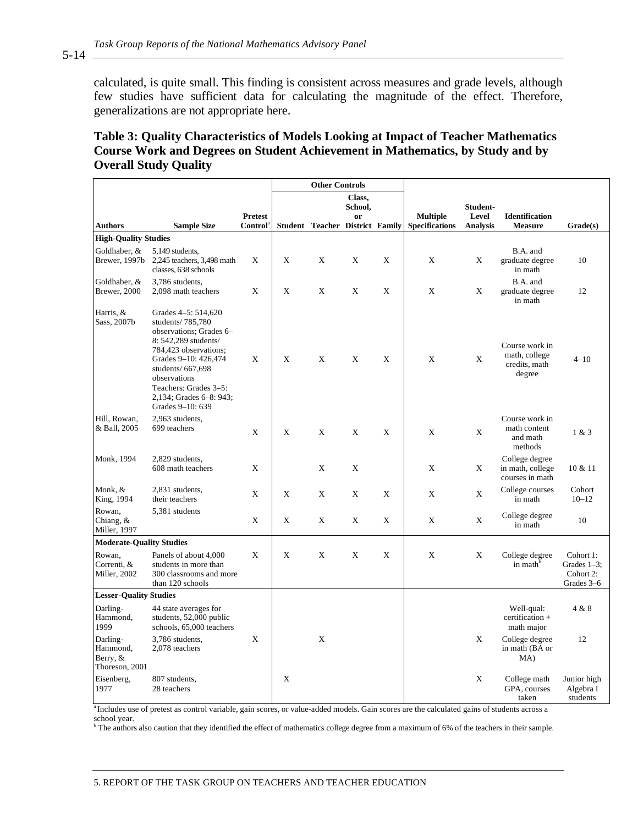calculated, is quite small. This finding is consistent across measures and grade levels, although few studies have sufficient data for calculating the magnitude of the effect. Therefore, generalizations are not appropriate here.

#### **Table 3: Quality Characteristics of Models Looking at Impact of Teacher Mathematics Course Work and Degrees on Student Achievement in Mathematics, by Study and by Overall Study Quality**

|                                                    |                                                                                                                                                                                                                                                          |                |   | <b>Other Controls</b>                  |               |   |                       |                   |                                                            |                                                        |
|----------------------------------------------------|----------------------------------------------------------------------------------------------------------------------------------------------------------------------------------------------------------------------------------------------------------|----------------|---|----------------------------------------|---------------|---|-----------------------|-------------------|------------------------------------------------------------|--------------------------------------------------------|
|                                                    |                                                                                                                                                                                                                                                          |                |   |                                        | Class,        |   |                       |                   |                                                            |                                                        |
|                                                    |                                                                                                                                                                                                                                                          | <b>Pretest</b> |   |                                        | School,<br>or |   | <b>Multiple</b>       | Student-<br>Level | <b>Identification</b>                                      |                                                        |
| <b>Authors</b>                                     | <b>Sample Size</b>                                                                                                                                                                                                                                       | Control        |   | <b>Student Teacher District Family</b> |               |   | <b>Specifications</b> | <b>Analysis</b>   | <b>Measure</b>                                             | Grade(s)                                               |
| <b>High-Quality Studies</b>                        |                                                                                                                                                                                                                                                          |                |   |                                        |               |   |                       |                   |                                                            |                                                        |
| Goldhaber, &<br>Brewer, 1997b                      | 5,149 students,<br>2,245 teachers, 3,498 math<br>classes, 638 schools                                                                                                                                                                                    | X              | X | X                                      | X             | X | X                     | X                 | B.A. and<br>graduate degree<br>in math                     | 10                                                     |
| Goldhaber, &<br>Brewer, 2000                       | 3,786 students,<br>2,098 math teachers                                                                                                                                                                                                                   | X              | X | X                                      | X             | X | X                     | X                 | B.A. and<br>graduate degree<br>in math                     | 12                                                     |
| Harris, &<br>Sass, 2007b                           | Grades 4-5: 514,620<br>students/ 785,780<br>observations; Grades 6-<br>8: 542.289 students/<br>784,423 observations;<br>Grades 9–10: 426,474<br>students/667,698<br>observations<br>Teachers: Grades 3–5:<br>2,134; Grades 6–8: 943;<br>Grades 9-10: 639 | X              | X | X                                      | X             | X | X                     | X                 | Course work in<br>math, college<br>credits, math<br>degree | $4 - 10$                                               |
| Hill, Rowan,<br>& Ball, 2005                       | 2,963 students,<br>699 teachers                                                                                                                                                                                                                          | X              | X | X                                      | X             | X | X                     | X                 | Course work in<br>math content<br>and math<br>methods      | 1 & 3                                                  |
| Monk, 1994                                         | 2,829 students,<br>608 math teachers                                                                                                                                                                                                                     | X              |   | X                                      | X             |   | X                     | X                 | College degree<br>in math, college<br>courses in math      | 10 & 11                                                |
| Monk, &<br>King, 1994                              | 2,831 students,<br>their teachers                                                                                                                                                                                                                        | X              | X | X                                      | X             | X | X                     | X                 | College courses<br>in math                                 | Cohort<br>$10 - 12$                                    |
| Rowan,<br>Chiang, &<br>Miller, 1997                | 5,381 students                                                                                                                                                                                                                                           | X              | X | X                                      | X             | X | X                     | X                 | College degree<br>in math                                  | 10                                                     |
| <b>Moderate-Quality Studies</b>                    |                                                                                                                                                                                                                                                          |                |   |                                        |               |   |                       |                   |                                                            |                                                        |
| Rowan,<br>Correnti, &<br>Miller, 2002              | Panels of about 4,000<br>students in more than<br>300 classrooms and more<br>than 120 schools                                                                                                                                                            | X              | X | X                                      | X             | X | X                     | X                 | College degree<br>in math <sup>b</sup>                     | Cohort 1:<br>Grades $1-3$ ;<br>Cohort 2:<br>Grades 3-6 |
| <b>Lesser-Quality Studies</b>                      |                                                                                                                                                                                                                                                          |                |   |                                        |               |   |                       |                   |                                                            |                                                        |
| Darling-<br>Hammond,<br>1999                       | 44 state averages for<br>students, 52,000 public<br>schools, 65,000 teachers                                                                                                                                                                             |                |   |                                        |               |   |                       |                   | Well-qual:<br>certification +<br>math major                | 4 & 8                                                  |
| Darling-<br>Hammond,<br>Berry, &<br>Thoreson, 2001 | 3,786 students,<br>2,078 teachers                                                                                                                                                                                                                        | X              |   | X                                      |               |   |                       | X                 | College degree<br>in math (BA or<br>MA)                    | 12                                                     |
| Eisenberg,<br>1977                                 | 807 students,<br>28 teachers                                                                                                                                                                                                                             |                | X |                                        |               |   |                       | X                 | College math<br>GPA, courses<br>taken                      | Junior high<br>Algebra I<br>students                   |

<sup>a</sup> Includes use of pretest as control variable, gain scores, or value-added models. Gain scores are the calculated gains of students across a school year.

<sup>b</sup> The authors also caution that they identified the effect of mathematics college degree from a maximum of 6% of the teachers in their sample.

5. REPORT OF THE TASK GROUP ON TEACHERS AND TEACHER EDUCATION

5-14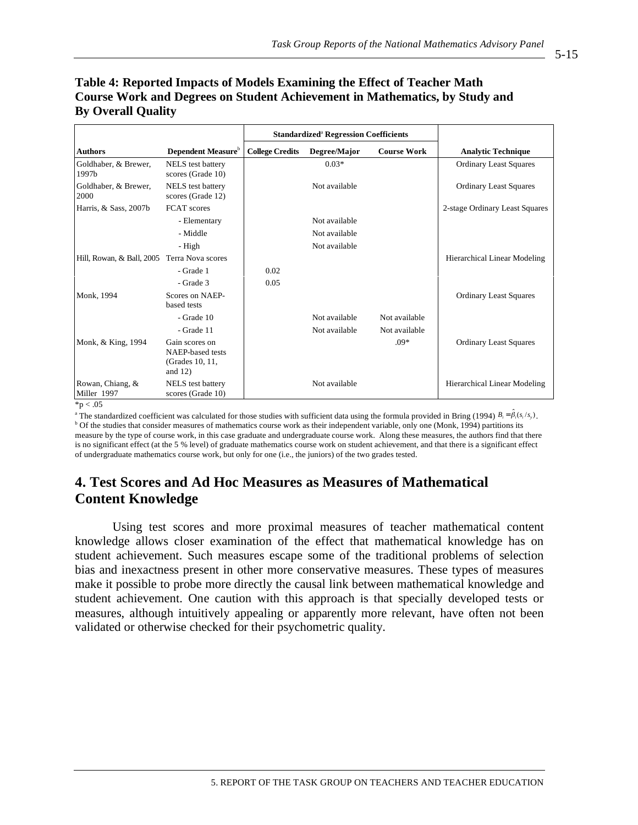#### **Table 4: Reported Impacts of Models Examining the Effect of Teacher Math Course Work and Degrees on Student Achievement in Mathematics, by Study and By Overall Quality**

|                                 |                                                                     |                        | <b>Standardized<sup>ª</sup> Regression Coefficients</b> |                    |                                     |
|---------------------------------|---------------------------------------------------------------------|------------------------|---------------------------------------------------------|--------------------|-------------------------------------|
| <b>Authors</b>                  | Dependent Measure <sup>b</sup>                                      | <b>College Credits</b> | Degree/Major                                            | <b>Course Work</b> | <b>Analytic Technique</b>           |
| Goldhaber, & Brewer,<br>1997b   | <b>NELS</b> test battery<br>scores (Grade 10)                       |                        | $0.03*$                                                 |                    | <b>Ordinary Least Squares</b>       |
| Goldhaber, & Brewer,<br>2000    | <b>NELS</b> test battery<br>scores (Grade 12)                       |                        | Not available                                           |                    | <b>Ordinary Least Squares</b>       |
| Harris, & Sass, 2007b           | <b>FCAT</b> scores                                                  |                        |                                                         |                    | 2-stage Ordinary Least Squares      |
|                                 | - Elementary                                                        |                        | Not available                                           |                    |                                     |
|                                 | - Middle                                                            |                        | Not available                                           |                    |                                     |
|                                 | - High                                                              |                        | Not available                                           |                    |                                     |
| Hill, Rowan, & Ball, 2005       | Terra Nova scores                                                   |                        |                                                         |                    | <b>Hierarchical Linear Modeling</b> |
|                                 | - Grade 1                                                           | 0.02                   |                                                         |                    |                                     |
|                                 | - Grade 3                                                           | 0.05                   |                                                         |                    |                                     |
| Monk, 1994                      | Scores on NAEP-<br>based tests                                      |                        |                                                         |                    | <b>Ordinary Least Squares</b>       |
|                                 | - Grade 10                                                          |                        | Not available                                           | Not available      |                                     |
|                                 | - Grade 11                                                          |                        | Not available                                           | Not available      |                                     |
| Monk, & King, 1994              | Gain scores on<br>NAEP-based tests<br>(Grades 10, 11,<br>and $12$ ) |                        |                                                         | $.09*$             | <b>Ordinary Least Squares</b>       |
| Rowan, Chiang, &<br>Miller 1997 | <b>NELS</b> test battery<br>scores (Grade 10)                       |                        | Not available                                           |                    | <b>Hierarchical Linear Modeling</b> |
| $*_{p}$ < .05                   |                                                                     |                        |                                                         |                    |                                     |

<sup>a</sup> The standardized coefficient was calculated for those studies with sufficient data using the formula provided in Bring (1994)  $B_i = \hat{\beta}_i(s_i/s_j)$ . <sup>b</sup> Of the studies that consider measures of mathematics course work as their independent variable, only one (Monk, 1994) partitions its measure by the type of course work, in this case graduate and undergraduate course work. Along these measures, the authors find that there is no significant effect (at the 5 % level) of graduate mathematics course work on student achievement, and that there is a significant effect of undergraduate mathematics course work, but only for one (i.e., the juniors) of the two grades tested.

### **4. Test Scores and Ad Hoc Measures as Measures of Mathematical Content Knowledge**

Using test scores and more proximal measures of teacher mathematical content knowledge allows closer examination of the effect that mathematical knowledge has on student achievement. Such measures escape some of the traditional problems of selection bias and inexactness present in other more conservative measures. These types of measures make it possible to probe more directly the causal link between mathematical knowledge and student achievement. One caution with this approach is that specially developed tests or measures, although intuitively appealing or apparently more relevant, have often not been validated or otherwise checked for their psychometric quality.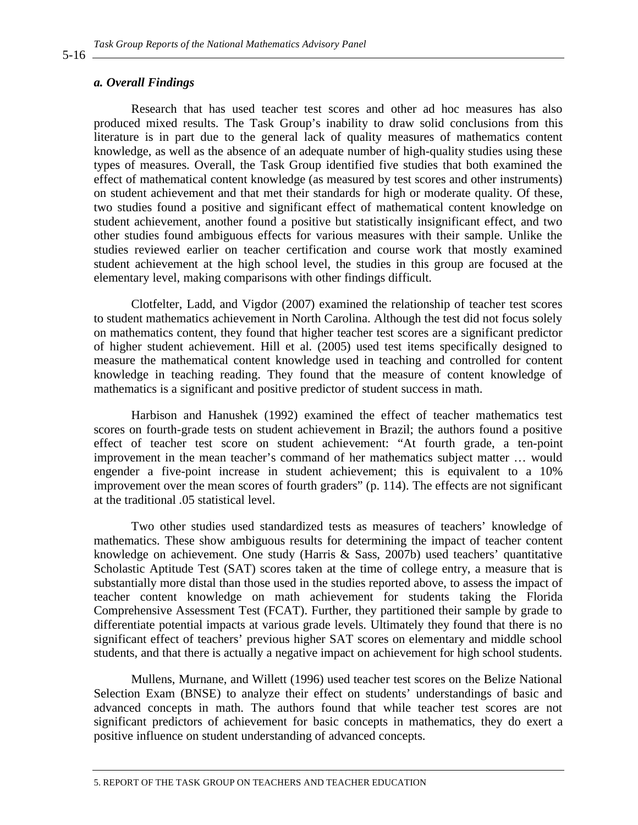#### *a. Overall Findings*

Research that has used teacher test scores and other ad hoc measures has also produced mixed results. The Task Group's inability to draw solid conclusions from this literature is in part due to the general lack of quality measures of mathematics content knowledge, as well as the absence of an adequate number of high-quality studies using these types of measures. Overall, the Task Group identified five studies that both examined the effect of mathematical content knowledge (as measured by test scores and other instruments) on student achievement and that met their standards for high or moderate quality. Of these, two studies found a positive and significant effect of mathematical content knowledge on student achievement, another found a positive but statistically insignificant effect, and two other studies found ambiguous effects for various measures with their sample. Unlike the studies reviewed earlier on teacher certification and course work that mostly examined student achievement at the high school level, the studies in this group are focused at the elementary level, making comparisons with other findings difficult.

Clotfelter, Ladd, and Vigdor (2007) examined the relationship of teacher test scores to student mathematics achievement in North Carolina. Although the test did not focus solely on mathematics content, they found that higher teacher test scores are a significant predictor of higher student achievement. Hill et al. (2005) used test items specifically designed to measure the mathematical content knowledge used in teaching and controlled for content knowledge in teaching reading. They found that the measure of content knowledge of mathematics is a significant and positive predictor of student success in math.

Harbison and Hanushek (1992) examined the effect of teacher mathematics test scores on fourth-grade tests on student achievement in Brazil; the authors found a positive effect of teacher test score on student achievement: "At fourth grade, a ten-point improvement in the mean teacher's command of her mathematics subject matter … would engender a five-point increase in student achievement; this is equivalent to a 10% improvement over the mean scores of fourth graders" (p. 114). The effects are not significant at the traditional .05 statistical level.

Two other studies used standardized tests as measures of teachers' knowledge of mathematics. These show ambiguous results for determining the impact of teacher content knowledge on achievement. One study (Harris & Sass, 2007b) used teachers' quantitative Scholastic Aptitude Test (SAT) scores taken at the time of college entry, a measure that is substantially more distal than those used in the studies reported above, to assess the impact of teacher content knowledge on math achievement for students taking the Florida Comprehensive Assessment Test (FCAT). Further, they partitioned their sample by grade to differentiate potential impacts at various grade levels. Ultimately they found that there is no significant effect of teachers' previous higher SAT scores on elementary and middle school students, and that there is actually a negative impact on achievement for high school students.

Mullens, Murnane, and Willett (1996) used teacher test scores on the Belize National Selection Exam (BNSE) to analyze their effect on students' understandings of basic and advanced concepts in math. The authors found that while teacher test scores are not significant predictors of achievement for basic concepts in mathematics, they do exert a positive influence on student understanding of advanced concepts.

5-16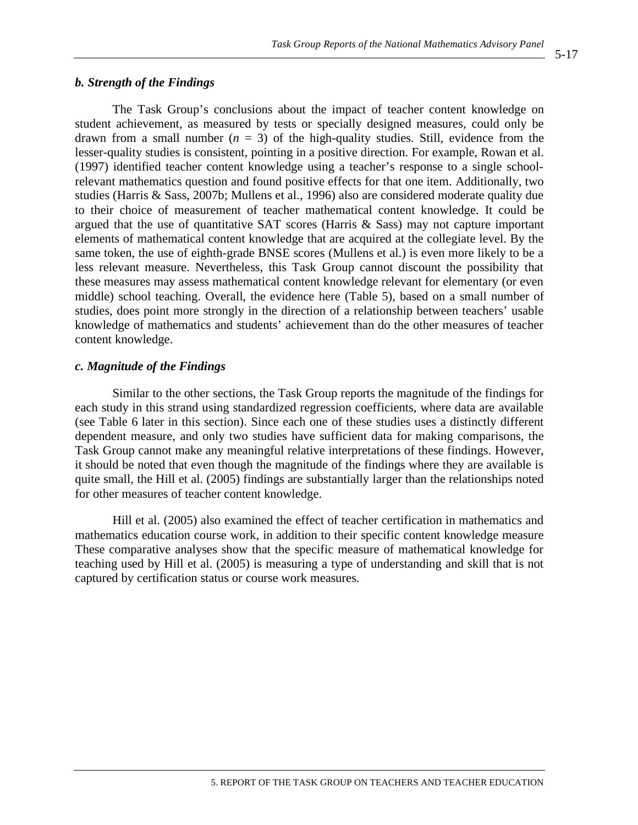#### *b. Strength of the Findings*

The Task Group's conclusions about the impact of teacher content knowledge on student achievement, as measured by tests or specially designed measures, could only be drawn from a small number  $(n = 3)$  of the high-quality studies. Still, evidence from the lesser-quality studies is consistent, pointing in a positive direction. For example, Rowan et al. (1997) identified teacher content knowledge using a teacher's response to a single schoolrelevant mathematics question and found positive effects for that one item. Additionally, two studies (Harris & Sass, 2007b; Mullens et al., 1996) also are considered moderate quality due to their choice of measurement of teacher mathematical content knowledge. It could be argued that the use of quantitative SAT scores (Harris & Sass) may not capture important elements of mathematical content knowledge that are acquired at the collegiate level. By the same token, the use of eighth-grade BNSE scores (Mullens et al.) is even more likely to be a less relevant measure. Nevertheless, this Task Group cannot discount the possibility that these measures may assess mathematical content knowledge relevant for elementary (or even middle) school teaching. Overall, the evidence here (Table 5), based on a small number of studies, does point more strongly in the direction of a relationship between teachers' usable knowledge of mathematics and students' achievement than do the other measures of teacher content knowledge.

#### *c. Magnitude of the Findings*

Similar to the other sections, the Task Group reports the magnitude of the findings for each study in this strand using standardized regression coefficients, where data are available (see Table 6 later in this section). Since each one of these studies uses a distinctly different dependent measure, and only two studies have sufficient data for making comparisons, the Task Group cannot make any meaningful relative interpretations of these findings. However, it should be noted that even though the magnitude of the findings where they are available is quite small, the Hill et al. (2005) findings are substantially larger than the relationships noted for other measures of teacher content knowledge.

Hill et al. (2005) also examined the effect of teacher certification in mathematics and mathematics education course work, in addition to their specific content knowledge measure These comparative analyses show that the specific measure of mathematical knowledge for teaching used by Hill et al. (2005) is measuring a type of understanding and skill that is not captured by certification status or course work measures.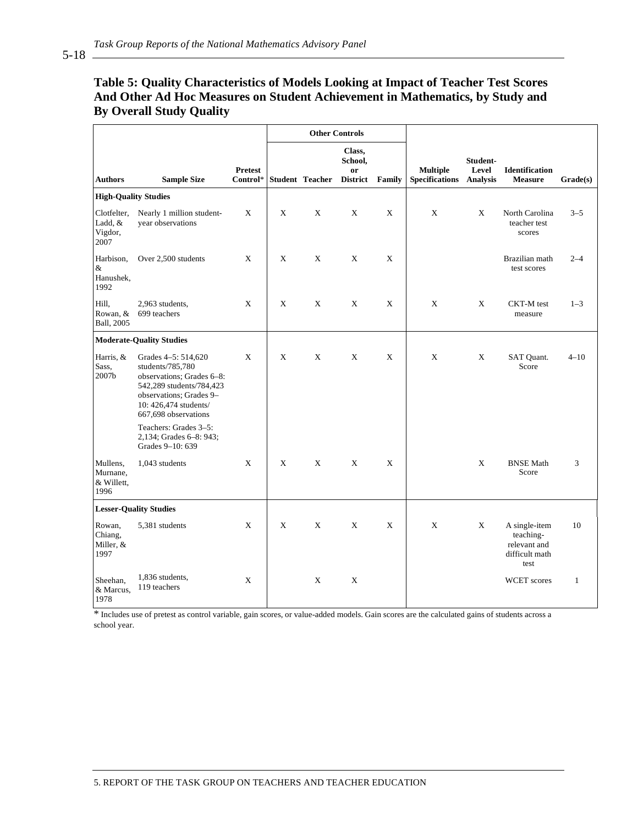#### **Table 5: Quality Characteristics of Models Looking at Impact of Teacher Test Scores And Other Ad Hoc Measures on Student Achievement in Mathematics, by Study and By Overall Study Quality**

|                                            |                                                                                                                                                                              |                            | <b>Other Controls</b> |                        |                                                       |        |                                          |                                      |                                                                      |              |
|--------------------------------------------|------------------------------------------------------------------------------------------------------------------------------------------------------------------------------|----------------------------|-----------------------|------------------------|-------------------------------------------------------|--------|------------------------------------------|--------------------------------------|----------------------------------------------------------------------|--------------|
| <b>Authors</b>                             | <b>Sample Size</b>                                                                                                                                                           | <b>Pretest</b><br>Control* |                       | <b>Student Teacher</b> | Class,<br>School,<br><sub>or</sub><br><b>District</b> | Family | <b>Multiple</b><br><b>Specifications</b> | Student-<br>Level<br><b>Analysis</b> | <b>Identification</b><br><b>Measure</b>                              | Grade(s)     |
| <b>High-Quality Studies</b>                |                                                                                                                                                                              |                            |                       |                        |                                                       |        |                                          |                                      |                                                                      |              |
| Clotfelter,<br>Ladd, &<br>Vigdor,<br>2007  | Nearly 1 million student-<br>vear observations                                                                                                                               | X                          | X                     | X                      | X                                                     | X      | X                                        | X                                    | North Carolina<br>teacher test<br>scores                             | $3 - 5$      |
| Harbison,<br>&<br>Hanushek,<br>1992        | Over 2,500 students                                                                                                                                                          | X                          | X                     | X                      | X                                                     | X      |                                          |                                      | Brazilian math<br>test scores                                        | $2 - 4$      |
| Hill,<br>Rowan, &<br>Ball, 2005            | 2,963 students,<br>699 teachers                                                                                                                                              | X                          | X                     | X                      | X                                                     | X      | X                                        | X                                    | CKT-M test<br>measure                                                | $1 - 3$      |
|                                            | <b>Moderate-Quality Studies</b>                                                                                                                                              |                            |                       |                        |                                                       |        |                                          |                                      |                                                                      |              |
| Harris, &<br>Sass.<br>2007b                | Grades 4-5: 514,620<br>students/785,780<br>observations; Grades 6-8:<br>542,289 students/784,423<br>observations; Grades 9-<br>10: 426,474 students/<br>667,698 observations | X                          | X                     | X                      | X                                                     | X      | X                                        | X                                    | SAT Quant.<br>Score                                                  | $4 - 10$     |
|                                            | Teachers: Grades 3-5:<br>2,134; Grades 6–8: 943;<br>Grades 9-10: 639                                                                                                         |                            |                       |                        |                                                       |        |                                          |                                      |                                                                      |              |
| Mullens,<br>Murnane,<br>& Willett,<br>1996 | 1,043 students                                                                                                                                                               | X                          | X                     | X                      | X                                                     | X      |                                          | X                                    | <b>BNSE Math</b><br>Score                                            | 3            |
|                                            | <b>Lesser-Quality Studies</b>                                                                                                                                                |                            |                       |                        |                                                       |        |                                          |                                      |                                                                      |              |
| Rowan,<br>Chiang,<br>Miller, &<br>1997     | 5,381 students                                                                                                                                                               | X                          | X                     | X                      | X                                                     | X      | X                                        | X                                    | A single-item<br>teaching-<br>relevant and<br>difficult math<br>test | 10           |
| Sheehan.<br>& Marcus,<br>1978              | 1,836 students,<br>119 teachers                                                                                                                                              | X                          |                       | X                      | X                                                     |        |                                          |                                      | WCET scores                                                          | $\mathbf{1}$ |

\* Includes use of pretest as control variable, gain scores, or value-added models. Gain scores are the calculated gains of students across a school year.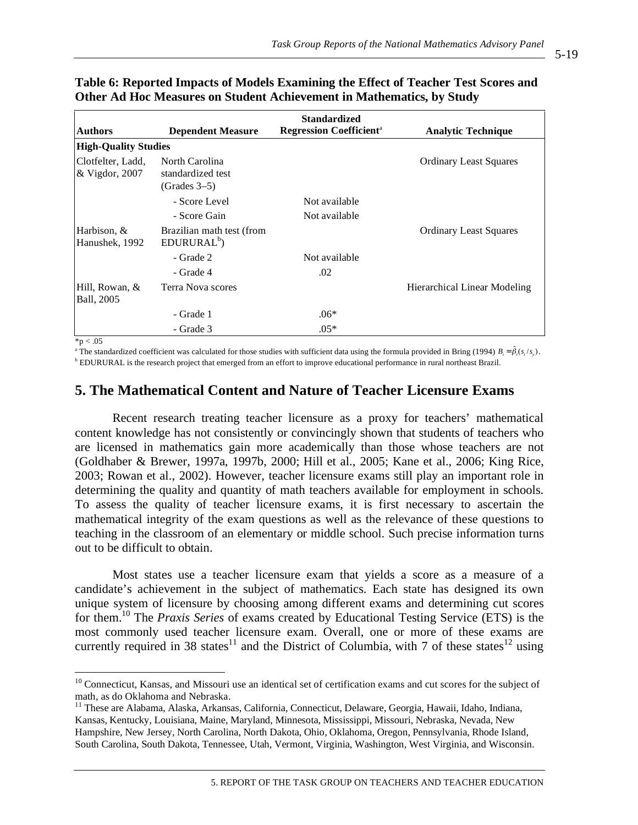|                                      | <b>Standardized</b>                                   |                                            |                               |  |  |  |  |  |  |  |  |
|--------------------------------------|-------------------------------------------------------|--------------------------------------------|-------------------------------|--|--|--|--|--|--|--|--|
| <b>Authors</b>                       | <b>Dependent Measure</b>                              | <b>Regression Coefficient</b> <sup>a</sup> | <b>Analytic Technique</b>     |  |  |  |  |  |  |  |  |
| <b>High-Quality Studies</b>          |                                                       |                                            |                               |  |  |  |  |  |  |  |  |
| Clotfelter, Ladd,<br>& Vigdor, 2007  | North Carolina<br>standardized test<br>$(Grades 3-5)$ |                                            | <b>Ordinary Least Squares</b> |  |  |  |  |  |  |  |  |
|                                      | - Score Level                                         | Not available                              |                               |  |  |  |  |  |  |  |  |
|                                      | - Score Gain                                          | Not available                              |                               |  |  |  |  |  |  |  |  |
| Harbison, &<br>Hanushek, 1992        | Brazilian math test (from<br>EDURURAL <sup>b</sup>    |                                            | <b>Ordinary Least Squares</b> |  |  |  |  |  |  |  |  |
|                                      | - Grade 2                                             | Not available                              |                               |  |  |  |  |  |  |  |  |
|                                      | - Grade 4                                             | .02                                        |                               |  |  |  |  |  |  |  |  |
| Hill, Rowan, &<br><b>Ball</b> , 2005 | Terra Nova scores                                     |                                            | Hierarchical Linear Modeling  |  |  |  |  |  |  |  |  |
|                                      | - Grade 1                                             | $.06*$                                     |                               |  |  |  |  |  |  |  |  |
|                                      | - Grade 3                                             | $.05*$                                     |                               |  |  |  |  |  |  |  |  |

| Table 6: Reported Impacts of Models Examining the Effect of Teacher Test Scores and |
|-------------------------------------------------------------------------------------|
| Other Ad Hoc Measures on Student Achievement in Mathematics, by Study               |

 $*p < .05$ 

 $\overline{a}$ 

<sup>a</sup> The standardized coefficient was calculated for those studies with sufficient data using the formula provided in Bring (1994)  $B_i = \hat{\beta}_i(s_i/s_y)$ . **b** EDURURAL is the research project that emerged from an effort to improve educational performance in rural northeast Brazil.

## **5. The Mathematical Content and Nature of Teacher Licensure Exams**

Recent research treating teacher licensure as a proxy for teachers' mathematical content knowledge has not consistently or convincingly shown that students of teachers who are licensed in mathematics gain more academically than those whose teachers are not (Goldhaber & Brewer, 1997a, 1997b, 2000; Hill et al., 2005; Kane et al., 2006; King Rice, 2003; Rowan et al., 2002). However, teacher licensure exams still play an important role in determining the quality and quantity of math teachers available for employment in schools. To assess the quality of teacher licensure exams, it is first necessary to ascertain the mathematical integrity of the exam questions as well as the relevance of these questions to teaching in the classroom of an elementary or middle school. Such precise information turns out to be difficult to obtain.

Most states use a teacher licensure exam that yields a score as a measure of a candidate's achievement in the subject of mathematics. Each state has designed its own unique system of licensure by choosing among different exams and determining cut scores for them.10 The *Praxis Series* of exams created by Educational Testing Service (ETS) is the most commonly used teacher licensure exam. Overall, one or more of these exams are currently required in 38 states<sup>11</sup> and the District of Columbia, with 7 of these states<sup>12</sup> using

 $10$  Connecticut, Kansas, and Missouri use an identical set of certification exams and cut scores for the subject of math, as do Oklahoma and Nebraska.

<sup>11</sup> These are Alabama, Alaska, Arkansas, California, Connecticut, Delaware, Georgia, Hawaii, Idaho, Indiana, Kansas, Kentucky, Louisiana, Maine, Maryland, Minnesota, Mississippi, Missouri, Nebraska, Nevada, New Hampshire, New Jersey, North Carolina, North Dakota, Ohio, Oklahoma, Oregon, Pennsylvania, Rhode Island, South Carolina, South Dakota, Tennessee, Utah, Vermont, Virginia, Washington, West Virginia, and Wisconsin.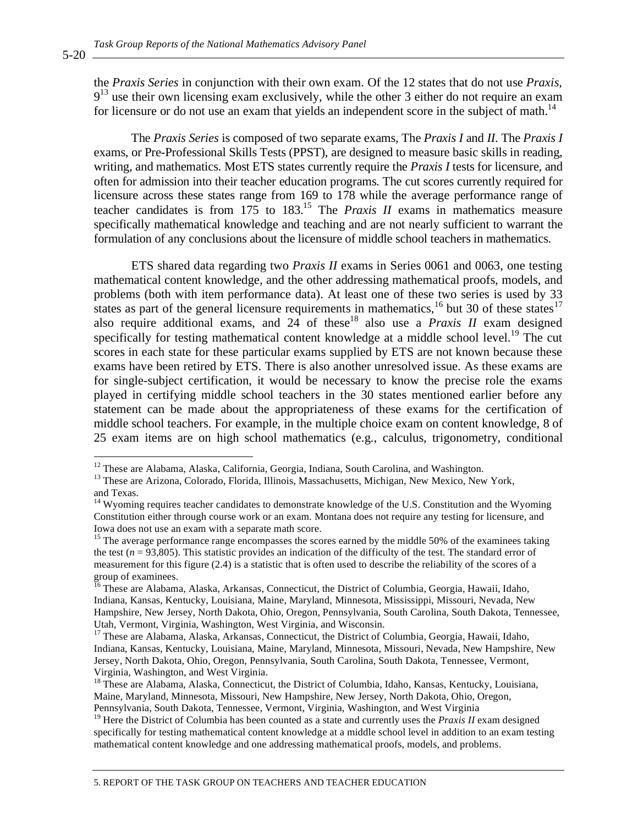the *Praxis Series* in conjunction with their own exam. Of the 12 states that do not use *Praxis*,  $9<sup>13</sup>$  use their own licensing exam exclusively, while the other 3 either do not require an exam for licensure or do not use an exam that yields an independent score in the subject of math.<sup>14</sup>

The *Praxis Series* is composed of two separate exams, The *Praxis I* and *II*. The *Praxis I* exams, or Pre-Professional Skills Tests (PPST), are designed to measure basic skills in reading, writing, and mathematics. Most ETS states currently require the *Praxis I* tests for licensure, and often for admission into their teacher education programs. The cut scores currently required for licensure across these states range from 169 to 178 while the average performance range of teacher candidates is from  $175$  to  $183$ <sup>15</sup>. The *Praxis II* exams in mathematics measure specifically mathematical knowledge and teaching and are not nearly sufficient to warrant the formulation of any conclusions about the licensure of middle school teachers in mathematics.

ETS shared data regarding two *Praxis II* exams in Series 0061 and 0063, one testing mathematical content knowledge, and the other addressing mathematical proofs, models, and problems (both with item performance data). At least one of these two series is used by 33 states as part of the general licensure requirements in mathematics,<sup>16</sup> but 30 of these states<sup>17</sup> also require additional exams, and  $24$  of these<sup>18</sup> also use a *Praxis II* exam designed specifically for testing mathematical content knowledge at a middle school level.<sup>19</sup> The cut scores in each state for these particular exams supplied by ETS are not known because these exams have been retired by ETS. There is also another unresolved issue. As these exams are for single-subject certification, it would be necessary to know the precise role the exams played in certifying middle school teachers in the 30 states mentioned earlier before any statement can be made about the appropriateness of these exams for the certification of middle school teachers. For example, in the multiple choice exam on content knowledge, 8 of 25 exam items are on high school mathematics (e.g., calculus, trigonometry, conditional

5-20

 $12$  These are Alabama, Alaska, California, Georgia, Indiana, South Carolina, and Washington.

<sup>&</sup>lt;sup>13</sup> These are Arizona, Colorado, Florida, Illinois, Massachusetts, Michigan, New Mexico, New York, and Texas.

 $14$  Wyoming requires teacher candidates to demonstrate knowledge of the U.S. Constitution and the Wyoming Constitution either through course work or an exam. Montana does not require any testing for licensure, and Iowa does not use an exam with a separate math score.

<sup>&</sup>lt;sup>15</sup> The average performance range encompasses the scores earned by the middle 50% of the examinees taking the test ( $n = 93,805$ ). This statistic provides an indication of the difficulty of the test. The standard error of measurement for this figure (2.4) is a statistic that is often used to describe the reliability of the scores of a group of examinees.

<sup>&</sup>lt;sup>16</sup> These are Alabama, Alaska, Arkansas, Connecticut, the District of Columbia, Georgia, Hawaii, Idaho, Indiana, Kansas, Kentucky, Louisiana, Maine, Maryland, Minnesota, Mississippi, Missouri, Nevada, New Hampshire, New Jersey, North Dakota, Ohio, Oregon, Pennsylvania, South Carolina, South Dakota, Tennessee, Utah, Vermont, Virginia, Washington, West Virginia, and Wisconsin.

<sup>&</sup>lt;sup>17</sup> These are Alabama, Alaska, Arkansas, Connecticut, the District of Columbia, Georgia, Hawaii, Idaho, Indiana, Kansas, Kentucky, Louisiana, Maine, Maryland, Minnesota, Missouri, Nevada, New Hampshire, New Jersey, North Dakota, Ohio, Oregon, Pennsylvania, South Carolina, South Dakota, Tennessee, Vermont, Virginia, Washington, and West Virginia.

<sup>&</sup>lt;sup>18</sup> These are Alabama, Alaska, Connecticut, the District of Columbia, Idaho, Kansas, Kentucky, Louisiana, Maine, Maryland, Minnesota, Missouri, New Hampshire, New Jersey, North Dakota, Ohio, Oregon, Pennsylvania, South Dakota, Tennessee, Vermont, Virginia, Washington, and West Virginia

<sup>&</sup>lt;sup>19</sup> Here the District of Columbia has been counted as a state and currently uses the *Praxis II* exam designed specifically for testing mathematical content knowledge at a middle school level in addition to an exam testing mathematical content knowledge and one addressing mathematical proofs, models, and problems.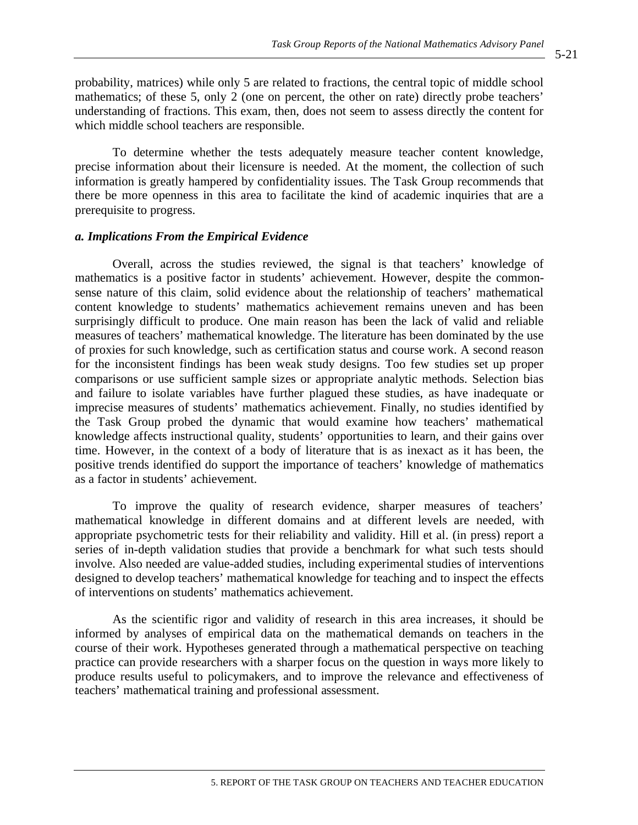probability, matrices) while only 5 are related to fractions, the central topic of middle school mathematics; of these 5, only 2 (one on percent, the other on rate) directly probe teachers' understanding of fractions. This exam, then, does not seem to assess directly the content for which middle school teachers are responsible.

To determine whether the tests adequately measure teacher content knowledge, precise information about their licensure is needed. At the moment, the collection of such information is greatly hampered by confidentiality issues. The Task Group recommends that there be more openness in this area to facilitate the kind of academic inquiries that are a prerequisite to progress.

#### *a. Implications From the Empirical Evidence*

Overall, across the studies reviewed, the signal is that teachers' knowledge of mathematics is a positive factor in students' achievement. However, despite the commonsense nature of this claim, solid evidence about the relationship of teachers' mathematical content knowledge to students' mathematics achievement remains uneven and has been surprisingly difficult to produce. One main reason has been the lack of valid and reliable measures of teachers' mathematical knowledge. The literature has been dominated by the use of proxies for such knowledge, such as certification status and course work. A second reason for the inconsistent findings has been weak study designs. Too few studies set up proper comparisons or use sufficient sample sizes or appropriate analytic methods. Selection bias and failure to isolate variables have further plagued these studies, as have inadequate or imprecise measures of students' mathematics achievement. Finally, no studies identified by the Task Group probed the dynamic that would examine how teachers' mathematical knowledge affects instructional quality, students' opportunities to learn, and their gains over time. However, in the context of a body of literature that is as inexact as it has been, the positive trends identified do support the importance of teachers' knowledge of mathematics as a factor in students' achievement.

To improve the quality of research evidence, sharper measures of teachers' mathematical knowledge in different domains and at different levels are needed, with appropriate psychometric tests for their reliability and validity. Hill et al. (in press) report a series of in-depth validation studies that provide a benchmark for what such tests should involve. Also needed are value-added studies, including experimental studies of interventions designed to develop teachers' mathematical knowledge for teaching and to inspect the effects of interventions on students' mathematics achievement.

As the scientific rigor and validity of research in this area increases, it should be informed by analyses of empirical data on the mathematical demands on teachers in the course of their work. Hypotheses generated through a mathematical perspective on teaching practice can provide researchers with a sharper focus on the question in ways more likely to produce results useful to policymakers, and to improve the relevance and effectiveness of teachers' mathematical training and professional assessment.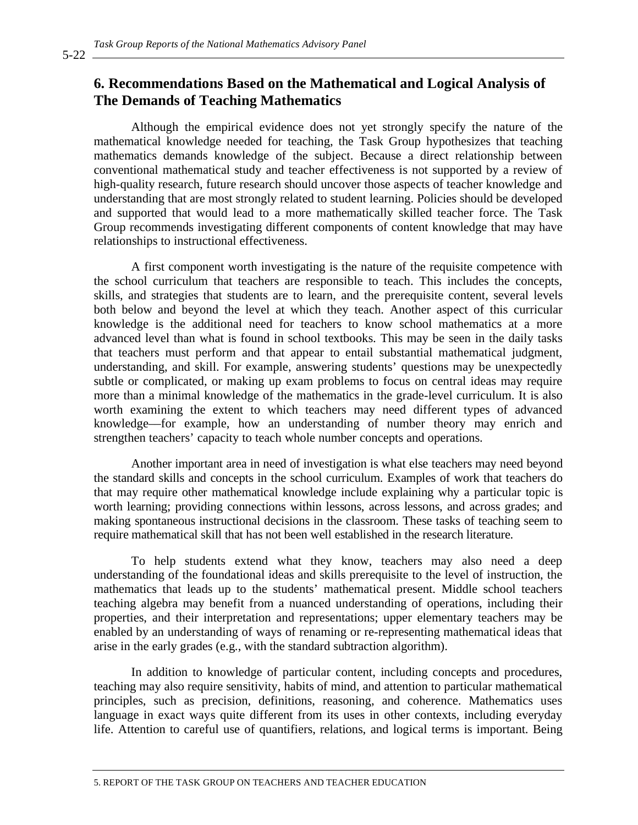# **6. Recommendations Based on the Mathematical and Logical Analysis of The Demands of Teaching Mathematics**

Although the empirical evidence does not yet strongly specify the nature of the mathematical knowledge needed for teaching, the Task Group hypothesizes that teaching mathematics demands knowledge of the subject. Because a direct relationship between conventional mathematical study and teacher effectiveness is not supported by a review of high-quality research, future research should uncover those aspects of teacher knowledge and understanding that are most strongly related to student learning. Policies should be developed and supported that would lead to a more mathematically skilled teacher force. The Task Group recommends investigating different components of content knowledge that may have relationships to instructional effectiveness.

A first component worth investigating is the nature of the requisite competence with the school curriculum that teachers are responsible to teach. This includes the concepts, skills, and strategies that students are to learn, and the prerequisite content, several levels both below and beyond the level at which they teach. Another aspect of this curricular knowledge is the additional need for teachers to know school mathematics at a more advanced level than what is found in school textbooks. This may be seen in the daily tasks that teachers must perform and that appear to entail substantial mathematical judgment, understanding, and skill. For example, answering students' questions may be unexpectedly subtle or complicated, or making up exam problems to focus on central ideas may require more than a minimal knowledge of the mathematics in the grade-level curriculum. It is also worth examining the extent to which teachers may need different types of advanced knowledge––for example, how an understanding of number theory may enrich and strengthen teachers' capacity to teach whole number concepts and operations.

Another important area in need of investigation is what else teachers may need beyond the standard skills and concepts in the school curriculum. Examples of work that teachers do that may require other mathematical knowledge include explaining why a particular topic is worth learning; providing connections within lessons, across lessons, and across grades; and making spontaneous instructional decisions in the classroom. These tasks of teaching seem to require mathematical skill that has not been well established in the research literature.

To help students extend what they know, teachers may also need a deep understanding of the foundational ideas and skills prerequisite to the level of instruction, the mathematics that leads up to the students' mathematical present. Middle school teachers teaching algebra may benefit from a nuanced understanding of operations, including their properties, and their interpretation and representations; upper elementary teachers may be enabled by an understanding of ways of renaming or re-representing mathematical ideas that arise in the early grades (e.g., with the standard subtraction algorithm).

In addition to knowledge of particular content, including concepts and procedures, teaching may also require sensitivity, habits of mind, and attention to particular mathematical principles, such as precision, definitions, reasoning, and coherence. Mathematics uses language in exact ways quite different from its uses in other contexts, including everyday life. Attention to careful use of quantifiers, relations, and logical terms is important. Being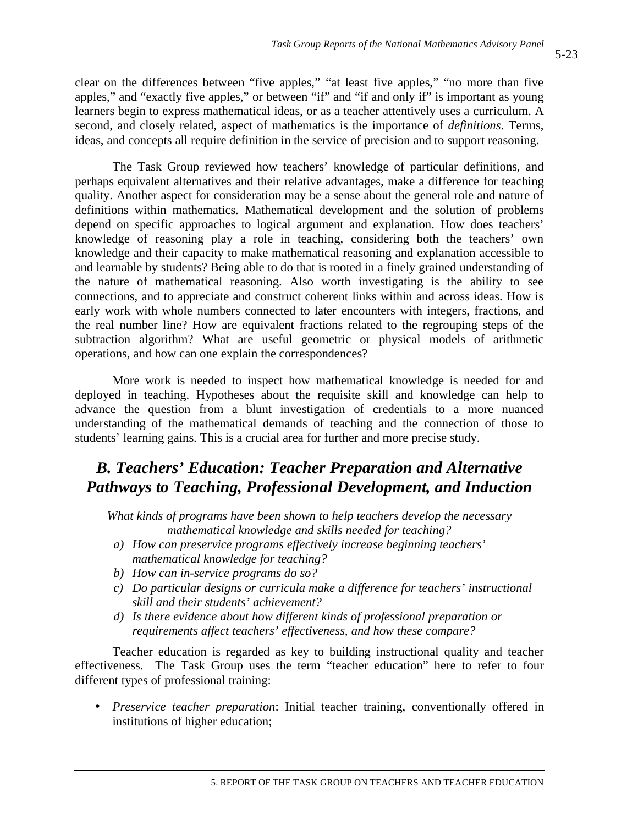clear on the differences between "five apples," "at least five apples," "no more than five apples," and "exactly five apples," or between "if" and "if and only if" is important as young learners begin to express mathematical ideas, or as a teacher attentively uses a curriculum. A second, and closely related, aspect of mathematics is the importance of *definitions*. Terms, ideas, and concepts all require definition in the service of precision and to support reasoning.

The Task Group reviewed how teachers' knowledge of particular definitions, and perhaps equivalent alternatives and their relative advantages, make a difference for teaching quality. Another aspect for consideration may be a sense about the general role and nature of definitions within mathematics. Mathematical development and the solution of problems depend on specific approaches to logical argument and explanation. How does teachers' knowledge of reasoning play a role in teaching, considering both the teachers' own knowledge and their capacity to make mathematical reasoning and explanation accessible to and learnable by students? Being able to do that is rooted in a finely grained understanding of the nature of mathematical reasoning. Also worth investigating is the ability to see connections, and to appreciate and construct coherent links within and across ideas. How is early work with whole numbers connected to later encounters with integers, fractions, and the real number line? How are equivalent fractions related to the regrouping steps of the subtraction algorithm? What are useful geometric or physical models of arithmetic operations, and how can one explain the correspondences?

More work is needed to inspect how mathematical knowledge is needed for and deployed in teaching. Hypotheses about the requisite skill and knowledge can help to advance the question from a blunt investigation of credentials to a more nuanced understanding of the mathematical demands of teaching and the connection of those to students' learning gains. This is a crucial area for further and more precise study.

# *B. Teachers' Education: Teacher Preparation and Alternative Pathways to Teaching, Professional Development, and Induction*

*What kinds of programs have been shown to help teachers develop the necessary mathematical knowledge and skills needed for teaching?* 

- *a) How can preservice programs effectively increase beginning teachers' mathematical knowledge for teaching?*
- *b) How can in-service programs do so?*
- *c) Do particular designs or curricula make a difference for teachers' instructional skill and their students' achievement?*
- *d) Is there evidence about how different kinds of professional preparation or requirements affect teachers' effectiveness, and how these compare?*

Teacher education is regarded as key to building instructional quality and teacher effectiveness. The Task Group uses the term "teacher education" here to refer to four different types of professional training:

• *Preservice teacher preparation*: Initial teacher training, conventionally offered in institutions of higher education;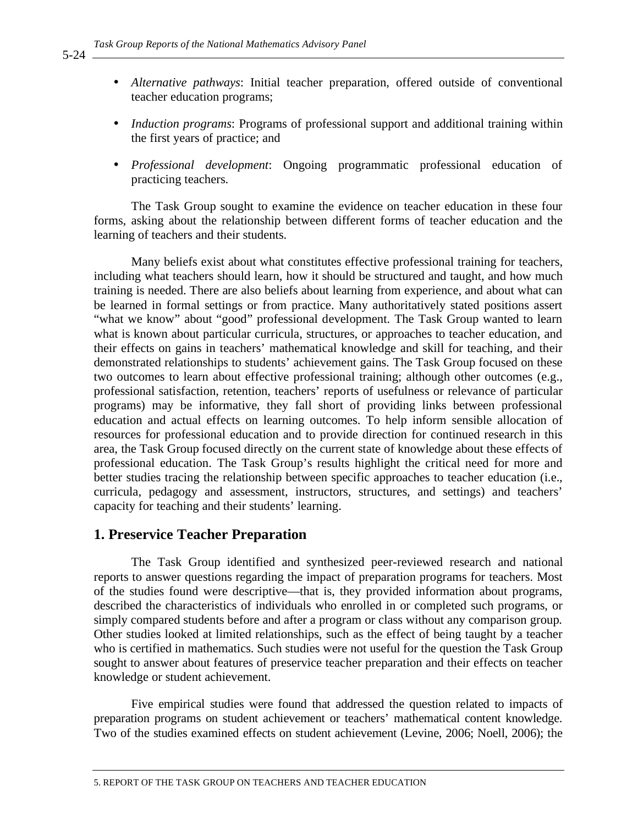- *Alternative pathways*: Initial teacher preparation, offered outside of conventional teacher education programs;
- *Induction programs*: Programs of professional support and additional training within the first years of practice; and
- *Professional development*: Ongoing programmatic professional education of practicing teachers.

The Task Group sought to examine the evidence on teacher education in these four forms, asking about the relationship between different forms of teacher education and the learning of teachers and their students.

Many beliefs exist about what constitutes effective professional training for teachers, including what teachers should learn, how it should be structured and taught, and how much training is needed. There are also beliefs about learning from experience, and about what can be learned in formal settings or from practice. Many authoritatively stated positions assert "what we know" about "good" professional development. The Task Group wanted to learn what is known about particular curricula, structures, or approaches to teacher education, and their effects on gains in teachers' mathematical knowledge and skill for teaching, and their demonstrated relationships to students' achievement gains. The Task Group focused on these two outcomes to learn about effective professional training; although other outcomes (e.g., professional satisfaction, retention, teachers' reports of usefulness or relevance of particular programs) may be informative, they fall short of providing links between professional education and actual effects on learning outcomes. To help inform sensible allocation of resources for professional education and to provide direction for continued research in this area, the Task Group focused directly on the current state of knowledge about these effects of professional education. The Task Group's results highlight the critical need for more and better studies tracing the relationship between specific approaches to teacher education (i.e., curricula, pedagogy and assessment, instructors, structures, and settings) and teachers' capacity for teaching and their students' learning.

## **1. Preservice Teacher Preparation**

The Task Group identified and synthesized peer-reviewed research and national reports to answer questions regarding the impact of preparation programs for teachers. Most of the studies found were descriptive—that is, they provided information about programs, described the characteristics of individuals who enrolled in or completed such programs, or simply compared students before and after a program or class without any comparison group*.* Other studies looked at limited relationships, such as the effect of being taught by a teacher who is certified in mathematics. Such studies were not useful for the question the Task Group sought to answer about features of preservice teacher preparation and their effects on teacher knowledge or student achievement.

Five empirical studies were found that addressed the question related to impacts of preparation programs on student achievement or teachers' mathematical content knowledge. Two of the studies examined effects on student achievement (Levine, 2006; Noell, 2006); the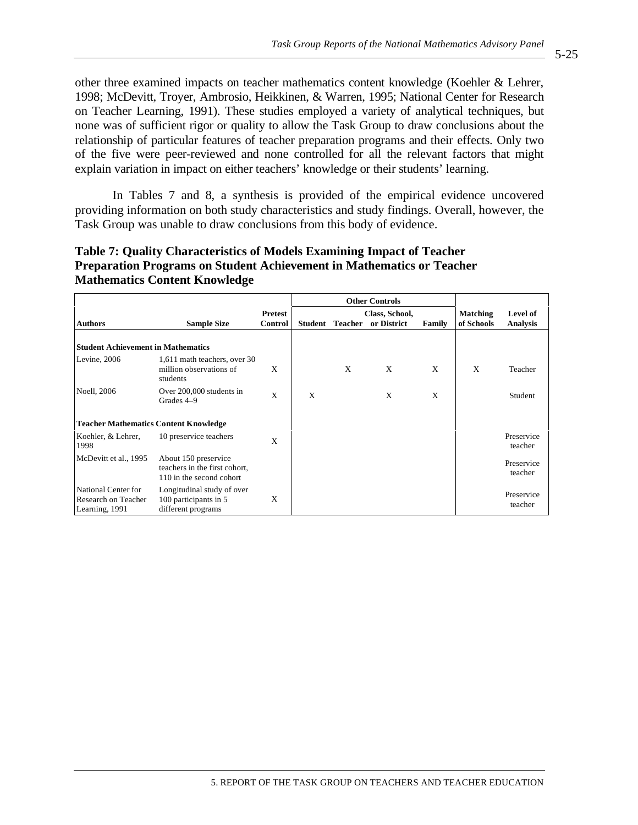other three examined impacts on teacher mathematics content knowledge (Koehler & Lehrer, 1998; McDevitt, Troyer, Ambrosio, Heikkinen, & Warren, 1995; National Center for Research on Teacher Learning, 1991). These studies employed a variety of analytical techniques, but none was of sufficient rigor or quality to allow the Task Group to draw conclusions about the relationship of particular features of teacher preparation programs and their effects. Only two of the five were peer-reviewed and none controlled for all the relevant factors that might explain variation in impact on either teachers' knowledge or their students' learning.

In Tables 7 and 8, a synthesis is provided of the empirical evidence uncovered providing information on both study characteristics and study findings. Overall, however, the Task Group was unable to draw conclusions from this body of evidence.

## **Table 7: Quality Characteristics of Models Examining Impact of Teacher Preparation Programs on Student Achievement in Mathematics or Teacher Mathematics Content Knowledge**

|                                                              |                                                                                   |                |         |                | <b>Other Controls</b> |        |                 |                       |
|--------------------------------------------------------------|-----------------------------------------------------------------------------------|----------------|---------|----------------|-----------------------|--------|-----------------|-----------------------|
|                                                              |                                                                                   | <b>Pretest</b> |         |                | Class, School,        |        | <b>Matching</b> | Level of              |
| <b>Authors</b>                                               | <b>Sample Size</b>                                                                | Control        | Student | <b>Teacher</b> | or District           | Family | of Schools      | <b>Analysis</b>       |
|                                                              |                                                                                   |                |         |                |                       |        |                 |                       |
| <b>Student Achievement in Mathematics</b>                    |                                                                                   |                |         |                |                       |        |                 |                       |
| Levine, 2006                                                 | 1,611 math teachers, over 30<br>million observations of<br>students               | X              |         | X              | X                     | X      | X               | Teacher               |
| <b>Noell</b> , 2006                                          | Over 200,000 students in<br>Grades 4–9                                            | X              | X       |                | X                     | X      |                 | Student               |
| <b>Teacher Mathematics Content Knowledge</b>                 |                                                                                   |                |         |                |                       |        |                 |                       |
| Koehler, & Lehrer,<br>1998                                   | 10 preservice teachers                                                            | X              |         |                |                       |        |                 | Preservice<br>teacher |
| McDevitt et al., 1995                                        | About 150 preservice<br>teachers in the first cohort,<br>110 in the second cohort |                |         |                |                       |        |                 | Preservice<br>teacher |
| National Center for<br>Research on Teacher<br>Learning, 1991 | Longitudinal study of over<br>100 participants in 5<br>different programs         | X              |         |                |                       |        |                 | Preservice<br>teacher |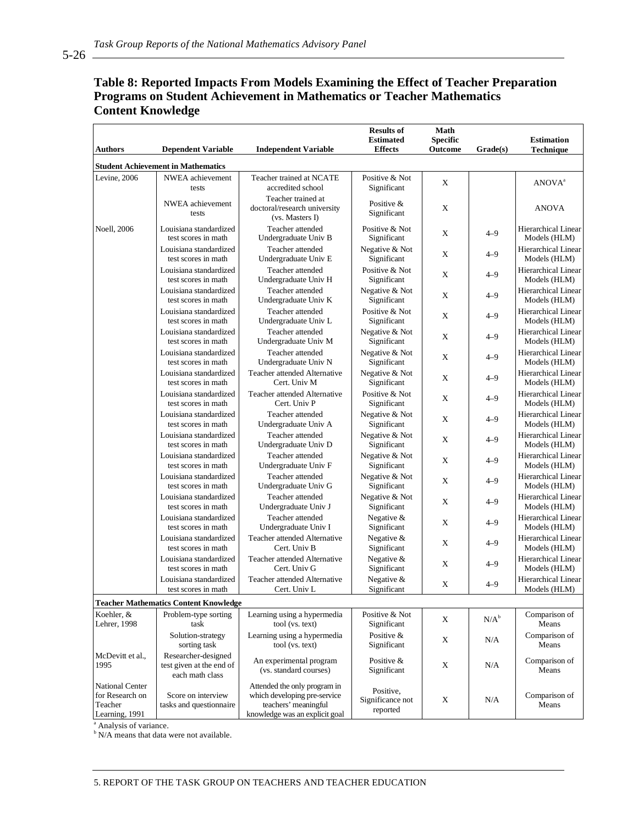| <b>Authors</b>                                                         | <b>Dependent Variable</b>                                          | <b>Independent Variable</b>                                                                                            | <b>Results of</b><br><b>Estimated</b><br><b>Effects</b> | Math<br><b>Specific</b><br>Outcome | Grade(s) | <b>Estimation</b><br>Technique             |
|------------------------------------------------------------------------|--------------------------------------------------------------------|------------------------------------------------------------------------------------------------------------------------|---------------------------------------------------------|------------------------------------|----------|--------------------------------------------|
|                                                                        | <b>Student Achievement in Mathematics</b>                          |                                                                                                                        |                                                         |                                    |          |                                            |
| Levine, 2006                                                           | NWEA achievement<br>tests                                          | Teacher trained at NCATE<br>accredited school                                                                          | Positive & Not<br>Significant                           | X                                  |          | ANOVA <sup>a</sup>                         |
|                                                                        | NWEA achievement<br>tests                                          | Teacher trained at<br>doctoral/research university<br>(vs. Masters I)                                                  | Positive &<br>Significant                               | X                                  |          | <b>ANOVA</b>                               |
| <b>Noell</b> , 2006                                                    | Louisiana standardized<br>test scores in math                      | Teacher attended<br>Undergraduate Univ B                                                                               | Positive & Not<br>Significant                           | X                                  | $4 - 9$  | <b>Hierarchical Linear</b><br>Models (HLM) |
|                                                                        | Louisiana standardized<br>test scores in math                      | Teacher attended<br>Undergraduate Univ E                                                                               | Negative & Not<br>Significant                           | X                                  | $4 - 9$  | <b>Hierarchical Linear</b><br>Models (HLM) |
|                                                                        | Louisiana standardized<br>test scores in math                      | Teacher attended<br>Undergraduate Univ H                                                                               | Positive & Not<br>Significant                           | Χ                                  | $4 - 9$  | Hierarchical Linear<br>Models (HLM)        |
|                                                                        | Louisiana standardized<br>test scores in math                      | Teacher attended<br>Undergraduate Univ K                                                                               | Negative & Not<br>Significant                           | X                                  | $4 - 9$  | Hierarchical Linear<br>Models (HLM)        |
|                                                                        | Louisiana standardized<br>test scores in math                      | Teacher attended<br>Undergraduate Univ L                                                                               | Positive & Not<br>Significant                           | X                                  | $4 - 9$  | Hierarchical Linear<br>Models (HLM)        |
|                                                                        | Louisiana standardized<br>test scores in math                      | Teacher attended<br>Undergraduate Univ M                                                                               | Negative & Not<br>Significant                           | X                                  | $4 - 9$  | Hierarchical Linear<br>Models (HLM)        |
|                                                                        | Louisiana standardized<br>test scores in math                      | Teacher attended<br>Undergraduate Univ N                                                                               | Negative & Not<br>Significant                           | X                                  | $4 - 9$  | Hierarchical Linear<br>Models (HLM)        |
|                                                                        | Louisiana standardized<br>test scores in math                      | Teacher attended Alternative<br>Cert. Univ M                                                                           | Negative & Not<br>Significant                           | Χ                                  | $4 - 9$  | Hierarchical Linear<br>Models (HLM)        |
|                                                                        | Louisiana standardized<br>test scores in math                      | Teacher attended Alternative<br>Cert. Univ P                                                                           | Positive & Not<br>Significant                           | X                                  | $4 - 9$  | Hierarchical Linear<br>Models (HLM)        |
|                                                                        | Louisiana standardized<br>test scores in math                      | Teacher attended<br>Undergraduate Univ A                                                                               | Negative & Not<br>Significant                           | X                                  | $4 - 9$  | <b>Hierarchical Linear</b><br>Models (HLM) |
|                                                                        | Louisiana standardized<br>test scores in math                      | Teacher attended<br>Undergraduate Univ D                                                                               | Negative & Not<br>Significant                           | X                                  | $4 - 9$  | <b>Hierarchical Linear</b><br>Models (HLM) |
|                                                                        | Louisiana standardized<br>test scores in math                      | Teacher attended<br>Undergraduate Univ F                                                                               | Negative & Not<br>Significant                           | X                                  | $4 - 9$  | Hierarchical Linear<br>Models (HLM)        |
|                                                                        | Louisiana standardized<br>test scores in math                      | Teacher attended<br>Undergraduate Univ G                                                                               | Negative & Not<br>Significant                           | X                                  | $4 - 9$  | Hierarchical Linear<br>Models (HLM)        |
|                                                                        | Louisiana standardized<br>test scores in math                      | Teacher attended<br>Undergraduate Univ J                                                                               | Negative & Not<br>Significant                           | Χ                                  | $4 - 9$  | Hierarchical Linear<br>Models (HLM)        |
|                                                                        | Louisiana standardized<br>test scores in math                      | Teacher attended<br>Undergraduate Univ I                                                                               | Negative &<br>Significant                               | X                                  | $4 - 9$  | <b>Hierarchical Linear</b><br>Models (HLM) |
|                                                                        | Louisiana standardized<br>test scores in math                      | Teacher attended Alternative<br>Cert. Univ B                                                                           | Negative &<br>Significant                               | X                                  | $4 - 9$  | Hierarchical Linear<br>Models (HLM)        |
|                                                                        | Louisiana standardized<br>test scores in math                      | Teacher attended Alternative<br>Cert. Univ G                                                                           | Negative &<br>Significant                               | Χ                                  | $4 - 9$  | Hierarchical Linear<br>Models (HLM)        |
|                                                                        | Louisiana standardized<br>test scores in math                      | Teacher attended Alternative<br>Cert. Univ L                                                                           | Negative &<br>Significant                               | Χ                                  | $4 - 9$  | Hierarchical Linear<br>Models (HLM)        |
|                                                                        | <b>Teacher Mathematics Content Knowledge</b>                       |                                                                                                                        |                                                         |                                    |          |                                            |
| Koehler, &<br>Lehrer, 1998                                             | Problem-type sorting<br>task                                       | Learning using a hypermedia<br>tool (vs. text)                                                                         | Positive & Not<br>Significant                           | X                                  | $N/A^b$  | Comparison of<br>Means                     |
|                                                                        | Solution-strategy<br>sorting task                                  | Learning using a hypermedia<br>tool (vs. text)                                                                         | Positive &<br>Significant                               | Χ                                  | N/A      | Comparison of<br>Means                     |
| McDevitt et al.,<br>1995                                               | Researcher-designed<br>test given at the end of<br>each math class | An experimental program<br>(vs. standard courses)                                                                      | Positive $&$<br>Significant                             | Χ                                  | N/A      | Comparison of<br>Means                     |
| <b>National Center</b><br>for Research on<br>Teacher<br>Learning, 1991 | Score on interview<br>tasks and questionnaire                      | Attended the only program in<br>which developing pre-service<br>teachers' meaningful<br>knowledge was an explicit goal | Positive,<br>Significance not<br>reported               | X                                  | N/A      | Comparison of<br>Means                     |

## **Table 8: Reported Impacts From Models Examining the Effect of Teacher Preparation Programs on Student Achievement in Mathematics or Teacher Mathematics Content Knowledge**

<sup>a</sup> Analysis of variance.

<sup>b</sup> N/A means that data were not available.

 $5-26$   $-$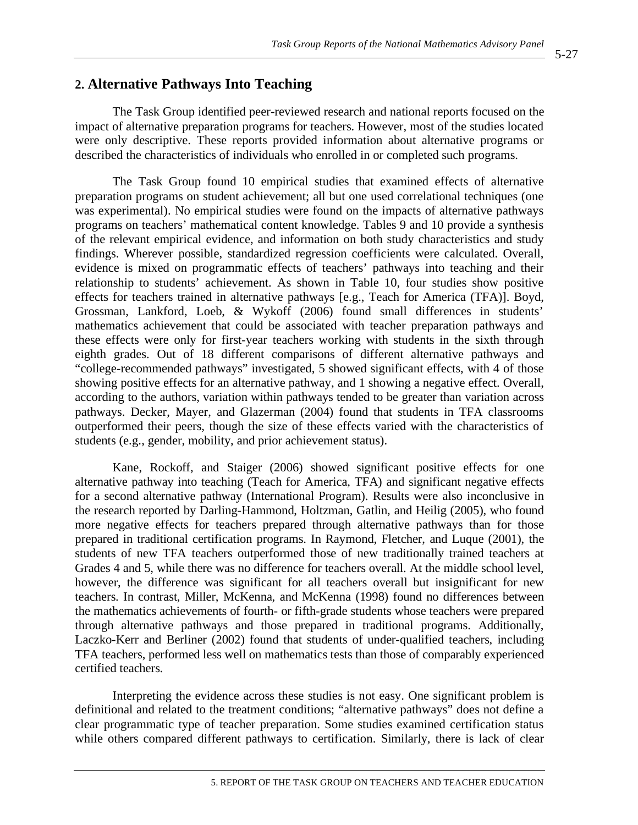## **2. Alternative Pathways Into Teaching**

The Task Group identified peer-reviewed research and national reports focused on the impact of alternative preparation programs for teachers. However, most of the studies located were only descriptive. These reports provided information about alternative programs or described the characteristics of individuals who enrolled in or completed such programs.

The Task Group found 10 empirical studies that examined effects of alternative preparation programs on student achievement; all but one used correlational techniques (one was experimental). No empirical studies were found on the impacts of alternative pathways programs on teachers' mathematical content knowledge. Tables 9 and 10 provide a synthesis of the relevant empirical evidence, and information on both study characteristics and study findings. Wherever possible, standardized regression coefficients were calculated. Overall, evidence is mixed on programmatic effects of teachers' pathways into teaching and their relationship to students' achievement. As shown in Table 10, four studies show positive effects for teachers trained in alternative pathways [e.g., Teach for America (TFA)]. Boyd, Grossman, Lankford, Loeb, & Wykoff (2006) found small differences in students' mathematics achievement that could be associated with teacher preparation pathways and these effects were only for first-year teachers working with students in the sixth through eighth grades. Out of 18 different comparisons of different alternative pathways and "college-recommended pathways" investigated, 5 showed significant effects, with 4 of those showing positive effects for an alternative pathway, and 1 showing a negative effect. Overall, according to the authors, variation within pathways tended to be greater than variation across pathways. Decker, Mayer, and Glazerman (2004) found that students in TFA classrooms outperformed their peers, though the size of these effects varied with the characteristics of students (e.g., gender, mobility, and prior achievement status).

Kane, Rockoff, and Staiger (2006) showed significant positive effects for one alternative pathway into teaching (Teach for America, TFA) and significant negative effects for a second alternative pathway (International Program). Results were also inconclusive in the research reported by Darling-Hammond, Holtzman, Gatlin, and Heilig (2005), who found more negative effects for teachers prepared through alternative pathways than for those prepared in traditional certification programs. In Raymond, Fletcher, and Luque (2001), the students of new TFA teachers outperformed those of new traditionally trained teachers at Grades 4 and 5, while there was no difference for teachers overall. At the middle school level, however, the difference was significant for all teachers overall but insignificant for new teachers. In contrast, Miller, McKenna, and McKenna (1998) found no differences between the mathematics achievements of fourth- or fifth-grade students whose teachers were prepared through alternative pathways and those prepared in traditional programs. Additionally, Laczko-Kerr and Berliner (2002) found that students of under-qualified teachers, including TFA teachers, performed less well on mathematics tests than those of comparably experienced certified teachers.

Interpreting the evidence across these studies is not easy. One significant problem is definitional and related to the treatment conditions; "alternative pathways" does not define a clear programmatic type of teacher preparation. Some studies examined certification status while others compared different pathways to certification. Similarly, there is lack of clear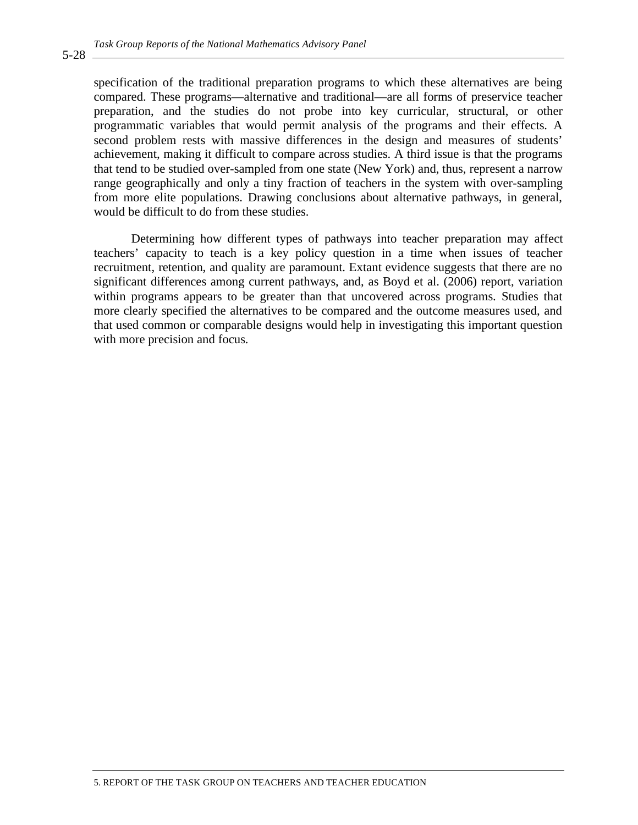specification of the traditional preparation programs to which these alternatives are being compared. These programs—alternative and traditional—are all forms of preservice teacher preparation, and the studies do not probe into key curricular, structural, or other programmatic variables that would permit analysis of the programs and their effects. A second problem rests with massive differences in the design and measures of students' achievement, making it difficult to compare across studies. A third issue is that the programs that tend to be studied over-sampled from one state (New York) and, thus, represent a narrow range geographically and only a tiny fraction of teachers in the system with over-sampling from more elite populations. Drawing conclusions about alternative pathways, in general, would be difficult to do from these studies.

Determining how different types of pathways into teacher preparation may affect teachers' capacity to teach is a key policy question in a time when issues of teacher recruitment, retention, and quality are paramount. Extant evidence suggests that there are no significant differences among current pathways, and, as Boyd et al. (2006) report, variation within programs appears to be greater than that uncovered across programs. Studies that more clearly specified the alternatives to be compared and the outcome measures used, and that used common or comparable designs would help in investigating this important question with more precision and focus.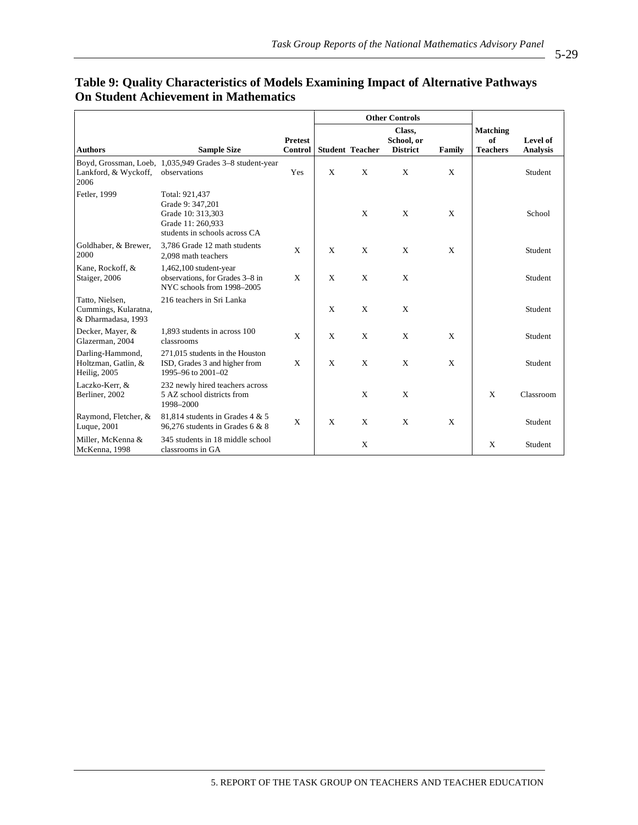|                                                               |                                                                                                               |                           |   |                        | <b>Other Controls</b>                   |        |                                          |                             |
|---------------------------------------------------------------|---------------------------------------------------------------------------------------------------------------|---------------------------|---|------------------------|-----------------------------------------|--------|------------------------------------------|-----------------------------|
| <b>Authors</b>                                                | <b>Sample Size</b>                                                                                            | <b>Pretest</b><br>Control |   | <b>Student Teacher</b> | Class,<br>School, or<br><b>District</b> | Family | <b>Matching</b><br>of<br><b>Teachers</b> | Level of<br><b>Analysis</b> |
| Lankford, & Wyckoff,<br>2006                                  | Boyd, Grossman, Loeb, 1,035,949 Grades 3-8 student-year<br>observations                                       | Yes                       | X | X                      | X                                       | X      |                                          | Student                     |
| Fetler, 1999                                                  | Total: 921,437<br>Grade 9: 347,201<br>Grade 10: 313,303<br>Grade 11: 260,933<br>students in schools across CA |                           |   | X                      | X                                       | X      |                                          | School                      |
| Goldhaber, & Brewer,<br>2000                                  | 3.786 Grade 12 math students<br>2,098 math teachers                                                           | X                         | X | X                      | X                                       | X      |                                          | Student                     |
| Kane, Rockoff, &<br>Staiger, 2006                             | $1,462,100$ student-year<br>observations, for Grades 3-8 in<br>NYC schools from 1998-2005                     | X                         | X | X                      | X                                       |        |                                          | Student                     |
| Tatto, Nielsen,<br>Cummings, Kularatna,<br>& Dharmadasa, 1993 | 216 teachers in Sri Lanka                                                                                     |                           | X | X                      | X                                       |        |                                          | Student                     |
| Decker, Mayer, &<br>Glazerman, 2004                           | 1,893 students in across 100<br>classrooms                                                                    | X                         | X | X                      | X                                       | X      |                                          | Student                     |
| Darling-Hammond,<br>Holtzman, Gatlin, &<br>Heilig, 2005       | 271,015 students in the Houston<br>ISD, Grades 3 and higher from<br>1995-96 to 2001-02                        | X                         | X | X                      | X                                       | X      |                                          | Student                     |
| Laczko-Kerr, &<br>Berliner, 2002                              | 232 newly hired teachers across<br>5 AZ school districts from<br>1998-2000                                    |                           |   | X                      | X                                       |        | X                                        | Classroom                   |
| Raymond, Fletcher, &<br>Luque, 2001                           | 81,814 students in Grades 4 & 5<br>96,276 students in Grades 6 & 8                                            | X                         | X | X                      | X                                       | X      |                                          | Student                     |
| Miller, McKenna &<br>McKenna, 1998                            | 345 students in 18 middle school<br>classrooms in GA                                                          |                           |   | X                      |                                         |        | X                                        | Student                     |

## **Table 9: Quality Characteristics of Models Examining Impact of Alternative Pathways On Student Achievement in Mathematics**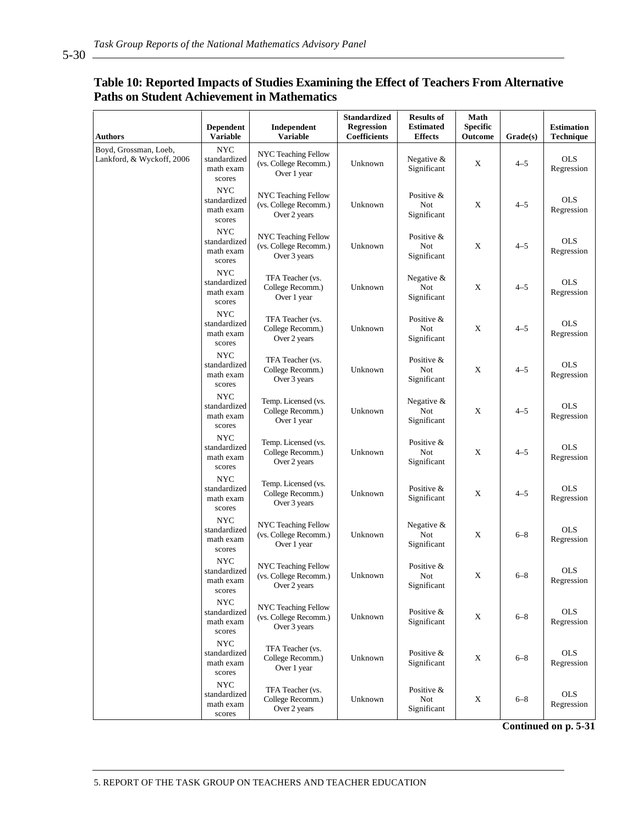5-30

## **Table 10: Reported Impacts of Studies Examining the Effect of Teachers From Alternative Paths on Student Achievement in Mathematics**

| <b>Authors</b>                                     | Dependent<br><b>Variable</b>                      | Independent<br><b>Variable</b>                               | <b>Standardized</b><br><b>Regression</b><br>Coefficients | <b>Results of</b><br><b>Estimated</b><br>${\bf Effects}$ | Math<br><b>Specific</b><br>Outcome | Grade(s) | <b>Estimation</b><br>Technique |
|----------------------------------------------------|---------------------------------------------------|--------------------------------------------------------------|----------------------------------------------------------|----------------------------------------------------------|------------------------------------|----------|--------------------------------|
| Boyd, Grossman, Loeb,<br>Lankford, & Wyckoff, 2006 | NYC<br>standardized<br>math exam<br>scores        | NYC Teaching Fellow<br>(vs. College Recomm.)<br>Over 1 year  | Unknown                                                  | Negative $&$<br>Significant                              | X                                  | $4 - 5$  | <b>OLS</b><br>Regression       |
|                                                    | <b>NYC</b><br>standardized<br>math exam<br>scores | NYC Teaching Fellow<br>(vs. College Recomm.)<br>Over 2 years | Unknown                                                  | Positive &<br>Not<br>Significant                         | X                                  | $4 - 5$  | <b>OLS</b><br>Regression       |
|                                                    | <b>NYC</b><br>standardized<br>math exam<br>scores | NYC Teaching Fellow<br>(vs. College Recomm.)<br>Over 3 years | Unknown                                                  | Positive &<br>Not<br>Significant                         | X                                  | $4 - 5$  | <b>OLS</b><br>Regression       |
|                                                    | <b>NYC</b><br>standardized<br>math exam<br>scores | TFA Teacher (vs.<br>College Recomm.)<br>Over 1 year          | Unknown                                                  | Negative $&$<br>Not<br>Significant                       | $\mathbf X$                        | $4 - 5$  | <b>OLS</b><br>Regression       |
|                                                    | NYC<br>standardized<br>math exam<br>scores        | TFA Teacher (vs.<br>College Recomm.)<br>Over 2 years         | Unknown                                                  | Positive &<br>Not<br>Significant                         | X                                  | $4 - 5$  | <b>OLS</b><br>Regression       |
|                                                    | <b>NYC</b><br>standardized<br>math exam<br>scores | TFA Teacher (vs.<br>College Recomm.)<br>Over 3 years         | Unknown                                                  | Positive &<br>Not<br>Significant                         | X                                  | $4 - 5$  | <b>OLS</b><br>Regression       |
|                                                    | <b>NYC</b><br>standardized<br>math exam<br>scores | Temp. Licensed (vs.<br>College Recomm.)<br>Over 1 year       | Unknown                                                  | Negative $&$<br>Not<br>Significant                       | X                                  | $4 - 5$  | <b>OLS</b><br>Regression       |
|                                                    | NYC<br>standardized<br>math exam<br>scores        | Temp. Licensed (vs.<br>College Recomm.)<br>Over 2 years      | Unknown                                                  | Positive &<br>Not<br>Significant                         | X                                  | $4 - 5$  | <b>OLS</b><br>Regression       |
|                                                    | <b>NYC</b><br>standardized<br>math exam<br>scores | Temp. Licensed (vs.<br>College Recomm.)<br>Over 3 years      | Unknown                                                  | Positive &<br>Significant                                | X                                  | $4 - 5$  | <b>OLS</b><br>Regression       |
|                                                    | NYC<br>standardized<br>math exam<br>scores        | NYC Teaching Fellow<br>(vs. College Recomm.)<br>Over 1 year  | Unknown                                                  | Negative $&$<br>Not<br>Significant                       | X                                  | $6 - 8$  | <b>OLS</b><br>Regression       |
|                                                    | <b>NYC</b><br>standardized<br>math exam<br>scores | NYC Teaching Fellow<br>(vs. College Recomm.)<br>Over 2 years | Unknown                                                  | Positive &<br>Not<br>Significant                         | X                                  | $6 - 8$  | <b>OLS</b><br>Regression       |
|                                                    | <b>NYC</b><br>standardized<br>math exam<br>scores | NYC Teaching Fellow<br>(vs. College Recomm.)<br>Over 3 years | Unknown                                                  | Positive &<br>Significant                                | $\mathbf X$                        | $6 - 8$  | <b>OLS</b><br>Regression       |
|                                                    | NYC<br>standardized<br>math exam<br>scores        | TFA Teacher (vs.<br>College Recomm.)<br>Over 1 year          | Unknown                                                  | Positive &<br>Significant                                | $\mathbf X$                        | $6 - 8$  | <b>OLS</b><br>Regression       |
|                                                    | <b>NYC</b><br>standardized<br>math exam<br>scores | TFA Teacher (vs.<br>College Recomm.)<br>Over 2 years         | Unknown                                                  | Positive &<br>Not<br>Significant                         | $\mathbf X$                        | $6 - 8$  | <b>OLS</b><br>Regression       |

**Continued on p. 5-31**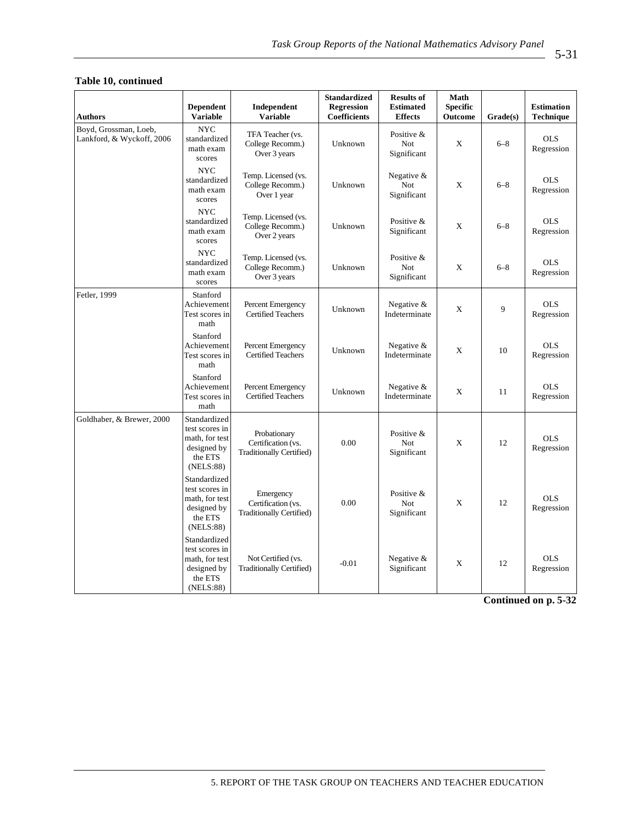#### **Table 10, continued**

| <b>Authors</b>                                                                          | <b>Dependent</b><br><b>Variable</b>                                                     | Independent<br><b>Variable</b>                                        | <b>Standardized</b><br><b>Regression</b><br>Coefficients | <b>Results of</b><br><b>Estimated</b><br><b>Effects</b> | Math<br><b>Specific</b><br>Outcome | Grade(s) | <b>Estimation</b><br><b>Technique</b> |
|-----------------------------------------------------------------------------------------|-----------------------------------------------------------------------------------------|-----------------------------------------------------------------------|----------------------------------------------------------|---------------------------------------------------------|------------------------------------|----------|---------------------------------------|
| Boyd, Grossman, Loeb,<br>Lankford, & Wyckoff, 2006                                      | <b>NYC</b><br>standardized<br>math exam<br>scores                                       | TFA Teacher (vs.<br>College Recomm.)<br>Over 3 years                  | Unknown                                                  | Positive &<br>Not<br>Significant                        | X                                  | $6 - 8$  | <b>OLS</b><br>Regression              |
|                                                                                         | <b>NYC</b><br>standardized<br>math exam<br>scores                                       | Temp. Licensed (vs.<br>College Recomm.)<br>Over 1 year                | Unknown                                                  | Negative &<br>Not<br>Significant                        | X                                  | $6 - 8$  | <b>OLS</b><br>Regression              |
|                                                                                         | <b>NYC</b><br>standardized<br>math exam<br>scores                                       | Temp. Licensed (vs.<br>College Recomm.)<br>Over 2 years               | Unknown                                                  | Positive &<br>Significant                               | X                                  | $6 - 8$  | <b>OLS</b><br>Regression              |
|                                                                                         | <b>NYC</b><br>standardized<br>math exam<br>scores                                       | Temp. Licensed (vs.<br>College Recomm.)<br>Over 3 years               | Unknown                                                  | Positive &<br><b>Not</b><br>Significant                 | X                                  | $6 - 8$  | <b>OLS</b><br>Regression              |
| Fetler, 1999<br>Stanford<br>Achievement<br>Test scores in<br>math                       |                                                                                         | Percent Emergency<br><b>Certified Teachers</b>                        | Unknown                                                  | Negative &<br>Indeterminate                             | X                                  | 9        | <b>OLS</b><br>Regression              |
|                                                                                         | Stanford<br>Achievement<br>Test scores in<br>math                                       | Percent Emergency<br><b>Certified Teachers</b>                        | Unknown                                                  | Negative $&$<br>Indeterminate                           | X                                  | 10       | <b>OLS</b><br>Regression              |
|                                                                                         | Stanford<br>Achievement<br>Test scores in<br>math                                       | Percent Emergency<br><b>Certified Teachers</b>                        | Unknown                                                  | Negative $&$<br>Indeterminate                           | X                                  | 11       | <b>OLS</b><br>Regression              |
| Goldhaber, & Brewer, 2000                                                               | Standardized<br>test scores in<br>math, for test<br>designed by<br>the ETS<br>(NELS:88) | Probationary<br>Certification (vs.<br><b>Traditionally Certified)</b> | 0.00                                                     | Positive &<br>Not<br>Significant                        | X                                  | 12       | <b>OLS</b><br>Regression              |
|                                                                                         | Standardized<br>test scores in<br>math, for test<br>designed by<br>the ETS<br>(NELS:88) | Emergency<br>Certification (vs.<br>Traditionally Certified)           | 0.00                                                     | Positive &<br>Not<br>Significant                        | X                                  | 12       | <b>OLS</b><br>Regression              |
| Standardized<br>test scores in<br>math, for test<br>designed by<br>the ETS<br>(NELS:88) |                                                                                         | Not Certified (vs.<br>Traditionally Certified)                        | $-0.01$                                                  | Negative &<br>Significant                               | X                                  | 12       | <b>OLS</b><br>Regression              |
|                                                                                         |                                                                                         |                                                                       |                                                          |                                                         |                                    |          | Continued on p. 5-32                  |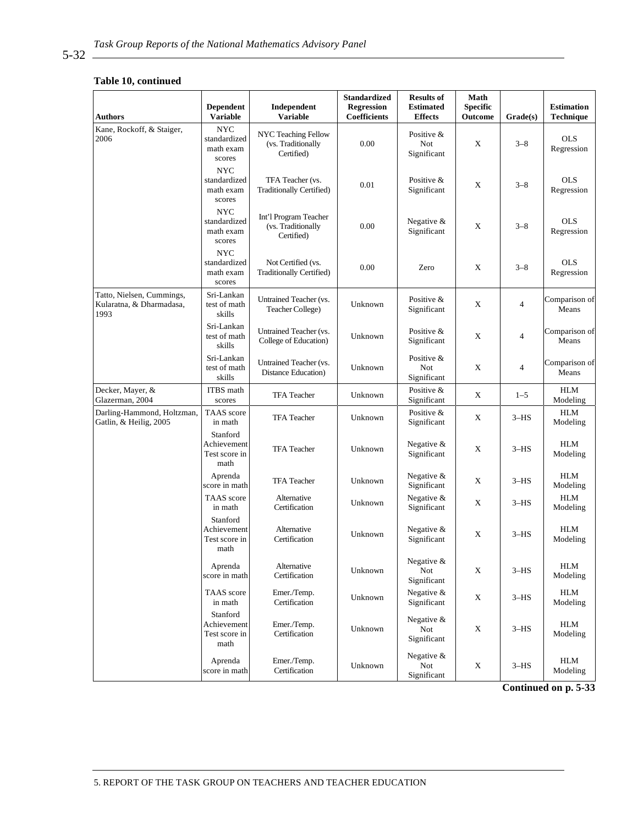#### **Table 10, continued**

| <b>Authors</b>                                                | <b>Dependent</b><br><b>Variable</b>               | Independent<br><b>Variable</b>                            | <b>Standardized</b><br><b>Regression</b><br><b>Coefficients</b> | <b>Results of</b><br><b>Estimated</b><br><b>Effects</b> | Math<br><b>Specific</b><br>Outcome | Grade(s)       | <b>Estimation</b><br><b>Technique</b> |
|---------------------------------------------------------------|---------------------------------------------------|-----------------------------------------------------------|-----------------------------------------------------------------|---------------------------------------------------------|------------------------------------|----------------|---------------------------------------|
| Kane, Rockoff, & Staiger,<br>2006                             | <b>NYC</b><br>standardized<br>math exam<br>scores | NYC Teaching Fellow<br>(vs. Traditionally<br>Certified)   | 0.00                                                            | Positive &<br><b>Not</b><br>Significant                 | X                                  | $3 - 8$        | <b>OLS</b><br>Regression              |
|                                                               | <b>NYC</b><br>standardized<br>math exam<br>scores | TFA Teacher (vs.<br>Traditionally Certified)              | 0.01                                                            | Positive &<br>Significant                               | X                                  | $3 - 8$        | <b>OLS</b><br>Regression              |
|                                                               | <b>NYC</b><br>standardized<br>math exam<br>scores | Int'l Program Teacher<br>(vs. Traditionally<br>Certified) | 0.00                                                            | Negative &<br>Significant                               | X                                  | $3 - 8$        | <b>OLS</b><br>Regression              |
|                                                               | <b>NYC</b><br>standardized<br>math exam<br>scores | Not Certified (vs.<br>Traditionally Certified)            | 0.00                                                            | Zero                                                    | X                                  | $3 - 8$        | <b>OLS</b><br>Regression              |
| Tatto, Nielsen, Cummings,<br>Kularatna, & Dharmadasa,<br>1993 | Sri-Lankan<br>test of math<br>skills              | Untrained Teacher (vs.<br>Teacher College)                | Unknown                                                         | Positive &<br>Significant                               | X                                  | $\overline{4}$ | Comparison of<br>Means                |
|                                                               | Sri-Lankan<br>test of math<br>skills              | Untrained Teacher (vs.<br>College of Education)           | Unknown                                                         | Positive &<br>Significant                               | X                                  | $\overline{4}$ | Comparison of<br>Means                |
|                                                               | Sri-Lankan<br>test of math<br>skills              | Untrained Teacher (vs.<br>Distance Education)             | Unknown                                                         | Positive &<br>Not<br>Significant                        | X                                  | $\overline{4}$ | Comparison of<br>Means                |
| Decker, Mayer, &<br>Glazerman, 2004                           | ITBS math<br>scores                               | <b>TFA</b> Teacher                                        | Unknown                                                         | Positive &<br>Significant                               | X                                  | $1 - 5$        | HLM<br>Modeling                       |
| Darling-Hammond, Holtzman,<br>Gatlin, & Heilig, 2005          | TAAS score<br>in math                             | <b>TFA</b> Teacher                                        | Unknown                                                         | Positive &<br>Significant                               | X                                  | $3-HS$         | HLM<br>Modeling                       |
|                                                               | Stanford<br>Achievement<br>Test score in<br>math  | <b>TFA</b> Teacher                                        | Unknown                                                         | Negative $&$<br>Significant                             | X                                  | $3-HS$         | HLM<br>Modeling                       |
|                                                               | Aprenda<br>score in math                          | <b>TFA</b> Teacher                                        | Unknown                                                         | Negative $&$<br>Significant                             | X                                  | $3-HS$         | HLM<br>Modeling                       |
|                                                               | TAAS score<br>in math                             | Alternative<br>Certification                              | Unknown                                                         | Negative $&$<br>Significant                             | X                                  | $3-HS$         | <b>HLM</b><br>Modeling                |
|                                                               | Stanford<br>Achievement<br>Test score in<br>math  | Alternative<br>Certification                              | Unknown                                                         | Negative &<br>Significant                               | X                                  | $3-HS$         | HLM<br>Modeling                       |
|                                                               | Aprenda<br>score in math                          | Alternative<br>Certification                              | Unknown                                                         | Negative &<br>Not<br>Significant                        | X                                  | $3-HS$         | ${\rm HLM}$<br>Modeling               |
|                                                               | TAAS score<br>in math                             | Emer./Temp.<br>Certification                              | Unknown                                                         | Negative $&$<br>Significant                             | X                                  | $3-HS$         | HLM<br>Modeling                       |
|                                                               | Stanford<br>Achievement<br>Test score in<br>math  | Emer./Temp.<br>Certification                              | Unknown                                                         | Negative &<br>Not<br>Significant                        | $\mathbf X$                        | $3-HS$         | HLM<br>Modeling                       |
|                                                               | Aprenda<br>score in math                          | Emer./Temp.<br>Certification                              | Unknown                                                         | Negative &<br>Not<br>Significant                        | X                                  | $3-HS$         | <b>HLM</b><br>Modeling                |

**Continued on p. 5-33**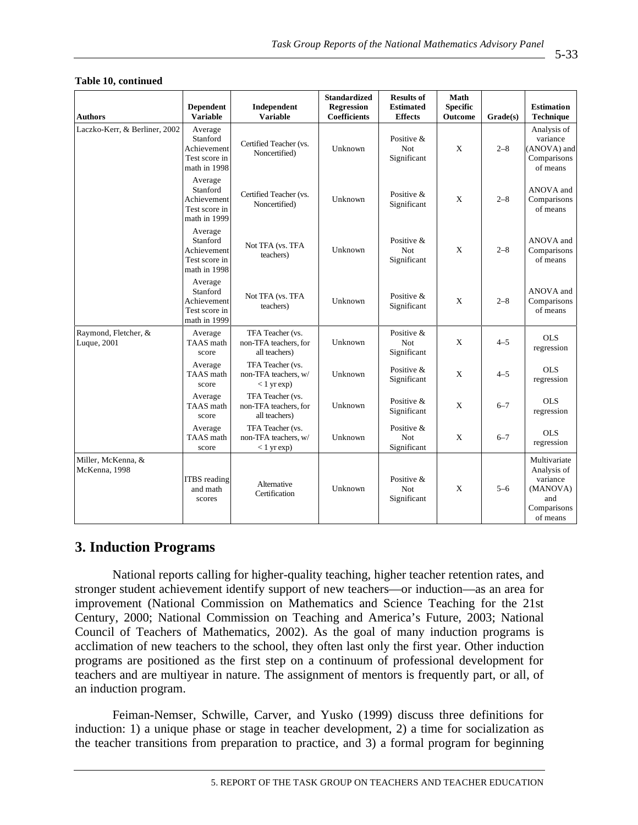| <b>Authors</b>                      | <b>Dependent</b><br><b>Variable</b>                                 | Independent<br><b>Variable</b>                               | <b>Standardized</b><br>Regression<br>Coefficients | <b>Results of</b><br><b>Estimated</b><br><b>Effects</b> | Math<br><b>Specific</b><br><b>Outcome</b> | Grade(s) | <b>Estimation</b><br>Technique                                                        |
|-------------------------------------|---------------------------------------------------------------------|--------------------------------------------------------------|---------------------------------------------------|---------------------------------------------------------|-------------------------------------------|----------|---------------------------------------------------------------------------------------|
| Laczko-Kerr, & Berliner, 2002       | Average<br>Stanford<br>Achievement<br>Test score in<br>math in 1998 | Certified Teacher (vs.<br>Noncertified)                      | Unknown                                           | Positive &<br>Not<br>Significant                        | X                                         | $2 - 8$  | Analysis of<br>variance<br>(ANOVA) and<br>Comparisons<br>of means                     |
|                                     | Average<br>Stanford<br>Achievement<br>Test score in<br>math in 1999 | Certified Teacher (vs.<br>Noncertified)                      | Unknown                                           | Positive &<br>Significant                               | $\mathbf{X}$                              | $2 - 8$  | ANOVA and<br>Comparisons<br>of means                                                  |
|                                     | Average<br>Stanford<br>Achievement<br>Test score in<br>math in 1998 | Not TFA (vs. TFA<br>teachers)                                | Unknown                                           | Positive &<br>Not<br>Significant                        | $\mathbf{X}$                              | $2 - 8$  | ANOVA and<br>Comparisons<br>of means                                                  |
|                                     | Average<br>Stanford<br>Achievement<br>Test score in<br>math in 1999 | Not TFA (vs. TFA<br>teachers)                                | Unknown                                           | Positive &<br>Significant                               | $\mathbf{X}$                              | $2 - 8$  | ANOVA and<br>Comparisons<br>of means                                                  |
| Raymond, Fletcher, &<br>Luque, 2001 | Average<br>TAAS math<br>score                                       | TFA Teacher (vs.<br>non-TFA teachers, for<br>all teachers)   | Unknown                                           | Positive &<br>Not<br>Significant                        | $\mathbf X$                               | $4 - 5$  | <b>OLS</b><br>regression                                                              |
|                                     | Average<br>TAAS math<br>score                                       | TFA Teacher (vs.<br>non-TFA teachers, w/<br>$< 1$ yr $exp$ ) | Unknown                                           | Positive &<br>Significant                               | X                                         | $4 - 5$  | <b>OLS</b><br>regression                                                              |
|                                     | Average<br>TAAS math<br>score                                       | TFA Teacher (vs.<br>non-TFA teachers, for<br>all teachers)   | Unknown                                           | Positive &<br>Significant                               | X                                         | $6 - 7$  | <b>OLS</b><br>regression                                                              |
|                                     | Average<br>TAAS math<br>score                                       | TFA Teacher (vs.<br>non-TFA teachers, w/<br>$< 1$ yr $exp$ ) | Unknown                                           | Positive &<br>Not<br>Significant                        | $\mathbf X$                               | $6 - 7$  | <b>OLS</b><br>regression                                                              |
| Miller, McKenna, &<br>McKenna, 1998 | <b>ITBS</b> reading<br>and math<br>scores                           | Alternative<br>Certification                                 | Unknown                                           | Positive &<br>Not<br>Significant                        | X                                         | $5 - 6$  | Multivariate<br>Analysis of<br>variance<br>(MANOVA)<br>and<br>Comparisons<br>of means |

#### **Table 10, continued**

## **3. Induction Programs**

National reports calling for higher-quality teaching, higher teacher retention rates, and stronger student achievement identify support of new teachers—or induction—as an area for improvement (National Commission on Mathematics and Science Teaching for the 21st Century, 2000; National Commission on Teaching and America's Future, 2003; National Council of Teachers of Mathematics, 2002). As the goal of many induction programs is acclimation of new teachers to the school, they often last only the first year. Other induction programs are positioned as the first step on a continuum of professional development for teachers and are multiyear in nature. The assignment of mentors is frequently part, or all, of an induction program.

Feiman-Nemser, Schwille, Carver, and Yusko (1999) discuss three definitions for induction: 1) a unique phase or stage in teacher development, 2) a time for socialization as the teacher transitions from preparation to practice, and 3) a formal program for beginning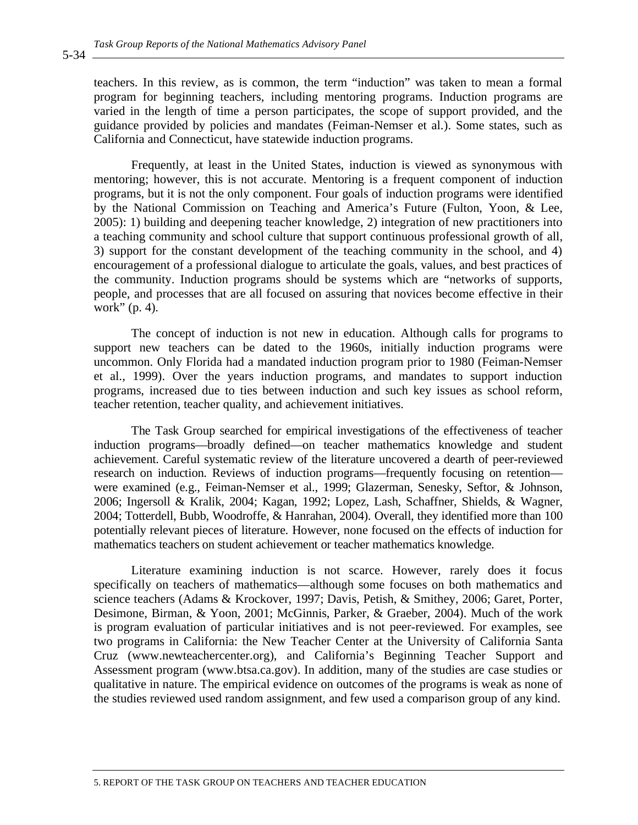teachers. In this review, as is common, the term "induction" was taken to mean a formal program for beginning teachers, including mentoring programs. Induction programs are varied in the length of time a person participates, the scope of support provided, and the guidance provided by policies and mandates (Feiman-Nemser et al.). Some states, such as California and Connecticut, have statewide induction programs.

Frequently, at least in the United States, induction is viewed as synonymous with mentoring; however, this is not accurate. Mentoring is a frequent component of induction programs, but it is not the only component. Four goals of induction programs were identified by the National Commission on Teaching and America's Future (Fulton, Yoon, & Lee, 2005): 1) building and deepening teacher knowledge, 2) integration of new practitioners into a teaching community and school culture that support continuous professional growth of all, 3) support for the constant development of the teaching community in the school, and 4) encouragement of a professional dialogue to articulate the goals, values, and best practices of the community. Induction programs should be systems which are "networks of supports, people, and processes that are all focused on assuring that novices become effective in their work" (p. 4).

The concept of induction is not new in education. Although calls for programs to support new teachers can be dated to the 1960s, initially induction programs were uncommon. Only Florida had a mandated induction program prior to 1980 (Feiman-Nemser et al., 1999). Over the years induction programs, and mandates to support induction programs, increased due to ties between induction and such key issues as school reform, teacher retention, teacher quality, and achievement initiatives.

The Task Group searched for empirical investigations of the effectiveness of teacher induction programs—broadly defined—on teacher mathematics knowledge and student achievement. Careful systematic review of the literature uncovered a dearth of peer-reviewed research on induction. Reviews of induction programs—frequently focusing on retention were examined (e.g., Feiman-Nemser et al., 1999; Glazerman, Senesky, Seftor, & Johnson, 2006; Ingersoll & Kralik, 2004; Kagan, 1992; Lopez, Lash, Schaffner, Shields, & Wagner, 2004; Totterdell, Bubb, Woodroffe, & Hanrahan, 2004). Overall, they identified more than 100 potentially relevant pieces of literature. However, none focused on the effects of induction for mathematics teachers on student achievement or teacher mathematics knowledge.

Literature examining induction is not scarce. However, rarely does it focus specifically on teachers of mathematics—although some focuses on both mathematics and science teachers (Adams & Krockover, 1997; Davis, Petish, & Smithey, 2006; Garet, Porter, Desimone, Birman, & Yoon, 2001; McGinnis, Parker, & Graeber, 2004). Much of the work is program evaluation of particular initiatives and is not peer-reviewed. For examples, see two programs in California: the New Teacher Center at the University of California Santa Cruz (www.newteachercenter.org), and California's Beginning Teacher Support and Assessment program (www.btsa.ca.gov). In addition, many of the studies are case studies or qualitative in nature. The empirical evidence on outcomes of the programs is weak as none of the studies reviewed used random assignment, and few used a comparison group of any kind.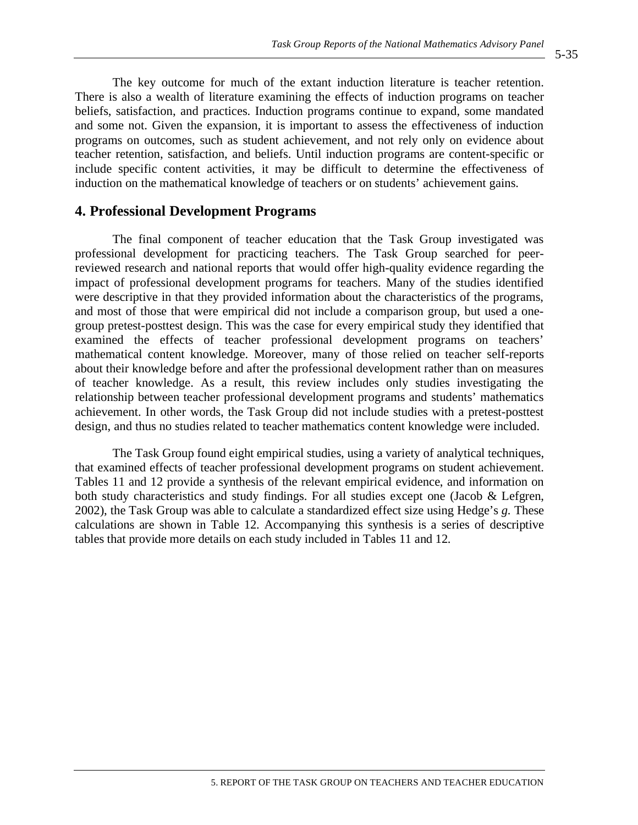The key outcome for much of the extant induction literature is teacher retention. There is also a wealth of literature examining the effects of induction programs on teacher beliefs, satisfaction, and practices. Induction programs continue to expand, some mandated and some not. Given the expansion, it is important to assess the effectiveness of induction programs on outcomes, such as student achievement, and not rely only on evidence about teacher retention, satisfaction, and beliefs. Until induction programs are content-specific or include specific content activities, it may be difficult to determine the effectiveness of induction on the mathematical knowledge of teachers or on students' achievement gains.

## **4. Professional Development Programs**

The final component of teacher education that the Task Group investigated was professional development for practicing teachers. The Task Group searched for peerreviewed research and national reports that would offer high-quality evidence regarding the impact of professional development programs for teachers. Many of the studies identified were descriptive in that they provided information about the characteristics of the programs, and most of those that were empirical did not include a comparison group, but used a onegroup pretest-posttest design. This was the case for every empirical study they identified that examined the effects of teacher professional development programs on teachers' mathematical content knowledge. Moreover, many of those relied on teacher self-reports about their knowledge before and after the professional development rather than on measures of teacher knowledge. As a result, this review includes only studies investigating the relationship between teacher professional development programs and students' mathematics achievement. In other words, the Task Group did not include studies with a pretest-posttest design, and thus no studies related to teacher mathematics content knowledge were included.

The Task Group found eight empirical studies, using a variety of analytical techniques, that examined effects of teacher professional development programs on student achievement. Tables 11 and 12 provide a synthesis of the relevant empirical evidence, and information on both study characteristics and study findings. For all studies except one (Jacob & Lefgren, 2002), the Task Group was able to calculate a standardized effect size using Hedge's *g.* These calculations are shown in Table 12. Accompanying this synthesis is a series of descriptive tables that provide more details on each study included in Tables 11 and 12.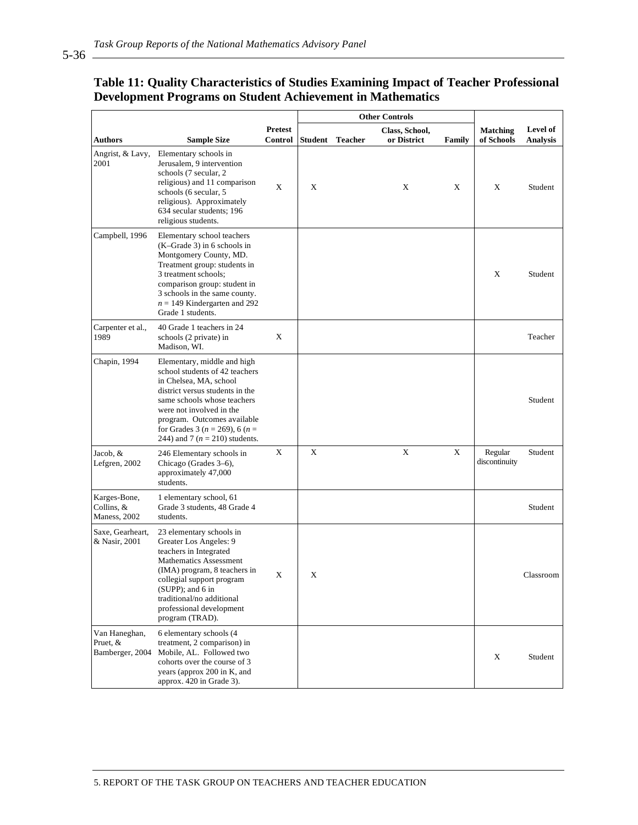## **Table 11: Quality Characteristics of Studies Examining Impact of Teacher Professional Development Programs on Student Achievement in Mathematics**

|                                              |                                                                                                                                                                                                                                                                                                     |                    | <b>Other Controls</b> |                |                               |               |                               |                      |
|----------------------------------------------|-----------------------------------------------------------------------------------------------------------------------------------------------------------------------------------------------------------------------------------------------------------------------------------------------------|--------------------|-----------------------|----------------|-------------------------------|---------------|-------------------------------|----------------------|
| <b>Authors</b>                               | <b>Sample Size</b>                                                                                                                                                                                                                                                                                  | Pretest<br>Control | <b>Student</b>        | <b>Teacher</b> | Class, School,<br>or District | <b>Family</b> | <b>Matching</b><br>of Schools | Level of<br>Analysis |
| Angrist, & Lavy,<br>2001                     | Elementary schools in<br>Jerusalem, 9 intervention<br>schools (7 secular, 2)<br>religious) and 11 comparison<br>schools (6 secular, 5<br>religious). Approximately<br>634 secular students; 196<br>religious students.                                                                              | X                  | X                     |                | X                             | X             | X                             | Student              |
| Campbell, 1996                               | Elementary school teachers<br>$(K-Grade 3)$ in 6 schools in<br>Montgomery County, MD.<br>Treatment group: students in<br>3 treatment schools;<br>comparison group: student in<br>3 schools in the same county.<br>$n = 149$ Kindergarten and 292<br>Grade 1 students.                               |                    |                       |                |                               |               | X                             | Student              |
| Carpenter et al.,<br>1989                    | 40 Grade 1 teachers in 24<br>schools (2 private) in<br>Madison, WI.                                                                                                                                                                                                                                 | X                  |                       |                |                               |               |                               | Teacher              |
| Chapin, 1994                                 | Elementary, middle and high<br>school students of 42 teachers<br>in Chelsea, MA, school<br>district versus students in the<br>same schools whose teachers<br>were not involved in the<br>program. Outcomes available<br>for Grades 3 ( $n = 269$ ), 6 ( $n =$<br>244) and 7 ( $n = 210$ ) students. |                    |                       |                |                               |               |                               | Student              |
| Jacob, &<br>Lefgren, 2002                    | 246 Elementary schools in<br>Chicago (Grades 3–6),<br>approximately 47,000<br>students.                                                                                                                                                                                                             | X                  | X                     |                | Χ                             | X             | Regular<br>discontinuity      | Student              |
| Karges-Bone,<br>Collins, &<br>Maness, 2002   | 1 elementary school, 61<br>Grade 3 students, 48 Grade 4<br>students.                                                                                                                                                                                                                                |                    |                       |                |                               |               |                               | Student              |
| Saxe, Gearheart,<br>& Nasir, 2001            | 23 elementary schools in<br>Greater Los Angeles: 9<br>teachers in Integrated<br>Mathematics Assessment<br>(IMA) program, 8 teachers in<br>collegial support program<br>(SUPP); and 6 in<br>traditional/no additional<br>professional development<br>program (TRAD).                                 | X                  | X                     |                |                               |               |                               | Classroom            |
| Van Haneghan,<br>Pruet, &<br>Bamberger, 2004 | 6 elementary schools (4<br>treatment, 2 comparison) in<br>Mobile, AL. Followed two<br>cohorts over the course of 3<br>years (approx 200 in K, and<br>approx. 420 in Grade 3).                                                                                                                       |                    |                       |                |                               |               | X                             | Student              |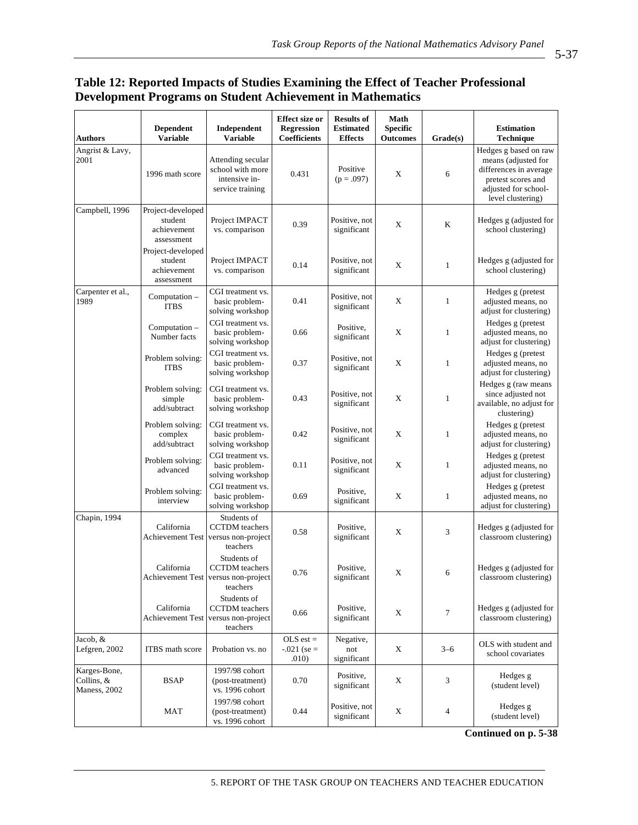## **Table 12: Reported Impacts of Studies Examining the Effect of Teacher Professional Development Programs on Student Achievement in Mathematics**

| <b>Authors</b>                             | <b>Dependent</b><br><b>Variable</b>                       | Independent<br><b>Variable</b>                                                            | Effect size or<br><b>Regression</b><br>Coefficients | <b>Results of</b><br><b>Estimated</b><br><b>Effects</b> | Math<br><b>Specific</b><br><b>Outcomes</b> | Grade(s)       | <b>Estimation</b><br>Technique                                                                                                            |
|--------------------------------------------|-----------------------------------------------------------|-------------------------------------------------------------------------------------------|-----------------------------------------------------|---------------------------------------------------------|--------------------------------------------|----------------|-------------------------------------------------------------------------------------------------------------------------------------------|
| Angrist & Lavy,<br>2001                    | 1996 math score                                           | Attending secular<br>school with more<br>intensive in-<br>service training                | 0.431                                               | Positive<br>$(p=.097)$                                  | X                                          | 6              | Hedges g based on raw<br>means (adjusted for<br>differences in average<br>pretest scores and<br>adjusted for school-<br>level clustering) |
| Campbell, 1996                             | Project-developed<br>student<br>achievement<br>assessment | Project IMPACT<br>vs. comparison                                                          | 0.39                                                | Positive, not<br>significant                            | X                                          | K              | Hedges g (adjusted for<br>school clustering)                                                                                              |
|                                            | Project-developed<br>student<br>achievement<br>assessment | Project IMPACT<br>vs. comparison                                                          | 0.14                                                | Positive, not<br>significant                            | X                                          | $\mathbf{1}$   | Hedges g (adjusted for<br>school clustering)                                                                                              |
| Carpenter et al.,<br>1989                  | Computation -<br><b>ITBS</b>                              | CGI treatment vs.<br>basic problem-<br>solving workshop                                   | 0.41                                                | Positive, not<br>significant                            | X                                          | $\mathbf{1}$   | Hedges g (pretest<br>adjusted means, no<br>adjust for clustering)                                                                         |
|                                            | Computation -<br>Number facts                             | CGI treatment vs.<br>basic problem-<br>solving workshop                                   | 0.66                                                | Positive,<br>significant                                | X                                          | $\mathbf{1}$   | Hedges g (pretest<br>adjusted means, no<br>adjust for clustering)                                                                         |
|                                            | Problem solving:<br><b>ITBS</b>                           | CGI treatment vs.<br>basic problem-<br>solving workshop                                   | 0.37                                                | Positive, not<br>significant                            | X                                          | $\mathbf{1}$   | Hedges g (pretest<br>adjusted means, no<br>adjust for clustering)                                                                         |
|                                            | Problem solving:<br>simple<br>add/subtract                | CGI treatment vs.<br>basic problem-<br>solving workshop                                   | 0.43                                                | Positive, not<br>significant                            | X                                          | $\mathbf{1}$   | Hedges g (raw means<br>since adjusted not<br>available, no adjust for<br>clustering)                                                      |
|                                            | Problem solving:<br>complex<br>add/subtract               | CGI treatment vs.<br>basic problem-<br>solving workshop                                   | 0.42                                                | Positive, not<br>significant                            | X                                          | $\mathbf{1}$   | Hedges g (pretest<br>adjusted means, no<br>adjust for clustering)                                                                         |
|                                            | Problem solving:<br>advanced                              | CGI treatment vs.<br>basic problem-<br>solving workshop                                   | 0.11                                                | Positive, not<br>significant                            | X                                          | $\mathbf{1}$   | Hedges g (pretest<br>adjusted means, no<br>adjust for clustering)                                                                         |
|                                            | Problem solving:<br>interview                             | CGI treatment vs.<br>basic problem-<br>solving workshop                                   | 0.69                                                | Positive,<br>significant                                | X                                          | $\mathbf{1}$   | Hedges g (pretest<br>adjusted means, no<br>adjust for clustering)                                                                         |
| Chapin, 1994                               | California<br>Achievement Test versus non-project         | Students of<br><b>CCTDM</b> teachers<br>teachers                                          | 0.58                                                | Positive,<br>significant                                | X                                          | 3              | Hedges g (adjusted for<br>classroom clustering)                                                                                           |
|                                            | California                                                | Students of<br><b>CCTDM</b> teachers<br>Achievement Test   versus non-project<br>teachers | 0.76                                                | Positive,<br>significant                                | X                                          | 6              | Hedges g (adjusted for<br>classroom clustering)                                                                                           |
|                                            | California<br><b>Achievement Test</b>                     | Students of<br><b>CCTDM</b> teachers<br>versus non-project<br>teachers                    | 0.66                                                | Positive,<br>significant                                | $\mathbf X$                                | $\tau$         | Hedges g (adjusted for<br>classroom clustering)                                                                                           |
| Jacob, &<br>Lefgren, 2002                  | ITBS math score                                           | Probation vs. no                                                                          | $OLS$ est =<br>$-.021$ (se =<br>.010)               | Negative,<br>not<br>significant                         | X                                          | $3 - 6$        | OLS with student and<br>school covariates                                                                                                 |
| Karges-Bone,<br>Collins, &<br>Maness, 2002 | <b>BSAP</b>                                               | 1997/98 cohort<br>(post-treatment)<br>vs. 1996 cohort                                     | 0.70                                                | Positive,<br>significant                                | X                                          | 3              | Hedges g<br>(student level)                                                                                                               |
|                                            | MAT                                                       | 1997/98 cohort<br>(post-treatment)<br>vs. 1996 cohort                                     | 0.44                                                | Positive, not<br>significant                            | X                                          | $\overline{4}$ | Hedges g<br>(student level)                                                                                                               |

**Continued on p. 5-38**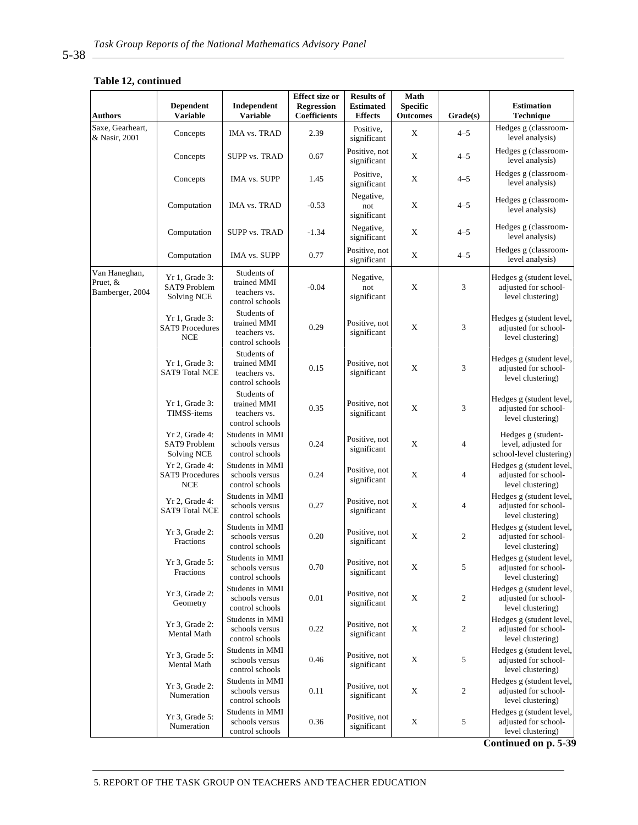#### **Table 12, continued**

| <b>Authors</b>                               | <b>Dependent</b><br><b>Variable</b>                    | Independent<br><b>Variable</b>                                | <b>Effect size or</b><br>Regression<br><b>Coefficients</b> | <b>Results of</b><br><b>Estimated</b><br><b>Effects</b> | <b>Math</b><br><b>Specific</b><br><b>Outcomes</b> | Grade(s)         | <b>Estimation</b><br>Technique                                        |
|----------------------------------------------|--------------------------------------------------------|---------------------------------------------------------------|------------------------------------------------------------|---------------------------------------------------------|---------------------------------------------------|------------------|-----------------------------------------------------------------------|
| Saxe, Gearheart,<br>& Nasir, 2001            | Concepts                                               | <b>IMA vs. TRAD</b>                                           | 2.39                                                       | Positive.<br>significant                                | X                                                 | $4 - 5$          | Hedges g (classroom-<br>level analysis)                               |
|                                              | Concepts                                               | <b>SUPP vs. TRAD</b>                                          | 0.67                                                       | Positive, not<br>significant                            | $\mathbf X$                                       | $4 - 5$          | Hedges g (classroom-<br>level analysis)                               |
|                                              | Concepts                                               | <b>IMA vs. SUPP</b>                                           | 1.45                                                       | Positive,<br>significant                                | X                                                 | $4 - 5$          | Hedges g (classroom-<br>level analysis)                               |
|                                              | Computation                                            | IMA vs. TRAD                                                  | $-0.53$                                                    | Negative,<br>not<br>significant                         | $\mathbf X$                                       | $4 - 5$          | Hedges g (classroom-<br>level analysis)                               |
|                                              | Computation                                            | <b>SUPP vs. TRAD</b>                                          | $-1.34$                                                    | Negative,<br>significant                                | X                                                 | $4 - 5$          | Hedges g (classroom-<br>level analysis)                               |
|                                              | Computation                                            | <b>IMA vs. SUPP</b>                                           | 0.77                                                       | Positive, not<br>significant                            | X                                                 | $4 - 5$          | Hedges g (classroom-<br>level analysis)                               |
| Van Haneghan,<br>Pruet, &<br>Bamberger, 2004 | Yr 1, Grade 3:<br>SAT9 Problem<br>Solving NCE          | Students of<br>trained MMI<br>teachers vs.<br>control schools | $-0.04$                                                    | Negative,<br>not<br>significant                         | $\mathbf X$                                       | 3                | Hedges g (student level,<br>adjusted for school-<br>level clustering) |
|                                              | Yr 1, Grade 3:<br><b>SAT9</b> Procedures<br><b>NCE</b> | Students of<br>trained MMI<br>teachers vs.<br>control schools | 0.29                                                       | Positive, not<br>significant                            | $\mathbf X$                                       | 3                | Hedges g (student level,<br>adjusted for school-<br>level clustering) |
|                                              | Yr 1, Grade 3:<br><b>SAT9 Total NCE</b>                | Students of<br>trained MMI<br>teachers vs.<br>control schools | 0.15                                                       | Positive, not<br>significant                            | X                                                 | 3                | Hedges g (student level,<br>adjusted for school-<br>level clustering) |
|                                              | Yr 1, Grade 3:<br>TIMSS-items                          | Students of<br>trained MMI<br>teachers vs.<br>control schools | 0.35                                                       | Positive, not<br>significant                            | X                                                 | 3                | Hedges g (student level,<br>adjusted for school-<br>level clustering) |
|                                              | Yr 2, Grade 4:<br>SAT9 Problem<br><b>Solving NCE</b>   | Students in MMI<br>schools versus<br>control schools          | 0.24                                                       | Positive, not<br>significant                            | X                                                 | $\overline{4}$   | Hedges g (student-<br>level, adjusted for<br>school-level clustering) |
|                                              | Yr 2, Grade 4:<br><b>SAT9 Procedures</b><br><b>NCE</b> | Students in MMI<br>schools versus<br>control schools          | 0.24                                                       | Positive, not<br>significant                            | X                                                 | 4                | Hedges g (student level,<br>adjusted for school-<br>level clustering) |
|                                              | Yr 2, Grade 4:<br><b>SAT9 Total NCE</b>                | Students in MMI<br>schools versus<br>control schools          | 0.27                                                       | Positive, not<br>significant                            | $\mathbf X$                                       | $\overline{4}$   | Hedges g (student level,<br>adjusted for school-<br>level clustering) |
|                                              | $Yr$ 3, Grade 2:<br>Fractions                          | Students in MMI<br>schools versus<br>control schools          | 0.20                                                       | Positive, not<br>significant                            | X                                                 | $\boldsymbol{2}$ | Hedges g (student level,<br>adjusted for school-<br>level clustering) |
|                                              | Yr 3, Grade 5:<br>Fractions                            | Students in MMI<br>schools versus<br>control schools          | 0.70                                                       | Positive, not<br>significant                            | X                                                 | 5                | Hedges g (student level,<br>adjusted for school-<br>level clustering) |
|                                              | Yr 3, Grade 2:<br>Geometry                             | Students in MMI<br>schools versus<br>control schools          | 0.01                                                       | Positive, not<br>significant                            | X                                                 | 2                | Hedges g (student level,<br>adjusted for school-<br>level clustering) |
|                                              | Yr 3, Grade 2:<br>Mental Math                          | Students in MMI<br>schools versus<br>control schools          | 0.22                                                       | Positive, not<br>significant                            | X                                                 | $\overline{c}$   | Hedges g (student level,<br>adjusted for school-<br>level clustering) |
|                                              | Yr 3, Grade 5:<br>Mental Math                          | Students in MMI<br>schools versus<br>control schools          | 0.46                                                       | Positive, not<br>significant                            | X                                                 | 5                | Hedges g (student level,<br>adjusted for school-<br>level clustering) |
|                                              | Yr 3, Grade 2:<br>Numeration                           | Students in MMI<br>schools versus<br>control schools          | 0.11                                                       | Positive, not<br>significant                            | $\mathbf X$                                       | $\overline{c}$   | Hedges g (student level,<br>adjusted for school-<br>level clustering) |
|                                              | Yr 3, Grade 5:<br>Numeration                           | Students in MMI<br>schools versus<br>control schools          | 0.36                                                       | Positive, not<br>significant                            | X                                                 | 5                | Hedges g (student level,<br>adjusted for school-<br>level clustering) |

**Continued on p. 5-39**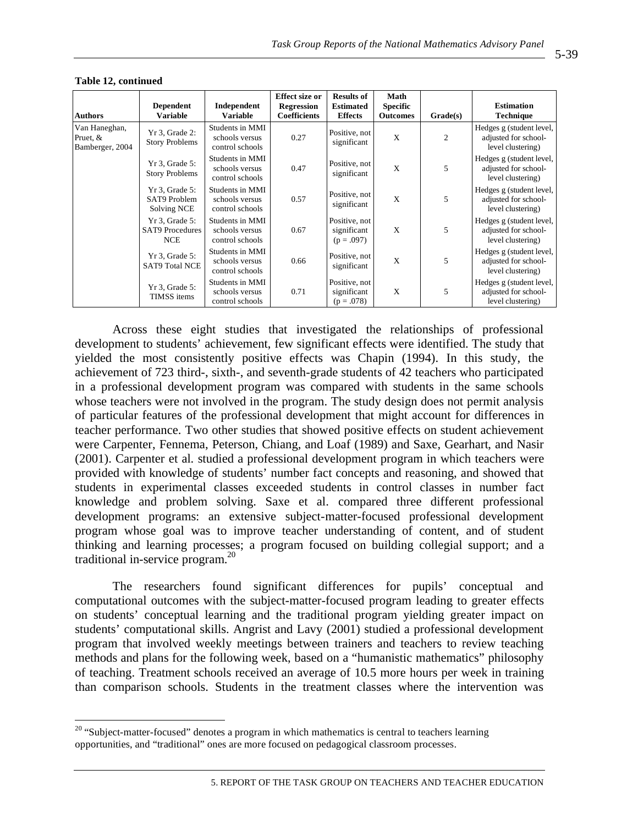| <b>Authors</b>                               | <b>Dependent</b><br><b>Variable</b>                      | Independent<br><b>Variable</b>                       | <b>Effect size or</b><br><b>Regression</b><br><b>Coefficients</b> | <b>Results of</b><br><b>Estimated</b><br><b>Effects</b> | Math<br><b>Specific</b><br><b>Outcomes</b> | Grade(s)       | <b>Estimation</b><br><b>Technique</b>                                 |
|----------------------------------------------|----------------------------------------------------------|------------------------------------------------------|-------------------------------------------------------------------|---------------------------------------------------------|--------------------------------------------|----------------|-----------------------------------------------------------------------|
| Van Haneghan,<br>Pruet, &<br>Bamberger, 2004 | Yr 3, Grade 2:<br><b>Story Problems</b>                  | Students in MMI<br>schools versus<br>control schools | 0.27                                                              | Positive, not<br>significant                            | X                                          | $\overline{c}$ | Hedges g (student level,<br>adjusted for school-<br>level clustering) |
|                                              | $Yr$ 3, Grade 5:<br><b>Story Problems</b>                | Students in MMI<br>schools versus<br>control schools | 0.47                                                              | Positive, not<br>significant                            | X                                          | 5              | Hedges g (student level,<br>adjusted for school-<br>level clustering) |
|                                              | $Yr$ 3, Grade 5:<br>SAT9 Problem<br>Solving NCE          | Students in MMI<br>schools versus<br>control schools | 0.57                                                              | Positive, not<br>significant                            | X                                          | 5              | Hedges g (student level,<br>adjusted for school-<br>level clustering) |
|                                              | $Yr$ 3, Grade 5:<br><b>SAT9</b> Procedures<br><b>NCE</b> | Students in MMI<br>schools versus<br>control schools | 0.67                                                              | Positive, not<br>significant<br>$(p=.097)$              | X                                          | 5              | Hedges g (student level,<br>adjusted for school-<br>level clustering) |
|                                              | $Yr$ 3, Grade 5:<br><b>SAT9 Total NCE</b>                | Students in MMI<br>schools versus<br>control schools | 0.66                                                              | Positive, not<br>significant                            | X                                          | 5              | Hedges g (student level,<br>adjusted for school-<br>level clustering) |
|                                              | $Yr$ 3, Grade 5:<br><b>TIMSS</b> items                   | Students in MMI<br>schools versus<br>control schools | 0.71                                                              | Positive, not<br>significant<br>$(p=.078)$              | X                                          | 5              | Hedges g (student level,<br>adjusted for school-<br>level clustering) |

#### **Table 12, continued**

 $\overline{a}$ 

Across these eight studies that investigated the relationships of professional development to students' achievement, few significant effects were identified. The study that yielded the most consistently positive effects was Chapin (1994). In this study, the achievement of 723 third-, sixth-, and seventh-grade students of 42 teachers who participated in a professional development program was compared with students in the same schools whose teachers were not involved in the program. The study design does not permit analysis of particular features of the professional development that might account for differences in teacher performance. Two other studies that showed positive effects on student achievement were Carpenter, Fennema, Peterson, Chiang, and Loaf (1989) and Saxe, Gearhart, and Nasir (2001). Carpenter et al. studied a professional development program in which teachers were provided with knowledge of students' number fact concepts and reasoning, and showed that students in experimental classes exceeded students in control classes in number fact knowledge and problem solving. Saxe et al. compared three different professional development programs: an extensive subject-matter-focused professional development program whose goal was to improve teacher understanding of content, and of student thinking and learning processes; a program focused on building collegial support; and a traditional in-service program.20

The researchers found significant differences for pupils' conceptual and computational outcomes with the subject-matter-focused program leading to greater effects on students' conceptual learning and the traditional program yielding greater impact on students' computational skills. Angrist and Lavy (2001) studied a professional development program that involved weekly meetings between trainers and teachers to review teaching methods and plans for the following week, based on a "humanistic mathematics" philosophy of teaching. Treatment schools received an average of 10.5 more hours per week in training than comparison schools. Students in the treatment classes where the intervention was

 $20$  "Subject-matter-focused" denotes a program in which mathematics is central to teachers learning opportunities, and "traditional" ones are more focused on pedagogical classroom processes.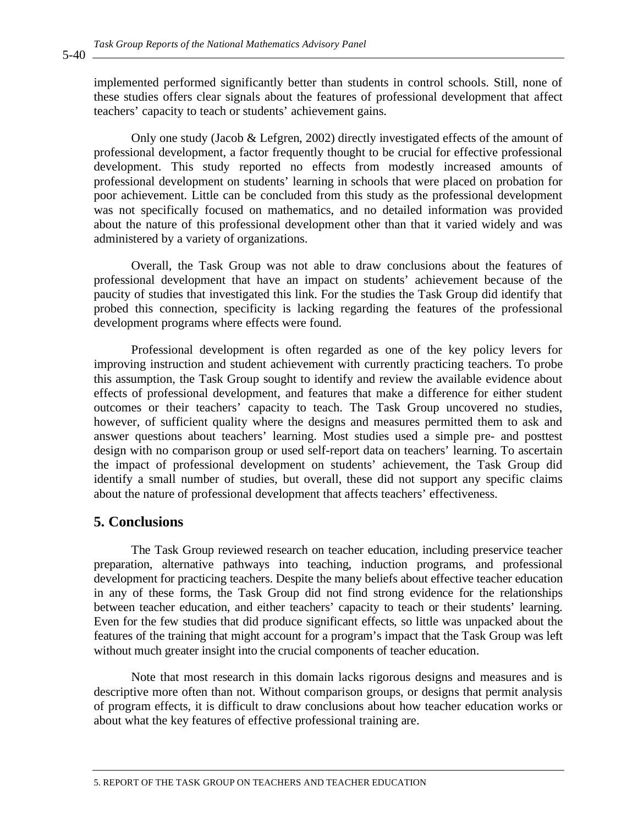implemented performed significantly better than students in control schools. Still, none of these studies offers clear signals about the features of professional development that affect teachers' capacity to teach or students' achievement gains.

Only one study (Jacob & Lefgren, 2002) directly investigated effects of the amount of professional development, a factor frequently thought to be crucial for effective professional development. This study reported no effects from modestly increased amounts of professional development on students' learning in schools that were placed on probation for poor achievement. Little can be concluded from this study as the professional development was not specifically focused on mathematics, and no detailed information was provided about the nature of this professional development other than that it varied widely and was administered by a variety of organizations.

Overall, the Task Group was not able to draw conclusions about the features of professional development that have an impact on students' achievement because of the paucity of studies that investigated this link. For the studies the Task Group did identify that probed this connection, specificity is lacking regarding the features of the professional development programs where effects were found.

Professional development is often regarded as one of the key policy levers for improving instruction and student achievement with currently practicing teachers. To probe this assumption, the Task Group sought to identify and review the available evidence about effects of professional development, and features that make a difference for either student outcomes or their teachers' capacity to teach. The Task Group uncovered no studies, however, of sufficient quality where the designs and measures permitted them to ask and answer questions about teachers' learning. Most studies used a simple pre- and posttest design with no comparison group or used self-report data on teachers' learning. To ascertain the impact of professional development on students' achievement, the Task Group did identify a small number of studies, but overall, these did not support any specific claims about the nature of professional development that affects teachers' effectiveness.

## **5. Conclusions**

The Task Group reviewed research on teacher education, including preservice teacher preparation, alternative pathways into teaching, induction programs, and professional development for practicing teachers. Despite the many beliefs about effective teacher education in any of these forms, the Task Group did not find strong evidence for the relationships between teacher education, and either teachers' capacity to teach or their students' learning. Even for the few studies that did produce significant effects, so little was unpacked about the features of the training that might account for a program's impact that the Task Group was left without much greater insight into the crucial components of teacher education.

Note that most research in this domain lacks rigorous designs and measures and is descriptive more often than not. Without comparison groups, or designs that permit analysis of program effects, it is difficult to draw conclusions about how teacher education works or about what the key features of effective professional training are.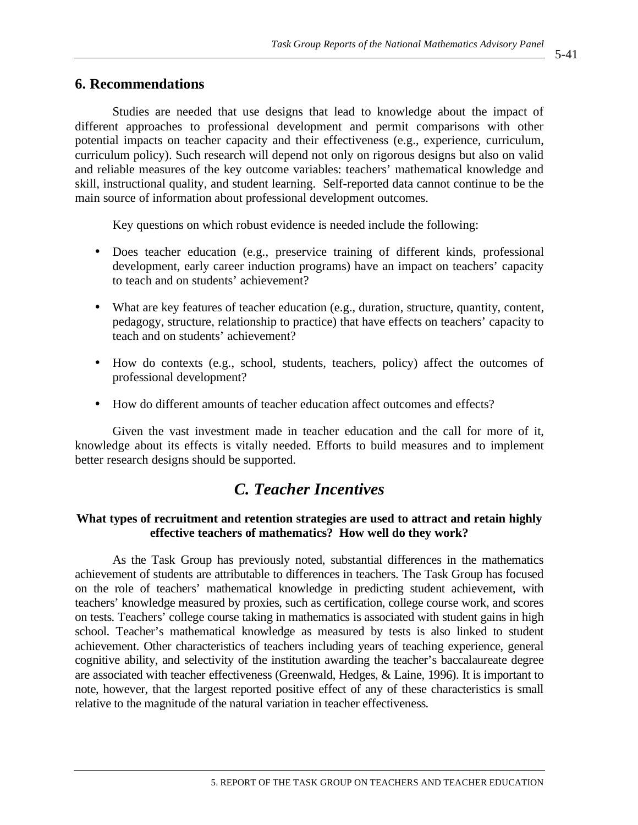## **6. Recommendations**

Studies are needed that use designs that lead to knowledge about the impact of different approaches to professional development and permit comparisons with other potential impacts on teacher capacity and their effectiveness (e.g., experience, curriculum, curriculum policy). Such research will depend not only on rigorous designs but also on valid and reliable measures of the key outcome variables: teachers' mathematical knowledge and skill, instructional quality, and student learning. Self-reported data cannot continue to be the main source of information about professional development outcomes.

Key questions on which robust evidence is needed include the following:

- Does teacher education (e.g., preservice training of different kinds, professional development, early career induction programs) have an impact on teachers' capacity to teach and on students' achievement?
- What are key features of teacher education (e.g., duration, structure, quantity, content, pedagogy, structure, relationship to practice) that have effects on teachers' capacity to teach and on students' achievement?
- How do contexts (e.g., school, students, teachers, policy) affect the outcomes of professional development?
- How do different amounts of teacher education affect outcomes and effects?

Given the vast investment made in teacher education and the call for more of it, knowledge about its effects is vitally needed. Efforts to build measures and to implement better research designs should be supported.

# *C. Teacher Incentives*

## **What types of recruitment and retention strategies are used to attract and retain highly effective teachers of mathematics? How well do they work?**

As the Task Group has previously noted, substantial differences in the mathematics achievement of students are attributable to differences in teachers. The Task Group has focused on the role of teachers' mathematical knowledge in predicting student achievement, with teachers' knowledge measured by proxies, such as certification, college course work, and scores on tests. Teachers' college course taking in mathematics is associated with student gains in high school. Teacher's mathematical knowledge as measured by tests is also linked to student achievement. Other characteristics of teachers including years of teaching experience, general cognitive ability, and selectivity of the institution awarding the teacher's baccalaureate degree are associated with teacher effectiveness (Greenwald, Hedges, & Laine, 1996). It is important to note, however, that the largest reported positive effect of any of these characteristics is small relative to the magnitude of the natural variation in teacher effectiveness.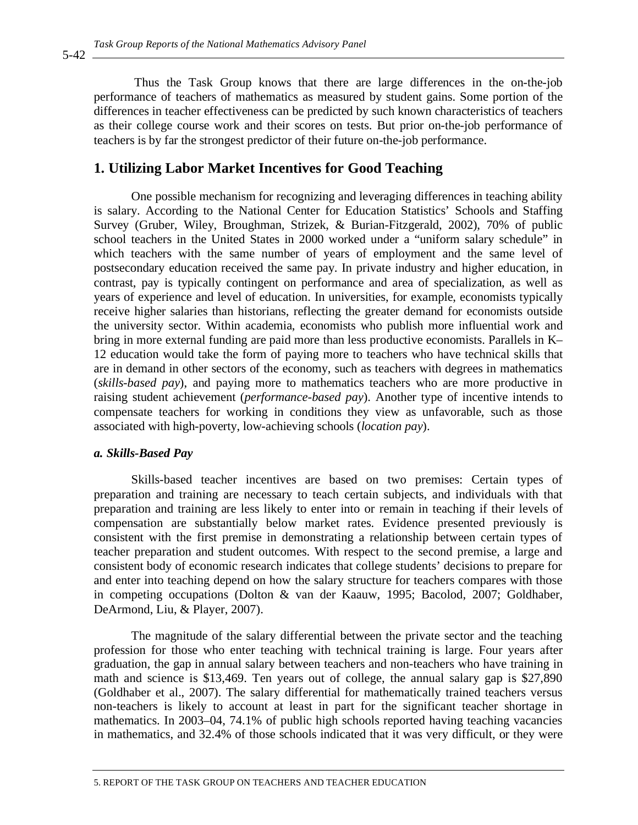Thus the Task Group knows that there are large differences in the on-the-job performance of teachers of mathematics as measured by student gains. Some portion of the differences in teacher effectiveness can be predicted by such known characteristics of teachers as their college course work and their scores on tests. But prior on-the-job performance of teachers is by far the strongest predictor of their future on-the-job performance.

## **1. Utilizing Labor Market Incentives for Good Teaching**

One possible mechanism for recognizing and leveraging differences in teaching ability is salary. According to the National Center for Education Statistics' Schools and Staffing Survey (Gruber, Wiley, Broughman, Strizek, & Burian-Fitzgerald, 2002), 70% of public school teachers in the United States in 2000 worked under a "uniform salary schedule" in which teachers with the same number of years of employment and the same level of postsecondary education received the same pay. In private industry and higher education, in contrast, pay is typically contingent on performance and area of specialization, as well as years of experience and level of education. In universities, for example, economists typically receive higher salaries than historians, reflecting the greater demand for economists outside the university sector. Within academia, economists who publish more influential work and bring in more external funding are paid more than less productive economists. Parallels in K– 12 education would take the form of paying more to teachers who have technical skills that are in demand in other sectors of the economy, such as teachers with degrees in mathematics (*skills-based pay*), and paying more to mathematics teachers who are more productive in raising student achievement (*performance-based pay*). Another type of incentive intends to compensate teachers for working in conditions they view as unfavorable, such as those associated with high-poverty, low-achieving schools (*location pay*).

#### *a. Skills-Based Pay*

Skills-based teacher incentives are based on two premises: Certain types of preparation and training are necessary to teach certain subjects, and individuals with that preparation and training are less likely to enter into or remain in teaching if their levels of compensation are substantially below market rates. Evidence presented previously is consistent with the first premise in demonstrating a relationship between certain types of teacher preparation and student outcomes. With respect to the second premise, a large and consistent body of economic research indicates that college students' decisions to prepare for and enter into teaching depend on how the salary structure for teachers compares with those in competing occupations (Dolton & van der Kaauw, 1995; Bacolod, 2007; Goldhaber, DeArmond, Liu, & Player, 2007).

The magnitude of the salary differential between the private sector and the teaching profession for those who enter teaching with technical training is large. Four years after graduation, the gap in annual salary between teachers and non-teachers who have training in math and science is \$13,469. Ten years out of college, the annual salary gap is \$27,890 (Goldhaber et al., 2007). The salary differential for mathematically trained teachers versus non-teachers is likely to account at least in part for the significant teacher shortage in mathematics. In 2003–04, 74.1% of public high schools reported having teaching vacancies in mathematics, and 32.4% of those schools indicated that it was very difficult, or they were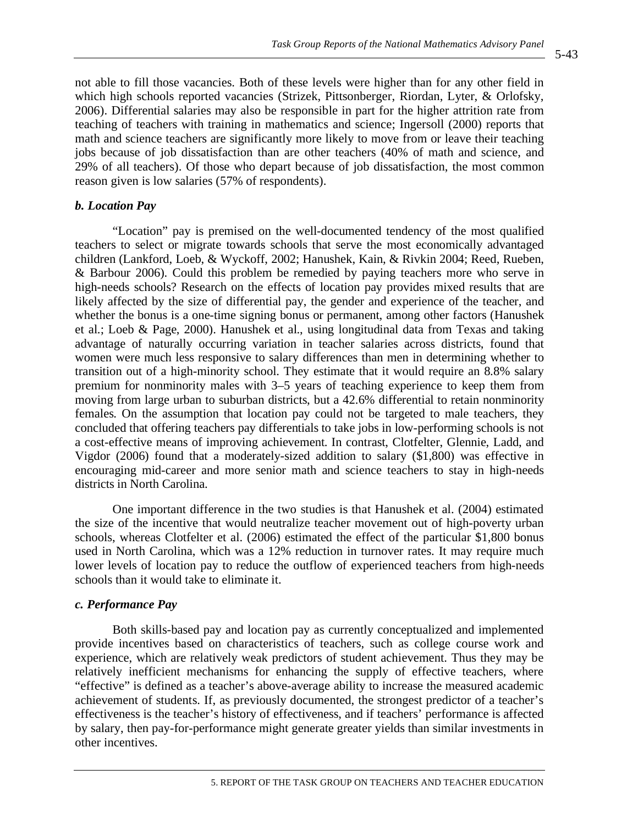not able to fill those vacancies. Both of these levels were higher than for any other field in which high schools reported vacancies (Strizek, Pittsonberger, Riordan, Lyter, & Orlofsky, 2006). Differential salaries may also be responsible in part for the higher attrition rate from teaching of teachers with training in mathematics and science; Ingersoll (2000) reports that math and science teachers are significantly more likely to move from or leave their teaching jobs because of job dissatisfaction than are other teachers (40% of math and science, and 29% of all teachers). Of those who depart because of job dissatisfaction, the most common reason given is low salaries (57% of respondents).

## *b. Location Pay*

"Location" pay is premised on the well-documented tendency of the most qualified teachers to select or migrate towards schools that serve the most economically advantaged children (Lankford, Loeb, & Wyckoff, 2002; Hanushek, Kain, & Rivkin 2004; Reed, Rueben, & Barbour 2006). Could this problem be remedied by paying teachers more who serve in high-needs schools? Research on the effects of location pay provides mixed results that are likely affected by the size of differential pay, the gender and experience of the teacher, and whether the bonus is a one-time signing bonus or permanent, among other factors (Hanushek et al.; Loeb & Page, 2000). Hanushek et al., using longitudinal data from Texas and taking advantage of naturally occurring variation in teacher salaries across districts, found that women were much less responsive to salary differences than men in determining whether to transition out of a high-minority school. They estimate that it would require an 8.8% salary premium for nonminority males with 3–5 years of teaching experience to keep them from moving from large urban to suburban districts, but a 42.6% differential to retain nonminority females. On the assumption that location pay could not be targeted to male teachers, they concluded that offering teachers pay differentials to take jobs in low-performing schools is not a cost-effective means of improving achievement. In contrast, Clotfelter, Glennie, Ladd, and Vigdor (2006) found that a moderately-sized addition to salary (\$1,800) was effective in encouraging mid-career and more senior math and science teachers to stay in high-needs districts in North Carolina.

One important difference in the two studies is that Hanushek et al. (2004) estimated the size of the incentive that would neutralize teacher movement out of high-poverty urban schools, whereas Clotfelter et al. (2006) estimated the effect of the particular \$1,800 bonus used in North Carolina, which was a 12% reduction in turnover rates. It may require much lower levels of location pay to reduce the outflow of experienced teachers from high-needs schools than it would take to eliminate it.

## *c. Performance Pay*

Both skills-based pay and location pay as currently conceptualized and implemented provide incentives based on characteristics of teachers, such as college course work and experience, which are relatively weak predictors of student achievement. Thus they may be relatively inefficient mechanisms for enhancing the supply of effective teachers, where "effective" is defined as a teacher's above-average ability to increase the measured academic achievement of students. If, as previously documented, the strongest predictor of a teacher's effectiveness is the teacher's history of effectiveness, and if teachers' performance is affected by salary, then pay-for-performance might generate greater yields than similar investments in other incentives.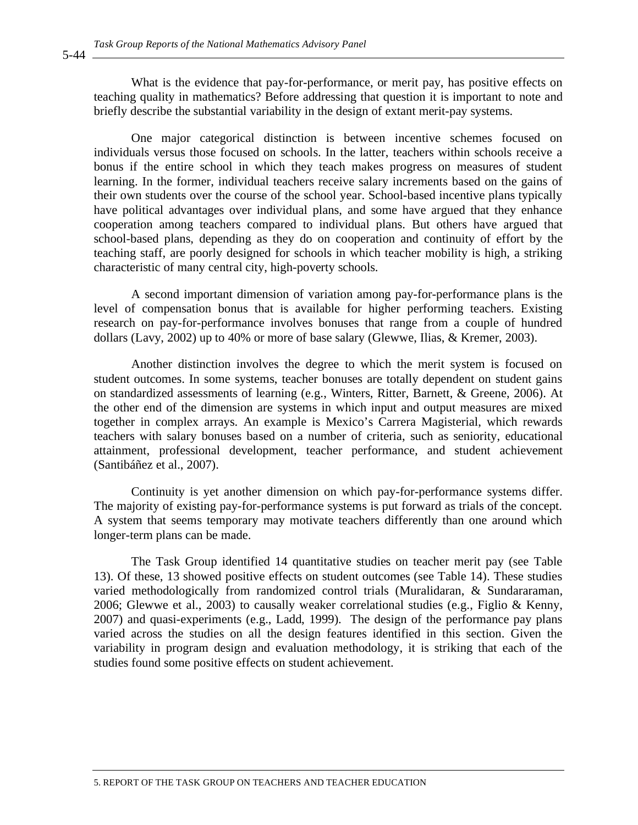What is the evidence that pay-for-performance, or merit pay, has positive effects on teaching quality in mathematics? Before addressing that question it is important to note and briefly describe the substantial variability in the design of extant merit-pay systems.

One major categorical distinction is between incentive schemes focused on individuals versus those focused on schools. In the latter, teachers within schools receive a bonus if the entire school in which they teach makes progress on measures of student learning. In the former, individual teachers receive salary increments based on the gains of their own students over the course of the school year. School-based incentive plans typically have political advantages over individual plans, and some have argued that they enhance cooperation among teachers compared to individual plans. But others have argued that school-based plans, depending as they do on cooperation and continuity of effort by the teaching staff, are poorly designed for schools in which teacher mobility is high, a striking characteristic of many central city, high-poverty schools.

A second important dimension of variation among pay-for-performance plans is the level of compensation bonus that is available for higher performing teachers. Existing research on pay-for-performance involves bonuses that range from a couple of hundred dollars (Lavy, 2002) up to 40% or more of base salary (Glewwe, Ilias, & Kremer, 2003).

Another distinction involves the degree to which the merit system is focused on student outcomes. In some systems, teacher bonuses are totally dependent on student gains on standardized assessments of learning (e.g., Winters, Ritter, Barnett, & Greene, 2006). At the other end of the dimension are systems in which input and output measures are mixed together in complex arrays. An example is Mexico's Carrera Magisterial, which rewards teachers with salary bonuses based on a number of criteria, such as seniority, educational attainment, professional development, teacher performance, and student achievement (Santibáñez et al., 2007).

Continuity is yet another dimension on which pay-for-performance systems differ. The majority of existing pay-for-performance systems is put forward as trials of the concept. A system that seems temporary may motivate teachers differently than one around which longer-term plans can be made.

The Task Group identified 14 quantitative studies on teacher merit pay (see Table 13). Of these, 13 showed positive effects on student outcomes (see Table 14). These studies varied methodologically from randomized control trials (Muralidaran, & Sundararaman, 2006; Glewwe et al., 2003) to causally weaker correlational studies (e.g., Figlio & Kenny, 2007) and quasi-experiments (e.g., Ladd, 1999). The design of the performance pay plans varied across the studies on all the design features identified in this section. Given the variability in program design and evaluation methodology, it is striking that each of the studies found some positive effects on student achievement.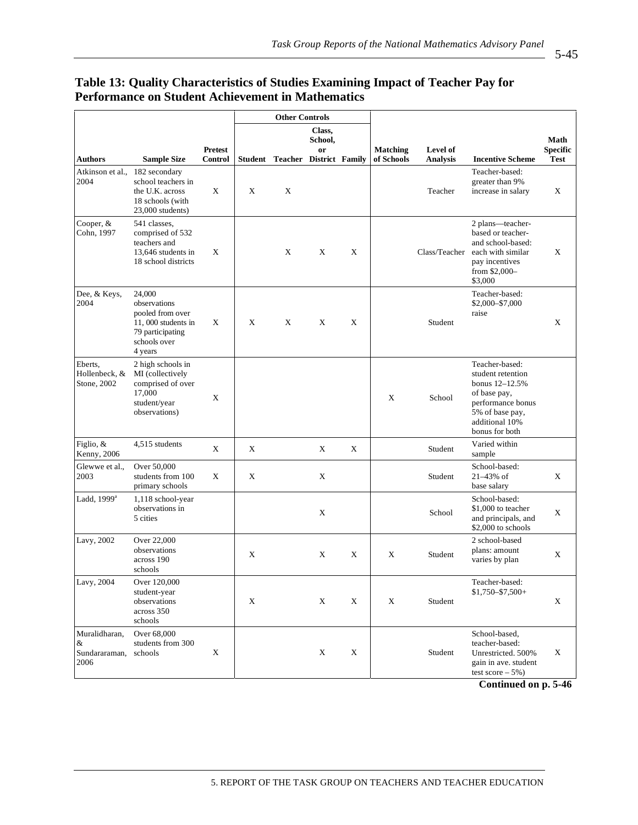| Table 19. Quality Characteristics of Studies Examiling Impact of Feacher 1 ay for<br>Performance on Student Achievement in Mathematics |                    |                |  |                       |         |  |                                                   |                 |                         |
|----------------------------------------------------------------------------------------------------------------------------------------|--------------------|----------------|--|-----------------------|---------|--|---------------------------------------------------|-----------------|-------------------------|
|                                                                                                                                        |                    |                |  | <b>Other Controls</b> |         |  |                                                   |                 |                         |
|                                                                                                                                        |                    |                |  |                       | Class.  |  |                                                   |                 |                         |
|                                                                                                                                        |                    |                |  |                       | School, |  |                                                   |                 |                         |
|                                                                                                                                        |                    | <b>Pretest</b> |  |                       | or      |  | <b>Matching</b>                                   | <b>Level of</b> |                         |
| Authors                                                                                                                                | <b>Sample Size</b> | Control        |  |                       |         |  | <b>Student Teacher District Family of Schools</b> | <b>Analysis</b> | <b>Incentive Scheme</b> |
|                                                                                                                                        |                    |                |  |                       |         |  |                                                   |                 |                         |

## **Table 13: Quality Characteristics of Studies Examining Impact of Teacher Pay for Performance on Student Achievement in Mathematics**

| Authors                                     | <b>Sample Size</b>                                                                                              | Control | Student | <b>Teacher District Family</b> |   |   | of Schools | <b>Analysis</b> | <b>Incentive Scheme</b>                                                                                                                           | Test |
|---------------------------------------------|-----------------------------------------------------------------------------------------------------------------|---------|---------|--------------------------------|---|---|------------|-----------------|---------------------------------------------------------------------------------------------------------------------------------------------------|------|
| Atkinson et al.,<br>2004                    | 182 secondary<br>school teachers in<br>the U.K. across<br>18 schools (with<br>$23,000$ students)                | X       | X       | X                              |   |   |            | Teacher         | Teacher-based:<br>greater than 9%<br>increase in salary                                                                                           | X    |
| Cooper, &<br>Cohn, 1997                     | 541 classes,<br>comprised of 532<br>teachers and<br>13,646 students in<br>18 school districts                   | X       |         | X                              | X | X |            | Class/Teacher   | 2 plans—teacher-<br>based or teacher-<br>and school-based:<br>each with similar<br>pay incentives<br>from \$2,000-<br>\$3,000                     | X    |
| Dee, & Keys,<br>2004                        | 24,000<br>observations<br>pooled from over<br>11,000 students in<br>79 participating<br>schools over<br>4 years | X       | X       | X                              | X | X |            | Student         | Teacher-based:<br>\$2,000-\$7,000<br>raise                                                                                                        | X    |
| Eberts,<br>Hollenbeck, &<br>Stone, 2002     | 2 high schools in<br>MI (collectively<br>comprised of over<br>17,000<br>student/year<br>observations)           | X       |         |                                |   |   | X          | School          | Teacher-based:<br>student retention<br>bonus 12-12.5%<br>of base pay,<br>performance bonus<br>5% of base pay,<br>additional 10%<br>bonus for both |      |
| Figlio, &<br>Kenny, 2006                    | 4,515 students                                                                                                  | X       | X       |                                | X | X |            | Student         | Varied within<br>sample                                                                                                                           |      |
| Glewwe et al.,<br>2003                      | Over 50,000<br>students from 100<br>primary schools                                                             | Χ       | X       |                                | X |   |            | Student         | School-based:<br>21-43% of<br>base salary                                                                                                         | X    |
| Ladd, $1999^a$                              | 1,118 school-year<br>observations in<br>5 cities                                                                |         |         |                                | X |   |            | School          | School-based:<br>\$1,000 to teacher<br>and principals, and<br>\$2,000 to schools                                                                  | X    |
| Lavy, 2002                                  | Over 22,000<br>observations<br>across 190<br>schools                                                            |         | X       |                                | X | X | X          | Student         | 2 school-based<br>plans: amount<br>varies by plan                                                                                                 | X    |
| Lavy, 2004                                  | Over 120,000<br>student-year<br>observations<br>across 350<br>schools                                           |         | X       |                                | X | X | X          | Student         | Teacher-based:<br>$$1,750 - $7,500 +$                                                                                                             | X    |
| Muralidharan,<br>&<br>Sundararaman,<br>2006 | Over 68,000<br>students from 300<br>schools                                                                     | X       |         |                                | X | X |            | Student         | School-based,<br>teacher-based:<br>Unrestricted. 500%<br>gain in ave. student<br>test score $-5\%$ )                                              | X    |
|                                             |                                                                                                                 |         |         |                                |   |   |            |                 | Continued on n 5.46                                                                                                                               |      |

**Continued on p. 5-46** 

**Math Specific**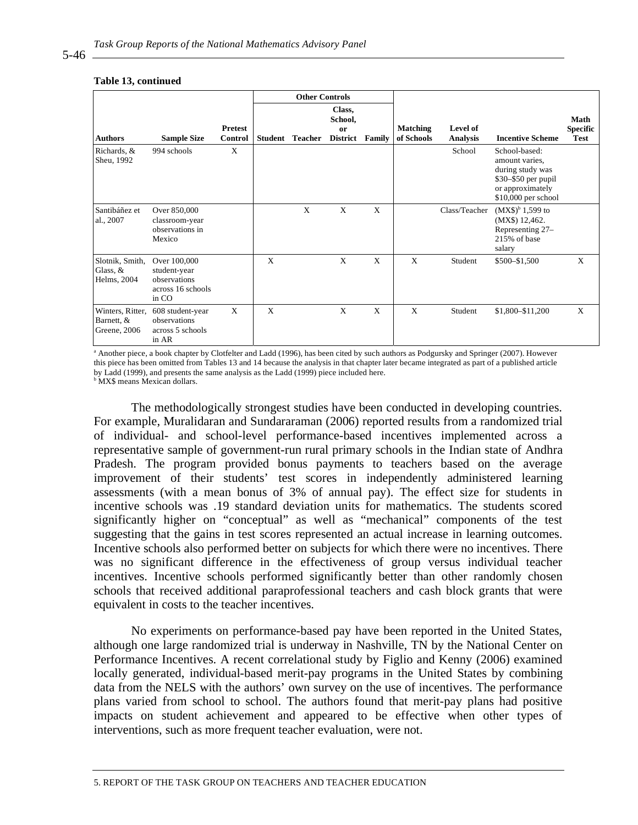#### **Other Controls Authors Sample Size Pretest Student Teacher Class, School, or District Family Matching of Schools Level of Incentive Scheme Math Specific Test** Richards, & Sheu, 1992 994 schools X Network School School School School School School School School School School School School School School School School School School School School School School School School School School School School Scho amount varies, during study was \$30–\$50 per pupil or approximately \$10,000 per school Santibáñez et al., 2007 Over 850,000 classroom-year observations in Mexico  $X$   $X$   $X$  Class/Teacher  $(MX\$ <sup>b</sup> 1,599 to (MX\$) 12,462. Representing 27– 215% of base salary Slotnik, Smith, Glass, & Helms, 2004 Over 100,000 student-year observations across 16 schools in CO  $X$   $X$   $X$   $X$   $X$  Student \$500–\$1,500  $X$ Winters, Ritter, 608 student-year Barnett, & Greene, 2006 observations across 5 schools in AR X X X X X Student \$1,800–\$11,200 X

#### **Table 13, continued**

<sup>a</sup> Another piece, a book chapter by Clotfelter and Ladd (1996), has been cited by such authors as Podgursky and Springer (2007). However this piece has been omitted from Tables 13 and 14 because the analysis in that chapter later became integrated as part of a published article by Ladd (1999), and presents the same analysis as the Ladd (1999) piece included here.

**MX\$** means Mexican dollars.

The methodologically strongest studies have been conducted in developing countries. For example, Muralidaran and Sundararaman (2006) reported results from a randomized trial of individual- and school-level performance-based incentives implemented across a representative sample of government-run rural primary schools in the Indian state of Andhra Pradesh. The program provided bonus payments to teachers based on the average improvement of their students' test scores in independently administered learning assessments (with a mean bonus of 3% of annual pay). The effect size for students in incentive schools was .19 standard deviation units for mathematics. The students scored significantly higher on "conceptual" as well as "mechanical" components of the test suggesting that the gains in test scores represented an actual increase in learning outcomes. Incentive schools also performed better on subjects for which there were no incentives. There was no significant difference in the effectiveness of group versus individual teacher incentives. Incentive schools performed significantly better than other randomly chosen schools that received additional paraprofessional teachers and cash block grants that were equivalent in costs to the teacher incentives.

No experiments on performance-based pay have been reported in the United States, although one large randomized trial is underway in Nashville, TN by the National Center on Performance Incentives. A recent correlational study by Figlio and Kenny (2006) examined locally generated, individual-based merit-pay programs in the United States by combining data from the NELS with the authors' own survey on the use of incentives. The performance plans varied from school to school. The authors found that merit-pay plans had positive impacts on student achievement and appeared to be effective when other types of interventions, such as more frequent teacher evaluation, were not.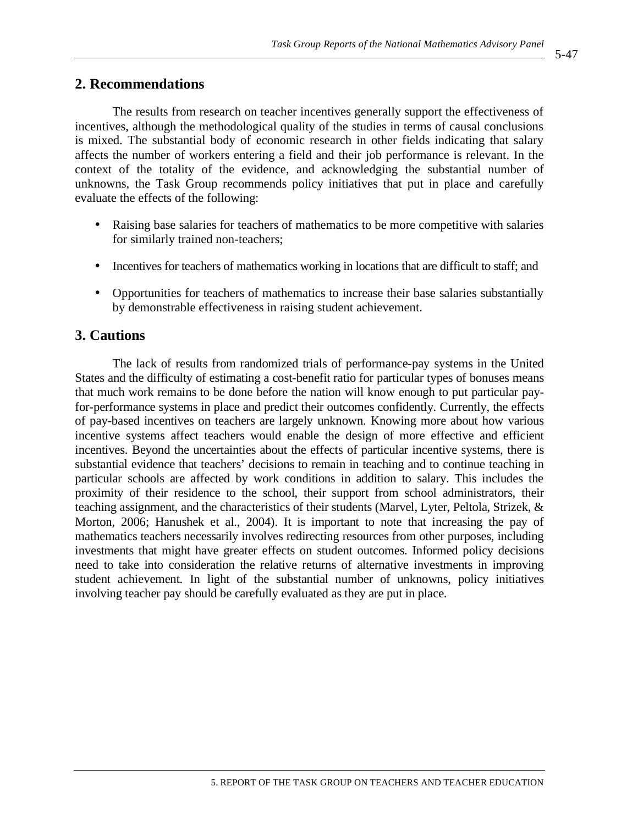## **2. Recommendations**

The results from research on teacher incentives generally support the effectiveness of incentives, although the methodological quality of the studies in terms of causal conclusions is mixed. The substantial body of economic research in other fields indicating that salary affects the number of workers entering a field and their job performance is relevant. In the context of the totality of the evidence, and acknowledging the substantial number of unknowns, the Task Group recommends policy initiatives that put in place and carefully evaluate the effects of the following:

- Raising base salaries for teachers of mathematics to be more competitive with salaries for similarly trained non-teachers;
- Incentives for teachers of mathematics working in locations that are difficult to staff; and
- Opportunities for teachers of mathematics to increase their base salaries substantially by demonstrable effectiveness in raising student achievement.

## **3. Cautions**

The lack of results from randomized trials of performance-pay systems in the United States and the difficulty of estimating a cost-benefit ratio for particular types of bonuses means that much work remains to be done before the nation will know enough to put particular payfor-performance systems in place and predict their outcomes confidently. Currently, the effects of pay-based incentives on teachers are largely unknown. Knowing more about how various incentive systems affect teachers would enable the design of more effective and efficient incentives. Beyond the uncertainties about the effects of particular incentive systems, there is substantial evidence that teachers' decisions to remain in teaching and to continue teaching in particular schools are affected by work conditions in addition to salary. This includes the proximity of their residence to the school, their support from school administrators, their teaching assignment, and the characteristics of their students (Marvel, Lyter, Peltola, Strizek, & Morton, 2006; Hanushek et al., 2004). It is important to note that increasing the pay of mathematics teachers necessarily involves redirecting resources from other purposes, including investments that might have greater effects on student outcomes. Informed policy decisions need to take into consideration the relative returns of alternative investments in improving student achievement. In light of the substantial number of unknowns, policy initiatives involving teacher pay should be carefully evaluated as they are put in place.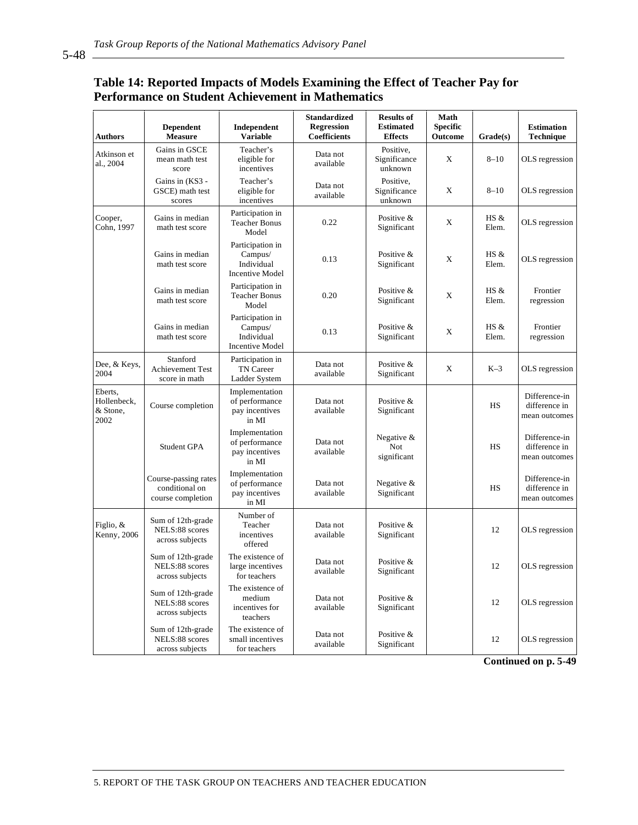5-48

## **Table 14: Reported Impacts of Models Examining the Effect of Teacher Pay for Performance on Student Achievement in Mathematics**

| Authors                                    | <b>Dependent</b><br><b>Measure</b>                          | Independent<br><b>Variable</b>                                      | <b>Standardized</b><br><b>Regression</b><br>Coefficients | <b>Results of</b><br><b>Estimated</b><br><b>Effects</b> | Math<br><b>Specific</b><br><b>Outcome</b> | Grade(s)      | <b>Estimation</b><br><b>Technique</b>           |
|--------------------------------------------|-------------------------------------------------------------|---------------------------------------------------------------------|----------------------------------------------------------|---------------------------------------------------------|-------------------------------------------|---------------|-------------------------------------------------|
| Atkinson et<br>al., 2004                   | Gains in GSCE<br>mean math test<br>score                    | Teacher's<br>eligible for<br>incentives                             | Data not<br>available                                    | Positive,<br>Significance<br>unknown                    | X                                         | $8 - 10$      | OLS regression                                  |
|                                            | Gains in (KS3 -<br>GSCE) math test<br>scores                | Teacher's<br>eligible for<br>incentives                             | Data not<br>available                                    | Positive,<br>Significance<br>unknown                    | X                                         | $8 - 10$      | OLS regression                                  |
| Cooper,<br>Cohn. 1997                      | Gains in median<br>math test score                          | Participation in<br><b>Teacher Bonus</b><br>Model                   | 0.22                                                     | Positive &<br>Significant                               | X                                         | HS &<br>Elem. | OLS regression                                  |
|                                            | Gains in median<br>math test score                          | Participation in<br>Campus/<br>Individual<br><b>Incentive Model</b> | 0.13                                                     | Positive &<br>Significant                               | X                                         | HS &<br>Elem. | OLS regression                                  |
|                                            | Gains in median<br>math test score                          | Participation in<br><b>Teacher Bonus</b><br>Model                   | 0.20                                                     | Positive &<br>Significant                               | X                                         | HS &<br>Elem. | Frontier<br>regression                          |
|                                            | Gains in median<br>math test score                          | Participation in<br>Campus/<br>Individual<br><b>Incentive Model</b> | 0.13                                                     | Positive &<br>Significant                               | X                                         | HS &<br>Elem. | Frontier<br>regression                          |
| Dee, & Keys,<br>2004                       | Stanford<br><b>Achievement Test</b><br>score in math        | Participation in<br>TN Career<br>Ladder System                      | Data not<br>available                                    | Positive &<br>Significant                               | X                                         | $K-3$         | OLS regression                                  |
| Eberts.<br>Hollenbeck,<br>& Stone,<br>2002 | Course completion                                           | Implementation<br>of performance<br>pay incentives<br>in MI         | Data not<br>available                                    | Positive &<br>Significant                               |                                           | <b>HS</b>     | Difference-in<br>difference in<br>mean outcomes |
|                                            | <b>Student GPA</b>                                          | Implementation<br>of performance<br>pay incentives<br>in MI         | Data not<br>available                                    | Negative &<br>Not<br>significant                        |                                           | <b>HS</b>     | Difference-in<br>difference in<br>mean outcomes |
|                                            | Course-passing rates<br>conditional on<br>course completion | Implementation<br>of performance<br>pay incentives<br>in MI         | Data not<br>available                                    | Negative &<br>Significant                               |                                           | <b>HS</b>     | Difference-in<br>difference in<br>mean outcomes |
| Figlio, &<br>Kenny, 2006                   | Sum of 12th-grade<br>NELS:88 scores<br>across subjects      | Number of<br>Teacher<br>incentives<br>offered                       | Data not<br>available                                    | Positive &<br>Significant                               |                                           | 12            | OLS regression                                  |
|                                            | Sum of 12th-grade<br>NELS:88 scores<br>across subjects      | The existence of<br>large incentives<br>for teachers                | Data not<br>available                                    | Positive &<br>Significant                               |                                           | 12            | OLS regression                                  |
|                                            | Sum of 12th-grade<br>NELS:88 scores<br>across subjects      | The existence of<br>medium<br>incentives for<br>teachers            | Data not<br>available                                    | Positive &<br>Significant                               |                                           | 12            | OLS regression                                  |
|                                            | Sum of 12th-grade<br>NELS:88 scores<br>across subjects      | The existence of<br>small incentives<br>for teachers                | Data not<br>available                                    | Positive &<br>Significant                               |                                           | 12            | OLS regression                                  |

**Continued on p. 5-49**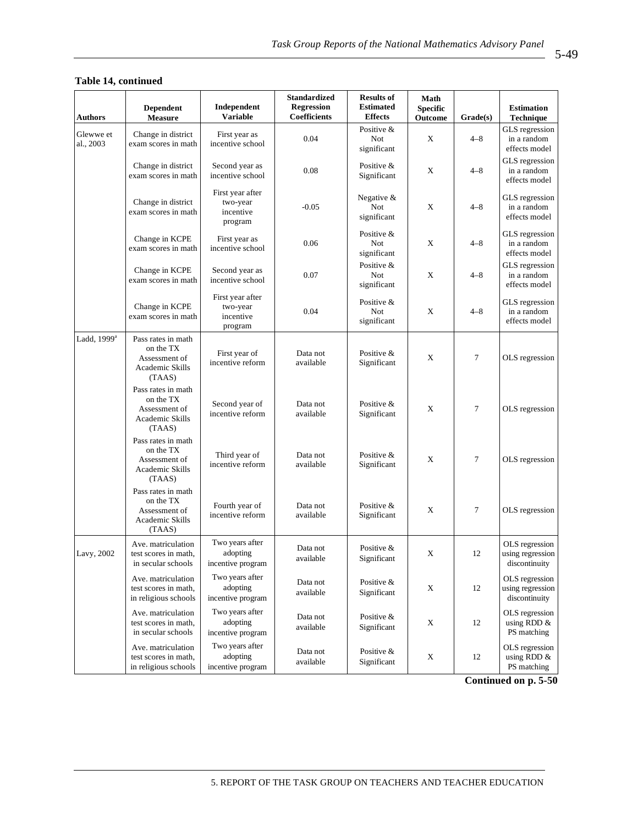| <b>Authors</b>          | <b>Dependent</b><br><b>Measure</b>                                            | Independent<br><b>Variable</b>                       | <b>Standardized</b><br><b>Regression</b><br>Coefficients | <b>Results of</b><br><b>Estimated</b><br><b>Effects</b> | Math<br><b>Specific</b><br>Outcome | Grade(s)       | <b>Estimation</b><br>Technique                      |
|-------------------------|-------------------------------------------------------------------------------|------------------------------------------------------|----------------------------------------------------------|---------------------------------------------------------|------------------------------------|----------------|-----------------------------------------------------|
| Glewwe et<br>al., 2003  | Change in district<br>exam scores in math                                     | First year as<br>incentive school                    | 0.04                                                     | Positive &<br>Not<br>significant                        | X                                  | $4 - 8$        | GLS regression<br>in a random<br>effects model      |
|                         | Change in district<br>exam scores in math                                     | Second year as<br>incentive school                   | 0.08                                                     | Positive &<br>Significant                               | X                                  | $4 - 8$        | GLS regression<br>in a random<br>effects model      |
|                         | Change in district<br>exam scores in math                                     | First year after<br>two-year<br>incentive<br>program | $-0.05$                                                  | Negative $&$<br>Not<br>significant                      | X                                  | $4 - 8$        | GLS regression<br>in a random<br>effects model      |
|                         | Change in KCPE<br>exam scores in math                                         | First year as<br>incentive school                    | 0.06                                                     | Positive &<br>Not<br>significant                        | X                                  | $4 - 8$        | GLS regression<br>in a random<br>effects model      |
|                         | Change in KCPE<br>exam scores in math                                         | Second year as<br>incentive school                   | 0.07                                                     | Positive &<br>Not<br>significant                        | X                                  | $4 - 8$        | GLS regression<br>in a random<br>effects model      |
|                         | Change in KCPE<br>exam scores in math                                         | First year after<br>two-year<br>incentive<br>program | 0.04                                                     | Positive &<br>Not<br>significant                        | X                                  | $4 - 8$        | GLS regression<br>in a random<br>effects model      |
| Ladd, 1999 <sup>a</sup> | Pass rates in math<br>on the TX<br>Assessment of<br>Academic Skills<br>(TAAS) | First year of<br>incentive reform                    | Data not<br>available                                    | Positive &<br>Significant                               | X                                  | $\overline{7}$ | OLS regression                                      |
|                         | Pass rates in math<br>on the TX<br>Assessment of<br>Academic Skills<br>(TAAS) | Second year of<br>incentive reform                   | Data not<br>available                                    | Positive &<br>Significant                               | X                                  | 7              | OLS regression                                      |
|                         | Pass rates in math<br>on the TX<br>Assessment of<br>Academic Skills<br>(TAAS) | Third year of<br>incentive reform                    | Data not<br>available                                    | Positive &<br>Significant                               | X                                  | 7              | OLS regression                                      |
|                         | Pass rates in math<br>on the TX<br>Assessment of<br>Academic Skills<br>(TAAS) | Fourth year of<br>incentive reform                   | Data not<br>available                                    | Positive &<br>Significant                               | X                                  | 7              | OLS regression                                      |
| Lavy, 2002              | Ave. matriculation<br>test scores in math.<br>in secular schools              | Two years after<br>adopting<br>incentive program     | Data not<br>available                                    | Positive $&$<br>Significant                             | X                                  | 12             | OLS regression<br>using regression<br>discontinuity |
|                         | Ave. matriculation<br>test scores in math,<br>in religious schools            | Two years after<br>adopting<br>incentive program     | Data not<br>available                                    | Positive &<br>Significant                               | $\mathbf X$                        | 12             | OLS regression<br>using regression<br>discontinuity |
|                         | Ave. matriculation<br>test scores in math,<br>in secular schools              | Two years after<br>adopting<br>incentive program     | Data not<br>available                                    | Positive $&$<br>Significant                             | X                                  | 12             | OLS regression<br>using RDD &<br>PS matching        |
|                         | Ave. matriculation<br>test scores in math,<br>in religious schools            | Two years after<br>adopting<br>incentive program     | Data not<br>available                                    | Positive $&$<br>Significant                             | X                                  | 12             | OLS regression<br>using RDD &<br>PS matching        |

#### **Table 14, continued**

**Continued on p. 5-50**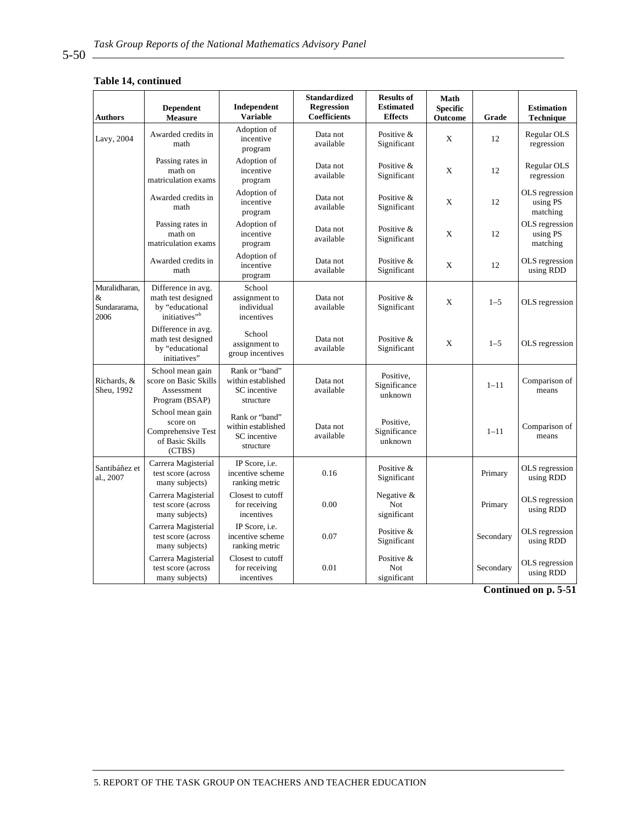#### **Table 14, continued**

| <b>Authors</b>                                | <b>Dependent</b><br><b>Measure</b>                                                       | Independent<br><b>Variable</b>                                    | <b>Standardized</b><br><b>Regression</b><br>Coefficients | <b>Results of</b><br><b>Estimated</b><br><b>Effects</b> | <b>Math</b><br><b>Specific</b><br>Outcome | Grade     | <b>Estimation</b><br>Technique         |
|-----------------------------------------------|------------------------------------------------------------------------------------------|-------------------------------------------------------------------|----------------------------------------------------------|---------------------------------------------------------|-------------------------------------------|-----------|----------------------------------------|
| Lavy, 2004                                    | Awarded credits in<br>math                                                               | Adoption of<br>incentive<br>program                               | Data not<br>available                                    | Positive &<br>Significant                               | X                                         | 12        | Regular OLS<br>regression              |
|                                               | Passing rates in<br>math on<br>matriculation exams                                       | Adoption of<br>incentive<br>program                               | Data not<br>available                                    | Positive &<br>Significant                               | X                                         | 12        | Regular OLS<br>regression              |
|                                               | Awarded credits in<br>math                                                               | Adoption of<br>incentive<br>program                               | Data not<br>available                                    | Positive &<br>Significant                               | X                                         | 12        | OLS regression<br>using PS<br>matching |
|                                               | Passing rates in<br>math on<br>matriculation exams                                       | Adoption of<br>incentive<br>program                               | Data not<br>available                                    | Positive &<br>Significant                               | X                                         | 12        | OLS regression<br>using PS<br>matching |
|                                               | Awarded credits in<br>math                                                               | Adoption of<br>incentive<br>program                               | Data not<br>available                                    | Positive &<br>Significant                               | X                                         | 12        | OLS regression<br>using RDD            |
| Muralidharan,<br>$\&$<br>Sundararama,<br>2006 | Difference in avg.<br>math test designed<br>by "educational<br>initiatives" <sup>b</sup> | School<br>assignment to<br>individual<br>incentives               | Data not<br>available                                    | Positive &<br>Significant                               | X                                         | $1 - 5$   | OLS regression                         |
|                                               | Difference in avg.<br>math test designed<br>by "educational<br>initiatives"              | School<br>assignment to<br>group incentives                       | Data not<br>available                                    | Positive &<br>Significant                               | X                                         | $1 - 5$   | OLS regression                         |
| Richards, &<br>Sheu, 1992                     | School mean gain<br>score on Basic Skills<br>Assessment<br>Program (BSAP)                | Rank or "band"<br>within established<br>SC incentive<br>structure | Data not<br>available                                    | Positive,<br>Significance<br>unknown                    |                                           | $1 - 11$  | Comparison of<br>means                 |
|                                               | School mean gain<br>score on<br>Comprehensive Test<br>of Basic Skills<br>(CTBS)          | Rank or "band"<br>within established<br>SC incentive<br>structure | Data not<br>available                                    | Positive,<br>Significance<br>unknown                    |                                           | $1 - 11$  | Comparison of<br>means                 |
| Santibáñez et<br>al., 2007                    | Carrera Magisterial<br>test score (across<br>many subjects)                              | IP Score, i.e.<br>incentive scheme<br>ranking metric              | 0.16                                                     | Positive &<br>Significant                               |                                           | Primary   | OLS regression<br>using RDD            |
|                                               | Carrera Magisterial<br>test score (across<br>many subjects)                              | Closest to cutoff<br>for receiving<br>incentives                  | 0.00                                                     | Negative &<br>Not<br>significant                        |                                           | Primary   | OLS regression<br>using RDD            |
|                                               | Carrera Magisterial<br>test score (across<br>many subjects)                              | IP Score, i.e.<br>incentive scheme<br>ranking metric              | 0.07                                                     | Positive &<br>Significant                               |                                           | Secondary | OLS regression<br>using RDD            |
|                                               | Carrera Magisterial<br>test score (across<br>many subjects)                              | Closest to cutoff<br>for receiving<br>incentives                  | 0.01                                                     | Positive &<br>Not<br>significant                        |                                           | Secondary | OLS regression<br>using RDD            |

**Continued on p. 5-51** 

5. REPORT OF THE TASK GROUP ON TEACHERS AND TEACHER EDUCATION

5-50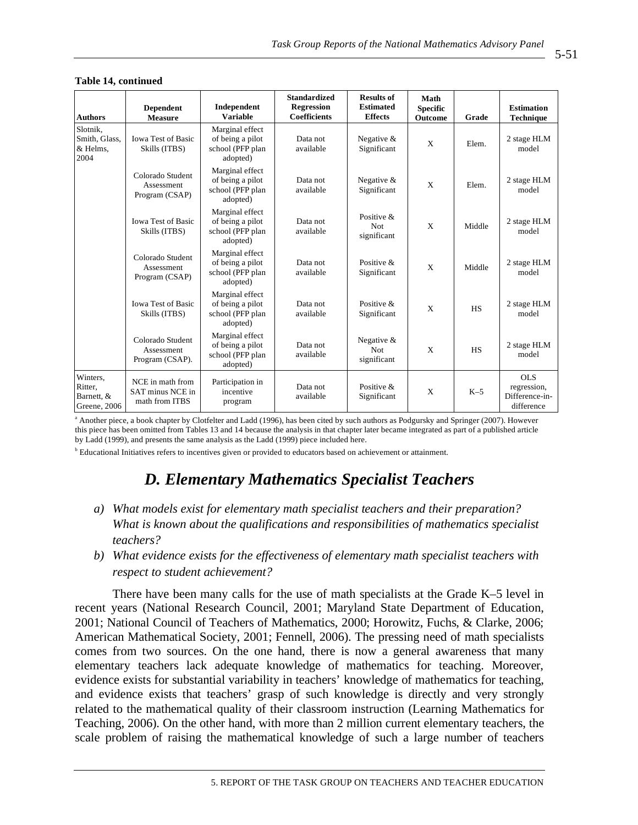| <b>Authors</b>                                    | <b>Dependent</b><br><b>Measure</b>                     | Independent<br><b>Variable</b>                                      | <b>Standardized</b><br><b>Regression</b><br><b>Coefficients</b> | <b>Results of</b><br><b>Estimated</b><br><b>Effects</b> | Math<br><b>Specific</b><br>Outcome | Grade     | <b>Estimation</b><br>Technique                            |
|---------------------------------------------------|--------------------------------------------------------|---------------------------------------------------------------------|-----------------------------------------------------------------|---------------------------------------------------------|------------------------------------|-----------|-----------------------------------------------------------|
| Slotnik,<br>Smith, Glass,<br>& Helms.<br>2004     | <b>Iowa Test of Basic</b><br>Skills (ITBS)             | Marginal effect<br>of being a pilot<br>school (PFP plan<br>adopted) | Data not<br>available                                           | Negative &<br>Significant                               | X                                  | Elem.     | 2 stage HLM<br>model                                      |
|                                                   | Colorado Student<br>Assessment<br>Program (CSAP)       | Marginal effect<br>of being a pilot<br>school (PFP plan<br>adopted) | Data not<br>available                                           | Negative $&$<br>Significant                             | $\mathbf{x}$                       | Elem.     | 2 stage HLM<br>model                                      |
|                                                   | <b>Iowa Test of Basic</b><br>Skills (ITBS)             | Marginal effect<br>of being a pilot<br>school (PFP plan<br>adopted) | Data not<br>available                                           | Positive &<br>Not<br>significant                        | X                                  | Middle    | 2 stage HLM<br>model                                      |
|                                                   | Colorado Student<br>Assessment<br>Program (CSAP)       | Marginal effect<br>of being a pilot<br>school (PFP plan<br>adopted) | Data not<br>available                                           | Positive &<br>Significant                               | X                                  | Middle    | 2 stage HLM<br>model                                      |
|                                                   | <b>Iowa Test of Basic</b><br>Skills (ITBS)             | Marginal effect<br>of being a pilot<br>school (PFP plan<br>adopted) | Data not<br>available                                           | Positive &<br>Significant                               | X                                  | <b>HS</b> | 2 stage HLM<br>model                                      |
|                                                   | Colorado Student<br>Assessment<br>Program (CSAP).      | Marginal effect<br>of being a pilot<br>school (PFP plan<br>adopted) | Data not<br>available                                           | Negative &<br><b>Not</b><br>significant                 | X                                  | <b>HS</b> | 2 stage HLM<br>model                                      |
| Winters,<br>Ritter,<br>Barnett, &<br>Greene, 2006 | NCE in math from<br>SAT minus NCE in<br>math from ITBS | Participation in<br>incentive<br>program                            | Data not<br>available                                           | Positive $\&$<br>Significant                            | X                                  | $K-5$     | <b>OLS</b><br>regression,<br>Difference-in-<br>difference |

#### **Table 14, continued**

<sup>a</sup> Another piece, a book chapter by Clotfelter and Ladd (1996), has been cited by such authors as Podgursky and Springer (2007). However this piece has been omitted from Tables 13 and 14 because the analysis in that chapter later became integrated as part of a published article by Ladd (1999), and presents the same analysis as the Ladd (1999) piece included here.

<sup>b</sup> Educational Initiatives refers to incentives given or provided to educators based on achievement or attainment.

# *D. Elementary Mathematics Specialist Teachers*

- *a) What models exist for elementary math specialist teachers and their preparation? What is known about the qualifications and responsibilities of mathematics specialist teachers?*
- *b) What evidence exists for the effectiveness of elementary math specialist teachers with respect to student achievement?*

There have been many calls for the use of math specialists at the Grade K–5 level in recent years (National Research Council, 2001; Maryland State Department of Education, 2001; National Council of Teachers of Mathematics, 2000; Horowitz, Fuchs, & Clarke, 2006; American Mathematical Society, 2001; Fennell, 2006). The pressing need of math specialists comes from two sources. On the one hand, there is now a general awareness that many elementary teachers lack adequate knowledge of mathematics for teaching. Moreover, evidence exists for substantial variability in teachers' knowledge of mathematics for teaching, and evidence exists that teachers' grasp of such knowledge is directly and very strongly related to the mathematical quality of their classroom instruction (Learning Mathematics for Teaching, 2006). On the other hand, with more than 2 million current elementary teachers, the scale problem of raising the mathematical knowledge of such a large number of teachers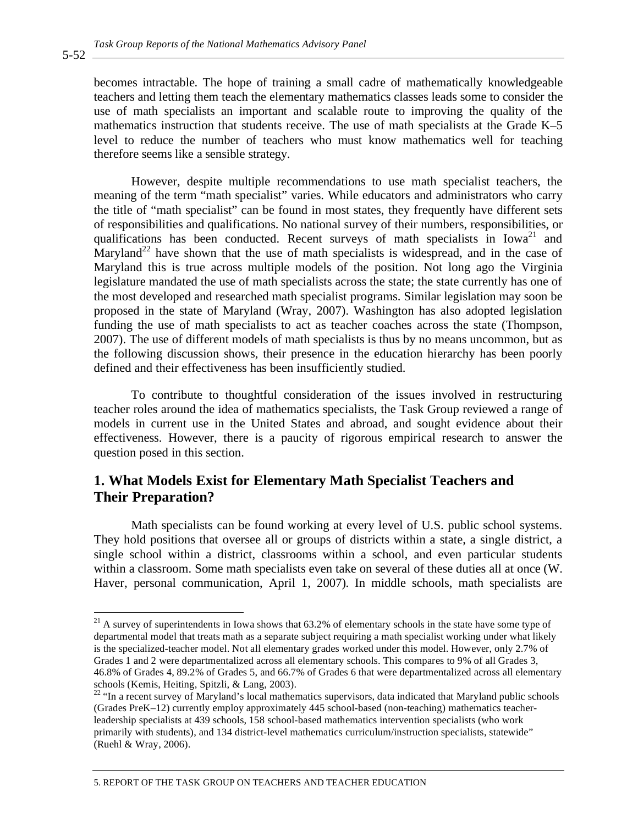becomes intractable. The hope of training a small cadre of mathematically knowledgeable teachers and letting them teach the elementary mathematics classes leads some to consider the use of math specialists an important and scalable route to improving the quality of the mathematics instruction that students receive. The use of math specialists at the Grade K–5 level to reduce the number of teachers who must know mathematics well for teaching therefore seems like a sensible strategy.

However, despite multiple recommendations to use math specialist teachers, the meaning of the term "math specialist" varies. While educators and administrators who carry the title of "math specialist" can be found in most states, they frequently have different sets of responsibilities and qualifications. No national survey of their numbers, responsibilities, or qualifications has been conducted. Recent surveys of math specialists in  $Iowa<sup>21</sup>$  and Maryland<sup>22</sup> have shown that the use of math specialists is widespread, and in the case of Maryland this is true across multiple models of the position. Not long ago the Virginia legislature mandated the use of math specialists across the state; the state currently has one of the most developed and researched math specialist programs. Similar legislation may soon be proposed in the state of Maryland (Wray, 2007). Washington has also adopted legislation funding the use of math specialists to act as teacher coaches across the state (Thompson, 2007). The use of different models of math specialists is thus by no means uncommon, but as the following discussion shows, their presence in the education hierarchy has been poorly defined and their effectiveness has been insufficiently studied.

To contribute to thoughtful consideration of the issues involved in restructuring teacher roles around the idea of mathematics specialists, the Task Group reviewed a range of models in current use in the United States and abroad, and sought evidence about their effectiveness. However, there is a paucity of rigorous empirical research to answer the question posed in this section.

## **1. What Models Exist for Elementary Math Specialist Teachers and Their Preparation?**

Math specialists can be found working at every level of U.S. public school systems. They hold positions that oversee all or groups of districts within a state, a single district, a single school within a district, classrooms within a school, and even particular students within a classroom. Some math specialists even take on several of these duties all at once (W. Haver, personal communication, April 1, 2007). In middle schools, math specialists are

5-52

 $21$  A survey of superintendents in Iowa shows that 63.2% of elementary schools in the state have some type of departmental model that treats math as a separate subject requiring a math specialist working under what likely is the specialized-teacher model. Not all elementary grades worked under this model. However, only 2.7% of Grades 1 and 2 were departmentalized across all elementary schools. This compares to 9% of all Grades 3, 46.8% of Grades 4, 89.2% of Grades 5, and 66.7% of Grades 6 that were departmentalized across all elementary schools (Kemis, Heiting, Spitzli, & Lang, 2003).

<sup>&</sup>lt;sup>22</sup> "In a recent survey of Maryland's local mathematics supervisors, data indicated that Maryland public schools (Grades PreK–12) currently employ approximately 445 school-based (non-teaching) mathematics teacherleadership specialists at 439 schools, 158 school-based mathematics intervention specialists (who work primarily with students), and 134 district-level mathematics curriculum/instruction specialists, statewide" (Ruehl & Wray, 2006).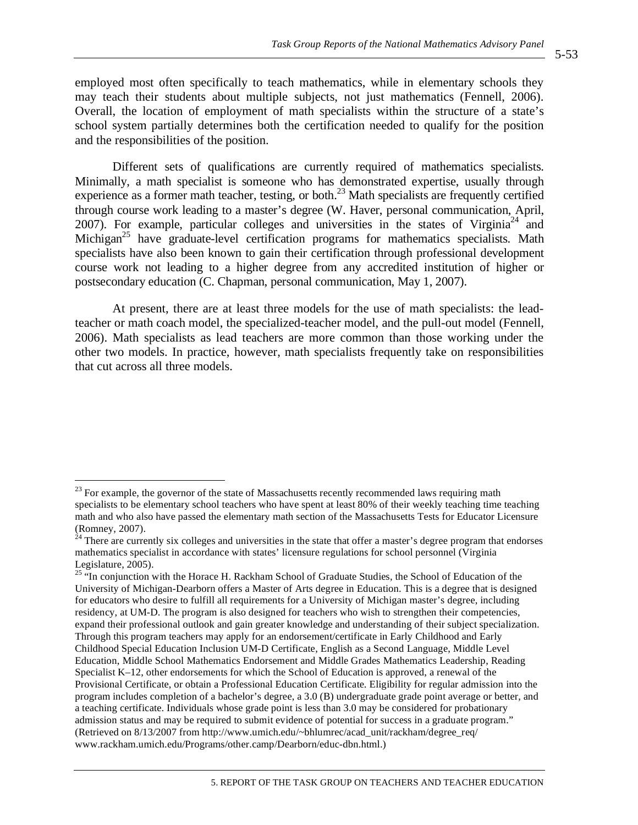employed most often specifically to teach mathematics, while in elementary schools they may teach their students about multiple subjects, not just mathematics (Fennell, 2006). Overall, the location of employment of math specialists within the structure of a state's school system partially determines both the certification needed to qualify for the position and the responsibilities of the position.

Different sets of qualifications are currently required of mathematics specialists. Minimally, a math specialist is someone who has demonstrated expertise, usually through experience as a former math teacher, testing, or both.<sup>23</sup> Math specialists are frequently certified through course work leading to a master's degree (W. Haver, personal communication, April, 2007). For example, particular colleges and universities in the states of Virginia<sup>24</sup> and Michigan<sup>25</sup> have graduate-level certification programs for mathematics specialists. Math specialists have also been known to gain their certification through professional development course work not leading to a higher degree from any accredited institution of higher or postsecondary education (C. Chapman, personal communication, May 1, 2007).

At present, there are at least three models for the use of math specialists: the leadteacher or math coach model, the specialized-teacher model, and the pull-out model (Fennell, 2006). Math specialists as lead teachers are more common than those working under the other two models. In practice, however, math specialists frequently take on responsibilities that cut across all three models.

 $23$  For example, the governor of the state of Massachusetts recently recommended laws requiring math specialists to be elementary school teachers who have spent at least 80% of their weekly teaching time teaching math and who also have passed the elementary math section of the Massachusetts Tests for Educator Licensure (Romney, 2007).

 $^{24}$  There are currently six colleges and universities in the state that offer a master's degree program that endorses mathematics specialist in accordance with states' licensure regulations for school personnel (Virginia Legislature, 2005).

<sup>&</sup>lt;sup>25 "In conjunction with the Horace H. Rackham School of Graduate Studies, the School of Education of the</sup> University of Michigan-Dearborn offers a Master of Arts degree in Education. This is a degree that is designed for educators who desire to fulfill all requirements for a University of Michigan master's degree, including residency, at UM-D. The program is also designed for teachers who wish to strengthen their competencies, expand their professional outlook and gain greater knowledge and understanding of their subject specialization. Through this program teachers may apply for an endorsement/certificate in Early Childhood and Early Childhood Special Education Inclusion UM-D Certificate, English as a Second Language, Middle Level Education, Middle School Mathematics Endorsement and Middle Grades Mathematics Leadership, Reading Specialist K–12, other endorsements for which the School of Education is approved, a renewal of the Provisional Certificate, or obtain a Professional Education Certificate. Eligibility for regular admission into the program includes completion of a bachelor's degree, a 3.0 (B) undergraduate grade point average or better, and a teaching certificate. Individuals whose grade point is less than 3.0 may be considered for probationary admission status and may be required to submit evidence of potential for success in a graduate program." (Retrieved on 8/13/2007 from http://www.umich.edu/~bhlumrec/acad\_unit/rackham/degree\_req/ www.rackham.umich.edu/Programs/other.camp/Dearborn/educ-dbn.html.)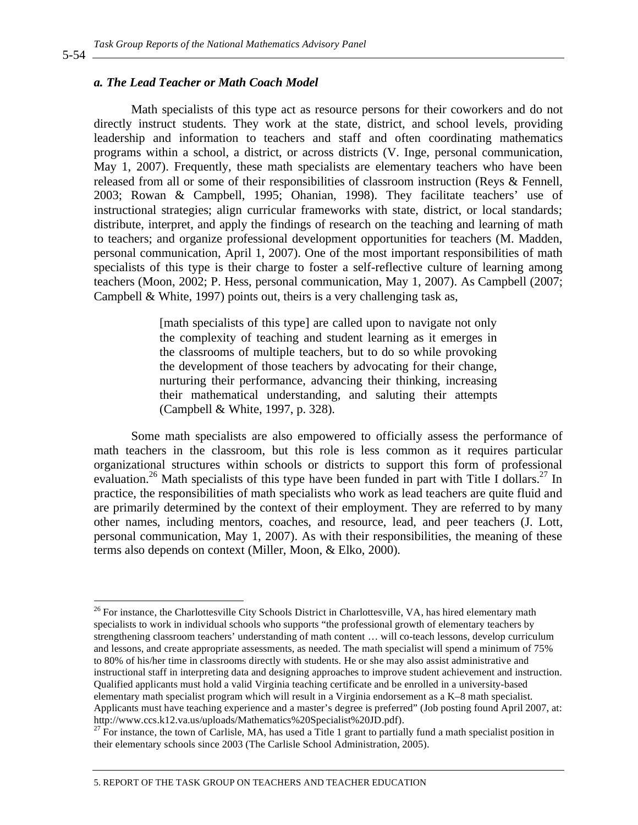#### *a. The Lead Teacher or Math Coach Model*

Math specialists of this type act as resource persons for their coworkers and do not directly instruct students. They work at the state, district, and school levels, providing leadership and information to teachers and staff and often coordinating mathematics programs within a school, a district, or across districts (V. Inge, personal communication, May 1, 2007). Frequently, these math specialists are elementary teachers who have been released from all or some of their responsibilities of classroom instruction (Reys & Fennell, 2003; Rowan & Campbell, 1995; Ohanian, 1998). They facilitate teachers' use of instructional strategies; align curricular frameworks with state, district, or local standards; distribute, interpret, and apply the findings of research on the teaching and learning of math to teachers; and organize professional development opportunities for teachers (M. Madden, personal communication, April 1, 2007). One of the most important responsibilities of math specialists of this type is their charge to foster a self-reflective culture of learning among teachers (Moon, 2002; P. Hess, personal communication, May 1, 2007). As Campbell (2007; Campbell & White, 1997) points out, theirs is a very challenging task as,

> [math specialists of this type] are called upon to navigate not only the complexity of teaching and student learning as it emerges in the classrooms of multiple teachers, but to do so while provoking the development of those teachers by advocating for their change, nurturing their performance, advancing their thinking, increasing their mathematical understanding, and saluting their attempts (Campbell & White, 1997, p. 328).

Some math specialists are also empowered to officially assess the performance of math teachers in the classroom, but this role is less common as it requires particular organizational structures within schools or districts to support this form of professional evaluation.<sup>26</sup> Math specialists of this type have been funded in part with Title I dollars.<sup>27</sup> In practice, the responsibilities of math specialists who work as lead teachers are quite fluid and are primarily determined by the context of their employment. They are referred to by many other names, including mentors, coaches, and resource, lead, and peer teachers (J. Lott, personal communication, May 1, 2007). As with their responsibilities, the meaning of these terms also depends on context (Miller, Moon, & Elko, 2000).

5-54

<sup>&</sup>lt;sup>26</sup> For instance, the Charlottesville City Schools District in Charlottesville, VA, has hired elementary math specialists to work in individual schools who supports "the professional growth of elementary teachers by strengthening classroom teachers' understanding of math content … will co-teach lessons, develop curriculum and lessons, and create appropriate assessments, as needed. The math specialist will spend a minimum of 75% to 80% of his/her time in classrooms directly with students. He or she may also assist administrative and instructional staff in interpreting data and designing approaches to improve student achievement and instruction. Qualified applicants must hold a valid Virginia teaching certificate and be enrolled in a university-based elementary math specialist program which will result in a Virginia endorsement as a K–8 math specialist. Applicants must have teaching experience and a master's degree is preferred" (Job posting found April 2007, at: http://www.ccs.k12.va.us/uploads/Mathematics%20Specialist%20JD.pdf).

 $27$  For instance, the town of Carlisle, MA, has used a Title 1 grant to partially fund a math specialist position in their elementary schools since 2003 (The Carlisle School Administration, 2005).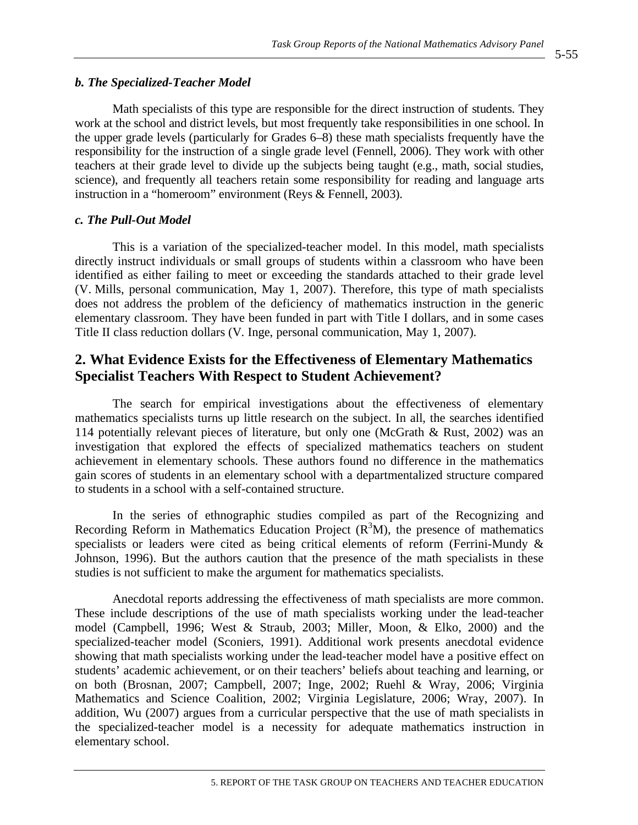#### *b. The Specialized-Teacher Model* 1785

Math specialists of this type are responsible for the direct instruction of students. They work at the school and district levels, but most frequently take responsibilities in one school. In the upper grade levels (particularly for Grades 6–8) these math specialists frequently have the responsibility for the instruction of a single grade level (Fennell, 2006). They work with other teachers at their grade level to divide up the subjects being taught (e.g., math, social studies, science), and frequently all teachers retain some responsibility for reading and language arts instruction in a "homeroom" environment (Reys  $&$  Fennell, 2003).

#### *c. The Pull-Out Model* 1793 *page 1793 page 1793 page 1793 <i>page 1793 page 1793 <i>page 1793 page 1793* **<b>***page 1793*

This is a variation of the specialized-teacher model. In this model, math specialists directly instruct individuals or small groups of students within a classroom who have been identified as either failing to meet or exceeding the standards attached to their grade level (V. Mills, personal communication, May 1, 2007). Therefore, this type of math specialists does not address the problem of the deficiency of mathematics instruction in the generic elementary classroom. They have been funded in part with Title I dollars, and in some cases Title II class reduction dollars (V. Inge, personal communication, May 1, 2007).

## **2. What Evidence Exists for the Effectiveness of Elementary Mathematics Specialist Teachers With Respect to Student Achievement?**

The search for empirical investigations about the effectiveness of elementary mathematics specialists turns up little research on the subject. In all, the searches identified 114 potentially relevant pieces of literature, but only one (McGrath  $\&$  Rust, 2002) was an investigation that explored the effects of specialized mathematics teachers on student achievement in elementary schools. These authors found no difference in the mathematics gain scores of students in an elementary school with a departmentalized structure compared to students in a school with a self-contained structure.

In the series of ethnographic studies compiled as part of the Recognizing and Recording Reform in Mathematics Education Project  $(R^3M)$ , the presence of mathematics specialists or leaders were cited as being critical elements of reform (Ferrini-Mundy  $\&$ Johnson, 1996). But the authors caution that the presence of the math specialists in these studies is not sufficient to make the argument for mathematics specialists.

Anecdotal reports addressing the effectiveness of math specialists are more common. These include descriptions of the use of math specialists working under the lead-teacher model (Campbell, 1996; West & Straub, 2003; Miller, Moon, & Elko, 2000) and the specialized-teacher model (Sconiers, 1991). Additional work presents anecdotal evidence showing that math specialists working under the lead-teacher model have a positive effect on students' academic achievement, or on their teachers' beliefs about teaching and learning, or on both (Brosnan, 2007; Campbell, 2007; Inge, 2002; Ruehl & Wray, 2006; Virginia Mathematics and Science Coalition, 2002; Virginia Legislature, 2006; Wray, 2007). In addition, Wu (2007) argues from a curricular perspective that the use of math specialists in the specialized-teacher model is a necessity for adequate mathematics instruction in elementary school.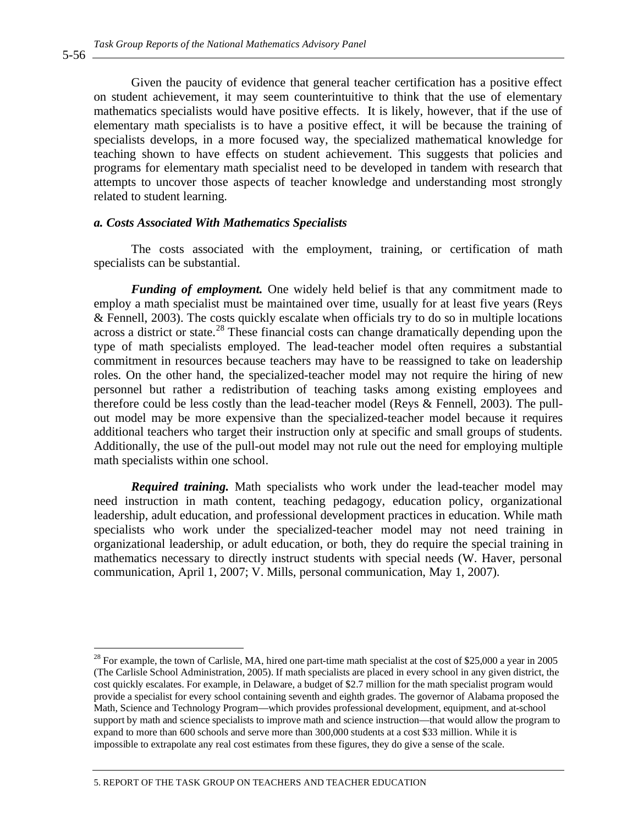Given the paucity of evidence that general teacher certification has a positive effect on student achievement, it may seem counterintuitive to think that the use of elementary mathematics specialists would have positive effects. It is likely, however, that if the use of elementary math specialists is to have a positive effect, it will be because the training of specialists develops, in a more focused way, the specialized mathematical knowledge for teaching shown to have effects on student achievement. This suggests that policies and programs for elementary math specialist need to be developed in tandem with research that attempts to uncover those aspects of teacher knowledge and understanding most strongly related to student learning.

#### *a. Costs Associated With Mathematics Specialists*

The costs associated with the employment, training, or certification of math specialists can be substantial.

*Funding of employment.* One widely held belief is that any commitment made to employ a math specialist must be maintained over time, usually for at least five years (Reys & Fennell, 2003). The costs quickly escalate when officials try to do so in multiple locations across a district or state.<sup>28</sup> These financial costs can change dramatically depending upon the type of math specialists employed. The lead-teacher model often requires a substantial commitment in resources because teachers may have to be reassigned to take on leadership roles. On the other hand, the specialized-teacher model may not require the hiring of new personnel but rather a redistribution of teaching tasks among existing employees and therefore could be less costly than the lead-teacher model (Reys & Fennell, 2003). The pullout model may be more expensive than the specialized-teacher model because it requires additional teachers who target their instruction only at specific and small groups of students. Additionally, the use of the pull-out model may not rule out the need for employing multiple math specialists within one school.

*Required training.* Math specialists who work under the lead-teacher model may need instruction in math content, teaching pedagogy, education policy, organizational leadership, adult education, and professional development practices in education. While math specialists who work under the specialized-teacher model may not need training in organizational leadership, or adult education, or both, they do require the special training in mathematics necessary to directly instruct students with special needs (W. Haver, personal communication, April 1, 2007; V. Mills, personal communication, May 1, 2007).

 $\overline{a}$ 

 $^{28}$  For example, the town of Carlisle, MA, hired one part-time math specialist at the cost of \$25,000 a year in 2005 (The Carlisle School Administration, 2005). If math specialists are placed in every school in any given district, the cost quickly escalates. For example, in Delaware, a budget of \$2.7 million for the math specialist program would provide a specialist for every school containing seventh and eighth grades. The governor of Alabama proposed the Math, Science and Technology Program—which provides professional development, equipment, and at-school support by math and science specialists to improve math and science instruction—that would allow the program to expand to more than 600 schools and serve more than 300,000 students at a cost \$33 million. While it is impossible to extrapolate any real cost estimates from these figures, they do give a sense of the scale.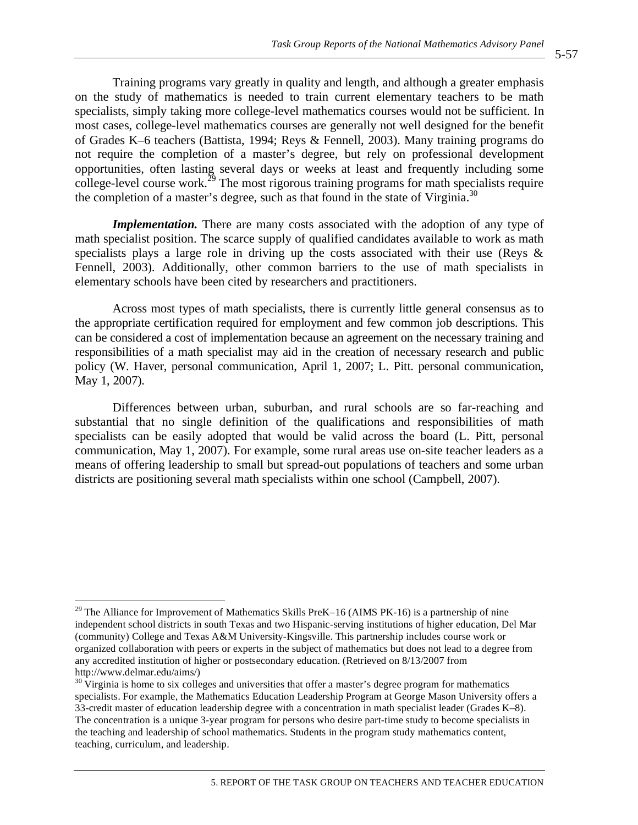Training programs vary greatly in quality and length, and although a greater emphasis on the study of mathematics is needed to train current elementary teachers to be math specialists, simply taking more college-level mathematics courses would not be sufficient. In most cases, college-level mathematics courses are generally not well designed for the benefit of Grades K–6 teachers (Battista, 1994; Reys & Fennell, 2003). Many training programs do not require the completion of a master's degree, but rely on professional development opportunities, often lasting several days or weeks at least and frequently including some college-level course work.<sup>29</sup> The most rigorous training programs for math specialists require the completion of a master's degree, such as that found in the state of Virginia.<sup>30</sup>

*Implementation.* There are many costs associated with the adoption of any type of math specialist position. The scarce supply of qualified candidates available to work as math specialists plays a large role in driving up the costs associated with their use (Reys & Fennell, 2003). Additionally, other common barriers to the use of math specialists in elementary schools have been cited by researchers and practitioners.

Across most types of math specialists, there is currently little general consensus as to the appropriate certification required for employment and few common job descriptions. This can be considered a cost of implementation because an agreement on the necessary training and responsibilities of a math specialist may aid in the creation of necessary research and public policy (W. Haver, personal communication, April 1, 2007; L. Pitt. personal communication, May 1, 2007).

Differences between urban, suburban, and rural schools are so far-reaching and substantial that no single definition of the qualifications and responsibilities of math specialists can be easily adopted that would be valid across the board (L. Pitt, personal communication, May 1, 2007). For example, some rural areas use on-site teacher leaders as a means of offering leadership to small but spread-out populations of teachers and some urban districts are positioning several math specialists within one school (Campbell, 2007).

 $\overline{a}$ 

<sup>&</sup>lt;sup>29</sup> The Alliance for Improvement of Mathematics Skills PreK–16 (AIMS PK-16) is a partnership of nine independent school districts in south Texas and two Hispanic-serving institutions of higher education, Del Mar (community) College and Texas A&M University-Kingsville. This partnership includes course work or organized collaboration with peers or experts in the subject of mathematics but does not lead to a degree from any accredited institution of higher or postsecondary education. (Retrieved on 8/13/2007 from http://www.delmar.edu/aims/)

 $30 \text{ V}$ irginia is home to six colleges and universities that offer a master's degree program for mathematics specialists. For example, the Mathematics Education Leadership Program at George Mason University offers a 33-credit master of education leadership degree with a concentration in math specialist leader (Grades K–8). The concentration is a unique 3-year program for persons who desire part-time study to become specialists in the teaching and leadership of school mathematics. Students in the program study mathematics content, teaching, curriculum, and leadership.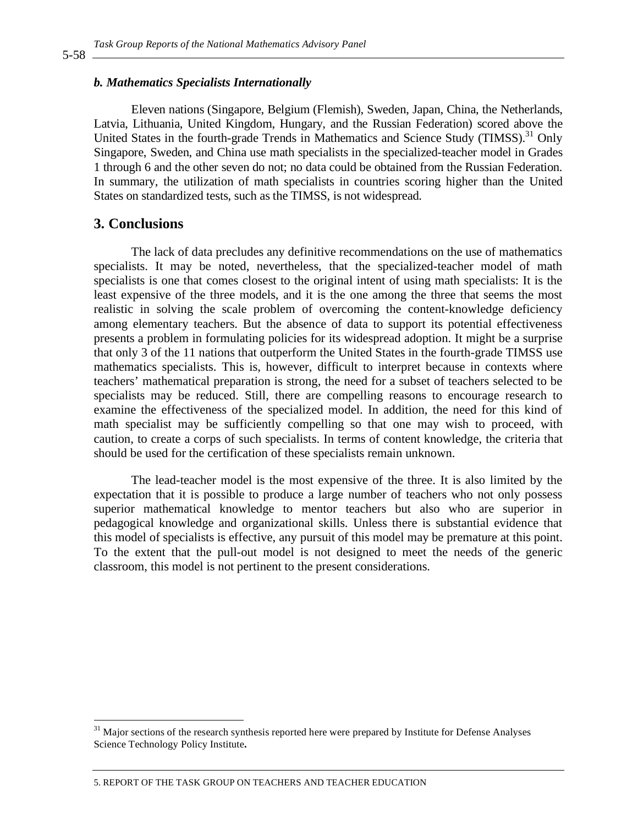#### **b. Mathematics Specialists Internationally**

Eleven nations (Singapore, Belgium (Flemish), Sweden, Japan, China, the Netherlands, 1885 Latvia, Lithuania, United Kingdom, Hungary, and the Russian Federation) scored above the United States in the fourth-grade Trends in Mathematics and Science Study (TIMSS).<sup>31</sup> Only Singapore, Sweden, and China use math specialists in the specialized-teacher model in Grades 1 through 6 and the other seven do not; no data could be obtained from the Russian Federation. 1889 In summary, the utilization of math specialists in countries scoring higher than the United States on standardized tests, such as the TIMSS, is not widespread.

### **3. Conclusions** 1892 **1892**

The lack of data precludes any definitive recommendations on the use of mathematics specialists. It may be noted, nevertheless, that the specialized-teacher model of math specialists is one that comes closest to the original intent of using math specialists: It is the least expensive of the three models, and it is the one among the three that seems the most realistic in solving the scale problem of overcoming the content-knowledge deficiency among elementary teachers. But the absence of data to support its potential effectiveness presents a problem in formulating policies for its widespread adoption. It might be a surprise that only 3 of the 11 nations that outperform the United States in the fourth-grade TIMSS use mathematics specialists. This is, however, difficult to interpret because in contexts where teachers' mathematical preparation is strong, the need for a subset of teachers selected to be specialists may be reduced. Still, there are compelling reasons to encourage research to examine the effectiveness of the specialized model. In addition, the need for this kind of math specialist may be sufficiently compelling so that one may wish to proceed, with caution, to create a corps of such specialists. In terms of content knowledge, the criteria that should be used for the certification of these specialists remain unknown.

The lead-teacher model is the most expensive of the three. It is also limited by the expectation that it is possible to produce a large number of teachers who not only possess superior mathematical knowledge to mentor teachers but also who are superior in pedagogical knowledge and organizational skills. Unless there is substantial evidence that 1911 this model of specialists is effective, any pursuit of this model may be premature at this point. To the extent that the pull-out model is not designed to meet the needs of the generic classroom, this model is not pertinent to the present considerations.

5-58

<sup>&</sup>lt;sup>31</sup> Major sections of the research synthesis reported here were prepared by Institute for Defense Analyses Science Technology Policy Institute**.**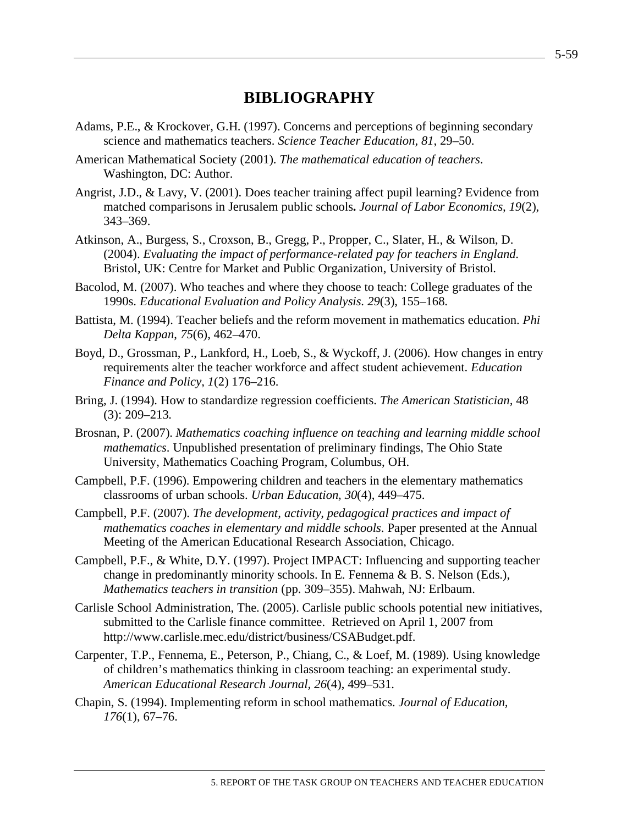# **BIBLIOGRAPHY**

- Adams, P.E., & Krockover, G.H. (1997). Concerns and perceptions of beginning secondary science and mathematics teachers. *Science Teacher Education, 81*, 29–50.
- American Mathematical Society (2001). *The mathematical education of teachers*. Washington, DC: Author.
- Angrist, J.D., & Lavy, V. (2001). Does teacher training affect pupil learning? Evidence from matched comparisons in Jerusalem public schools**.** *Journal of Labor Economics, 19*(2), 343–369.
- Atkinson, A., Burgess, S., Croxson, B., Gregg, P., Propper, C., Slater, H., & Wilson, D. (2004). *Evaluating the impact of performance-related pay for teachers in England*. Bristol, UK: Centre for Market and Public Organization, University of Bristol.
- Bacolod, M. (2007). Who teaches and where they choose to teach: College graduates of the 1990s. *Educational Evaluation and Policy Analysis*. *29*(3), 155–168.
- Battista, M. (1994). Teacher beliefs and the reform movement in mathematics education. *Phi Delta Kappan*, *75*(6), 462–470.
- Boyd, D., Grossman, P., Lankford, H., Loeb, S., & Wyckoff, J. (2006). How changes in entry requirements alter the teacher workforce and affect student achievement. *Education Finance and Policy, 1*(2) 176–216.
- Bring, J. (1994). How to standardize regression coefficients. *The American Statistician,* 48 (3): 209–213.
- Brosnan, P. (2007). *Mathematics coaching influence on teaching and learning middle school mathematics*. Unpublished presentation of preliminary findings, The Ohio State University, Mathematics Coaching Program, Columbus, OH.
- Campbell, P.F. (1996). Empowering children and teachers in the elementary mathematics classrooms of urban schools. *Urban Education, 30*(4), 449–475.
- Campbell, P.F. (2007). *The development, activity, pedagogical practices and impact of mathematics coaches in elementary and middle schools*. Paper presented at the Annual Meeting of the American Educational Research Association, Chicago.
- Campbell, P.F., & White, D.Y. (1997). Project IMPACT: Influencing and supporting teacher change in predominantly minority schools. In E. Fennema & B. S. Nelson (Eds.), *Mathematics teachers in transition* (pp. 309–355). Mahwah, NJ: Erlbaum.
- Carlisle School Administration, The. (2005). Carlisle public schools potential new initiatives, submitted to the Carlisle finance committee. Retrieved on April 1, 2007 from http://www.carlisle.mec.edu/district/business/CSABudget.pdf.
- Carpenter, T.P., Fennema, E., Peterson, P., Chiang, C., & Loef, M. (1989). Using knowledge of children's mathematics thinking in classroom teaching: an experimental study. *American Educational Research Journal, 26*(4), 499–531.
- Chapin, S. (1994). Implementing reform in school mathematics. *Journal of Education, 176*(1), 67–76.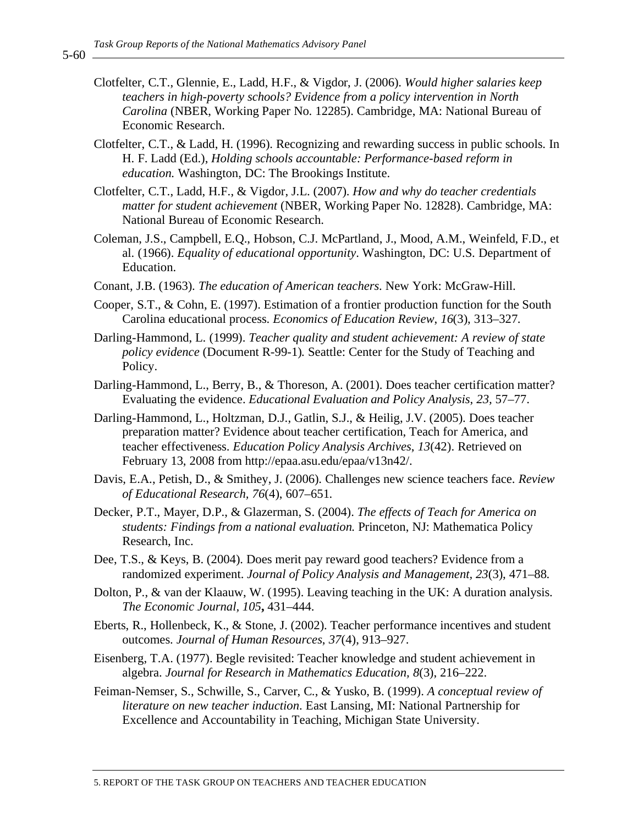- Clotfelter, C.T., Glennie, E., Ladd, H.F., & Vigdor, J. (2006). *Would higher salaries keep teachers in high-poverty schools? Evidence from a policy intervention in North Carolina* (NBER, Working Paper No. 12285). Cambridge, MA: National Bureau of Economic Research.
- Clotfelter, C.T., & Ladd, H. (1996). Recognizing and rewarding success in public schools. In H. F. Ladd (Ed.), *Holding schools accountable: Performance-based reform in education.* Washington, DC: The Brookings Institute.
- Clotfelter, C.T., Ladd, H.F., & Vigdor, J.L. (2007). *How and why do teacher credentials matter for student achievement* (NBER, Working Paper No. 12828). Cambridge, MA: National Bureau of Economic Research.
- Coleman, J.S., Campbell, E.Q., Hobson, C.J. McPartland, J., Mood, A.M., Weinfeld, F.D., et al. (1966). *Equality of educational opportunity*. Washington, DC: U.S. Department of Education.
- Conant, J.B. (1963). *The education of American teachers*. New York: McGraw-Hill.
- Cooper, S.T., & Cohn, E. (1997). Estimation of a frontier production function for the South Carolina educational process. *Economics of Education Review*, *16*(3), 313–327.
- Darling-Hammond, L. (1999). *Teacher quality and student achievement: A review of state policy evidence* (Document R-99-1)*.* Seattle: Center for the Study of Teaching and Policy.
- Darling-Hammond, L., Berry, B., & Thoreson, A. (2001). Does teacher certification matter? Evaluating the evidence. *Educational Evaluation and Policy Analysis*, *23,* 57–77.
- Darling-Hammond, L., Holtzman, D.J., Gatlin, S.J., & Heilig, J.V. (2005). Does teacher preparation matter? Evidence about teacher certification, Teach for America, and teacher effectiveness. *Education Policy Analysis Archives*, *13*(42). Retrieved on February 13, 2008 from http://epaa.asu.edu/epaa/v13n42/.
- Davis, E.A., Petish, D., & Smithey, J. (2006). Challenges new science teachers face. *Review of Educational Research, 76*(4), 607–651.
- Decker, P.T., Mayer, D.P., & Glazerman, S. (2004). *The effects of Teach for America on students: Findings from a national evaluation.* Princeton, NJ: Mathematica Policy Research, Inc.
- Dee, T.S., & Keys, B. (2004). Does merit pay reward good teachers? Evidence from a randomized experiment. *Journal of Policy Analysis and Management, 23*(3), 471–88.
- Dolton, P., & van der Klaauw, W. (1995). Leaving teaching in the UK: A duration analysis. *The Economic Journal, 105***,** 431–444.
- Eberts, R., Hollenbeck, K., & Stone, J. (2002). Teacher performance incentives and student outcomes. *Journal of Human Resources*, *37*(4), 913–927.
- Eisenberg, T.A. (1977). Begle revisited: Teacher knowledge and student achievement in algebra. *Journal for Research in Mathematics Education, 8*(3), 216–222.
- Feiman-Nemser, S., Schwille, S., Carver, C., & Yusko, B. (1999). *A conceptual review of literature on new teacher induction*. East Lansing, MI: National Partnership for Excellence and Accountability in Teaching, Michigan State University.

5-60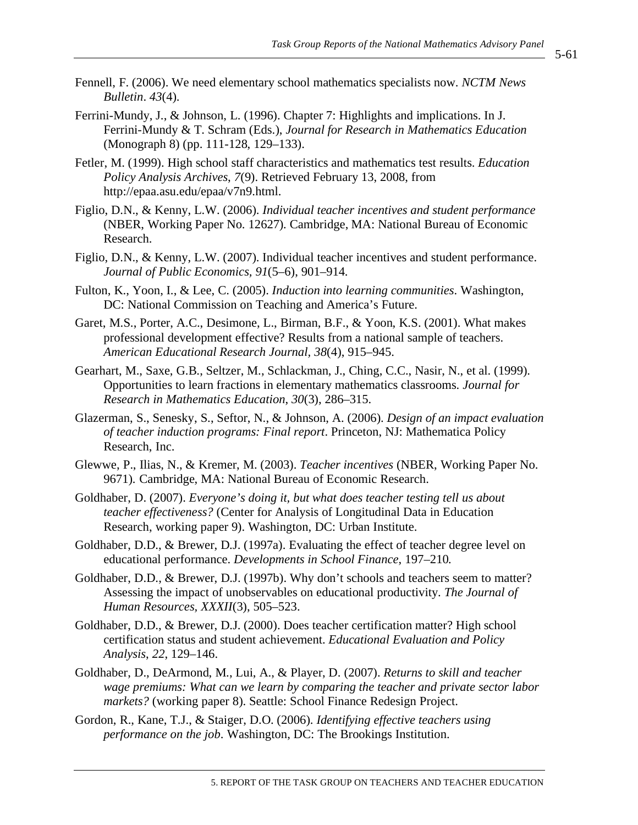- 5-61
- Fennell, F. (2006). We need elementary school mathematics specialists now. *NCTM News Bulletin*. *43*(4).
- Ferrini-Mundy, J., & Johnson, L. (1996). Chapter 7: Highlights and implications. In J. Ferrini-Mundy & T. Schram (Eds.), *Journal for Research in Mathematics Education* (Monograph 8) (pp. 111-128, 129–133).
- Fetler, M. (1999). High school staff characteristics and mathematics test results. *Education Policy Analysis Archives*, *7*(9). Retrieved February 13, 2008, from http://epaa.asu.edu/epaa/v7n9.html.
- Figlio, D.N., & Kenny, L.W. (2006). *Individual teacher incentives and student performance*  (NBER, Working Paper No. 12627)*.* Cambridge, MA: National Bureau of Economic Research.
- Figlio, D.N., & Kenny, L.W. (2007). Individual teacher incentives and student performance. *Journal of Public Economics, 91*(5–6), 901–914.
- Fulton, K., Yoon, I., & Lee, C. (2005). *Induction into learning communities*. Washington, DC: National Commission on Teaching and America's Future.
- Garet, M.S., Porter, A.C., Desimone, L., Birman, B.F., & Yoon, K.S. (2001). What makes professional development effective? Results from a national sample of teachers. *American Educational Research Journal, 38*(4), 915–945.
- Gearhart, M., Saxe, G.B., Seltzer, M., Schlackman, J., Ching, C.C., Nasir, N., et al. (1999). Opportunities to learn fractions in elementary mathematics classrooms. *Journal for Research in Mathematics Education*, *30*(3), 286–315.
- Glazerman, S., Senesky, S., Seftor, N., & Johnson, A. (2006). *Design of an impact evaluation of teacher induction programs: Final report*. Princeton, NJ: Mathematica Policy Research, Inc.
- Glewwe, P., Ilias, N., & Kremer, M. (2003). *Teacher incentives* (NBER, Working Paper No. 9671)*.* Cambridge, MA: National Bureau of Economic Research.
- Goldhaber, D. (2007). *Everyone's doing it, but what does teacher testing tell us about teacher effectiveness?* (Center for Analysis of Longitudinal Data in Education Research, working paper 9). Washington, DC: Urban Institute.
- Goldhaber, D.D., & Brewer, D.J. (1997a). Evaluating the effect of teacher degree level on educational performance. *Developments in School Finance*, 197–210*.*
- Goldhaber, D.D., & Brewer, D.J. (1997b). Why don't schools and teachers seem to matter? Assessing the impact of unobservables on educational productivity. *The Journal of Human Resources, XXXII*(3), 505–523.
- Goldhaber, D.D., & Brewer, D.J. (2000). Does teacher certification matter? High school certification status and student achievement. *Educational Evaluation and Policy Analysis*, *22*, 129–146.
- Goldhaber, D., DeArmond, M., Lui, A., & Player, D. (2007). *Returns to skill and teacher wage premiums: What can we learn by comparing the teacher and private sector labor markets?* (working paper 8). Seattle: School Finance Redesign Project.
- Gordon, R., Kane, T.J., & Staiger, D.O. (2006). *Identifying effective teachers using performance on the job*. Washington, DC: The Brookings Institution.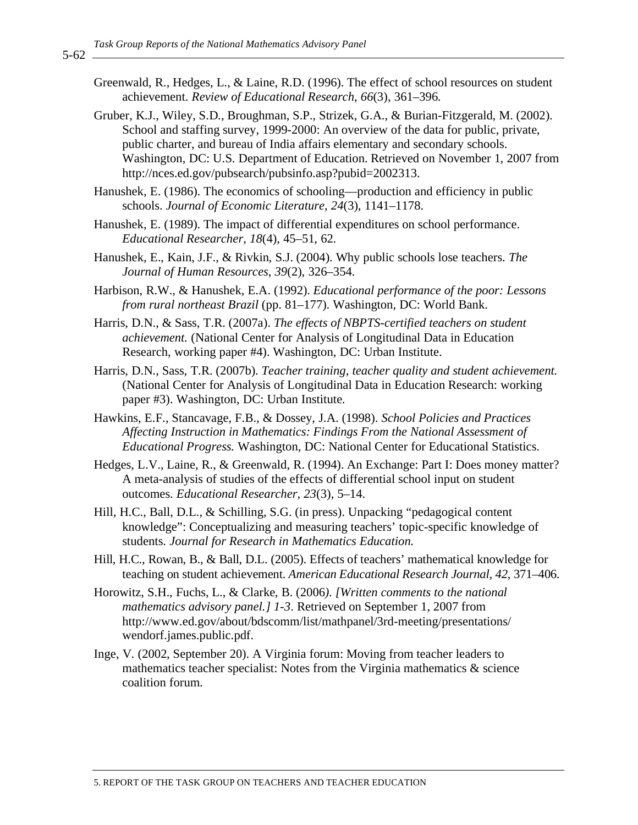- Greenwald, R., Hedges, L., & Laine, R.D. (1996). The effect of school resources on student achievement. *Review of Educational Research*, *66*(3), 361–396.
- Gruber, K.J., Wiley, S.D., Broughman, S.P., Strizek, G.A., & Burian-Fitzgerald, M. (2002). School and staffing survey, 1999-2000: An overview of the data for public, private, public charter, and bureau of India affairs elementary and secondary schools. Washington, DC: U.S. Department of Education. Retrieved on November 1, 2007 from http://nces.ed.gov/pubsearch/pubsinfo.asp?pubid=2002313.
- Hanushek, E. (1986). The economics of schooling—production and efficiency in public schools. *Journal of Economic Literature*, *24*(3), 1141–1178.
- Hanushek, E. (1989). The impact of differential expenditures on school performance. *Educational Researcher*, *18*(4), 45–51, 62.
- Hanushek, E., Kain, J.F., & Rivkin, S.J. (2004). Why public schools lose teachers. *The Journal of Human Resources*, *39*(2), 326–354.
- Harbison, R.W., & Hanushek, E.A. (1992). *Educational performance of the poor: Lessons from rural northeast Brazil* (pp. 81–177). Washington, DC: World Bank.
- Harris, D.N., & Sass, T.R. (2007a). *The effects of NBPTS-certified teachers on student achievement.* (National Center for Analysis of Longitudinal Data in Education Research, working paper #4). Washington, DC: Urban Institute.
- Harris, D.N., Sass, T.R. (2007b). *Teacher training, teacher quality and student achievement.* (National Center for Analysis of Longitudinal Data in Education Research: working paper #3). Washington, DC: Urban Institute.
- Hawkins, E.F., Stancavage, F.B., & Dossey, J.A. (1998). *School Policies and Practices Affecting Instruction in Mathematics: Findings From the National Assessment of Educational Progress.* Washington, DC: National Center for Educational Statistics.
- Hedges, L.V., Laine, R., & Greenwald, R. (1994). An Exchange: Part I: Does money matter? A meta-analysis of studies of the effects of differential school input on student outcomes. *Educational Researcher*, *23*(3), 5–14.
- Hill, H.C., Ball, D.L., & Schilling, S.G. (in press). Unpacking "pedagogical content knowledge": Conceptualizing and measuring teachers' topic-specific knowledge of students. *Journal for Research in Mathematics Education.*
- Hill, H.C., Rowan, B., & Ball, D.L. (2005). Effects of teachers' mathematical knowledge for teaching on student achievement. *American Educational Research Journal, 42*, 371–406.
- Horowitz, S.H., Fuchs, L., & Clarke, B. (2006*). [Written comments to the national mathematics advisory panel.] 1-3*. Retrieved on September 1, 2007 from http://www.ed.gov/about/bdscomm/list/mathpanel/3rd-meeting/presentations/ wendorf.james.public.pdf.
- Inge, V. (2002, September 20). A Virginia forum: Moving from teacher leaders to mathematics teacher specialist: Notes from the Virginia mathematics & science coalition forum.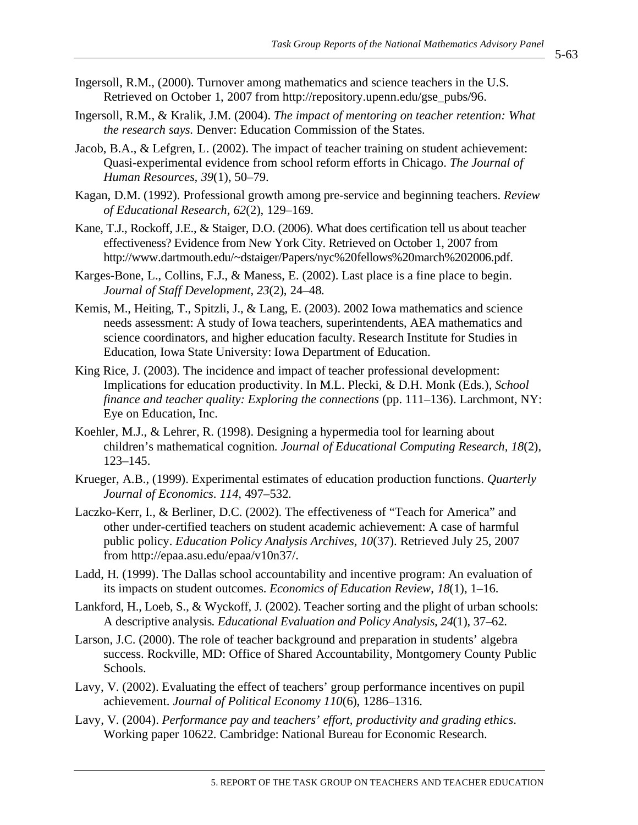- 5-63
- Ingersoll, R.M., (2000). Turnover among mathematics and science teachers in the U.S. Retrieved on October 1, 2007 from http://repository.upenn.edu/gse\_pubs/96.
- Ingersoll, R.M., & Kralik, J.M. (2004). *The impact of mentoring on teacher retention: What the research says*. Denver: Education Commission of the States.
- Jacob, B.A., & Lefgren, L. (2002). The impact of teacher training on student achievement: Quasi-experimental evidence from school reform efforts in Chicago. *The Journal of Human Resources, 39*(1), 50–79.
- Kagan, D.M. (1992). Professional growth among pre-service and beginning teachers. *Review of Educational Research, 62*(2), 129–169.
- Kane, T.J., Rockoff, J.E., & Staiger, D.O. (2006). What does certification tell us about teacher effectiveness? Evidence from New York City. Retrieved on October 1, 2007 from http://www.dartmouth.edu/~dstaiger/Papers/nyc%20fellows%20march%202006.pdf.
- Karges-Bone, L., Collins, F.J., & Maness, E. (2002). Last place is a fine place to begin. *Journal of Staff Development, 23*(2), 24–48.
- Kemis, M., Heiting, T., Spitzli, J., & Lang, E. (2003). 2002 Iowa mathematics and science needs assessment: A study of Iowa teachers, superintendents, AEA mathematics and science coordinators, and higher education faculty. Research Institute for Studies in Education, Iowa State University: Iowa Department of Education.
- King Rice, J. (2003). The incidence and impact of teacher professional development: Implications for education productivity. In M.L. Plecki, & D.H. Monk (Eds.), *School finance and teacher quality: Exploring the connections* (pp. 111–136). Larchmont, NY: Eye on Education, Inc.
- Koehler, M.J., & Lehrer, R. (1998). Designing a hypermedia tool for learning about children's mathematical cognition. *Journal of Educational Computing Research, 18*(2), 123–145.
- Krueger, A.B., (1999). Experimental estimates of education production functions. *Quarterly Journal of Economics*. *114,* 497–532.
- Laczko-Kerr, I., & Berliner, D.C. (2002). The effectiveness of "Teach for America" and other under-certified teachers on student academic achievement: A case of harmful public policy. *Education Policy Analysis Archives, 10*(37). Retrieved July 25, 2007 from http://epaa.asu.edu/epaa/v10n37/.
- Ladd, H. (1999). The Dallas school accountability and incentive program: An evaluation of its impacts on student outcomes. *Economics of Education Review*, *18*(1), 1–16.
- Lankford, H., Loeb, S., & Wyckoff, J. (2002). Teacher sorting and the plight of urban schools: A descriptive analysis. *Educational Evaluation and Policy Analysis, 24*(1), 37–62.
- Larson, J.C. (2000). The role of teacher background and preparation in students' algebra success. Rockville, MD: Office of Shared Accountability, Montgomery County Public Schools.
- Lavy, V. (2002). Evaluating the effect of teachers' group performance incentives on pupil achievement. *Journal of Political Economy 110*(6), 1286–1316.
- Lavy, V. (2004). *Performance pay and teachers' effort, productivity and grading ethics*. Working paper 10622. Cambridge: National Bureau for Economic Research.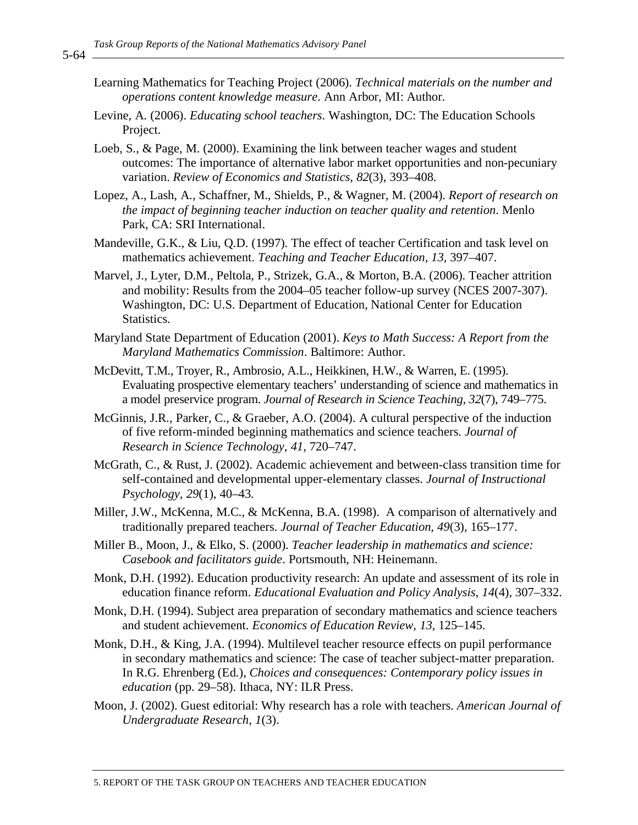- Learning Mathematics for Teaching Project (2006). *Technical materials on the number and operations content knowledge measure*. Ann Arbor, MI: Author.
- Levine, A. (2006). *Educating school teachers*. Washington, DC: The Education Schools Project.
- Loeb, S., & Page, M. (2000). Examining the link between teacher wages and student outcomes: The importance of alternative labor market opportunities and non-pecuniary variation. *Review of Economics and Statistics, 82*(3), 393–408.
- Lopez, A., Lash, A., Schaffner, M., Shields, P., & Wagner, M. (2004). *Report of research on the impact of beginning teacher induction on teacher quality and retention*. Menlo Park, CA: SRI International.
- Mandeville, G.K., & Liu, Q.D. (1997). The effect of teacher Certification and task level on mathematics achievement. *Teaching and Teacher Education, 13,* 397–407.
- Marvel, J., Lyter, D.M., Peltola, P., Strizek, G.A., & Morton, B.A. (2006). Teacher attrition and mobility: Results from the 2004–05 teacher follow-up survey (NCES 2007-307). Washington, DC: U.S. Department of Education, National Center for Education Statistics.
- Maryland State Department of Education (2001). *Keys to Math Success: A Report from the Maryland Mathematics Commission*. Baltimore: Author.
- McDevitt, T.M., Troyer, R., Ambrosio, A.L., Heikkinen, H.W., & Warren, E. (1995). Evaluating prospective elementary teachers' understanding of science and mathematics in a model preservice program. *Journal of Research in Science Teaching, 32*(7), 749–775.
- McGinnis, J.R., Parker, C., & Graeber, A.O. (2004). A cultural perspective of the induction of five reform-minded beginning mathematics and science teachers. *Journal of Research in Science Technology, 41,* 720–747.
- McGrath, C., & Rust, J. (2002). Academic achievement and between-class transition time for self-contained and developmental upper-elementary classes. *Journal of Instructional Psychology, 29*(1), 40–43.
- Miller, J.W., McKenna, M.C., & McKenna, B.A. (1998). A comparison of alternatively and traditionally prepared teachers. *Journal of Teacher Education, 49*(3), 165–177.
- Miller B., Moon, J., & Elko, S. (2000). *Teacher leadership in mathematics and science: Casebook and facilitators guide*. Portsmouth, NH: Heinemann.
- Monk, D.H. (1992). Education productivity research: An update and assessment of its role in education finance reform. *Educational Evaluation and Policy Analysis*, *14*(4), 307–332.
- Monk, D.H. (1994). Subject area preparation of secondary mathematics and science teachers and student achievement. *Economics of Education Review*, *13,* 125–145.
- Monk, D.H., & King, J.A. (1994). Multilevel teacher resource effects on pupil performance in secondary mathematics and science: The case of teacher subject-matter preparation. In R.G. Ehrenberg (Ed.), *Choices and consequences: Contemporary policy issues in education* (pp. 29–58). Ithaca, NY: ILR Press.
- Moon, J. (2002). Guest editorial: Why research has a role with teachers. *American Journal of Undergraduate Research*, *1*(3).

5-64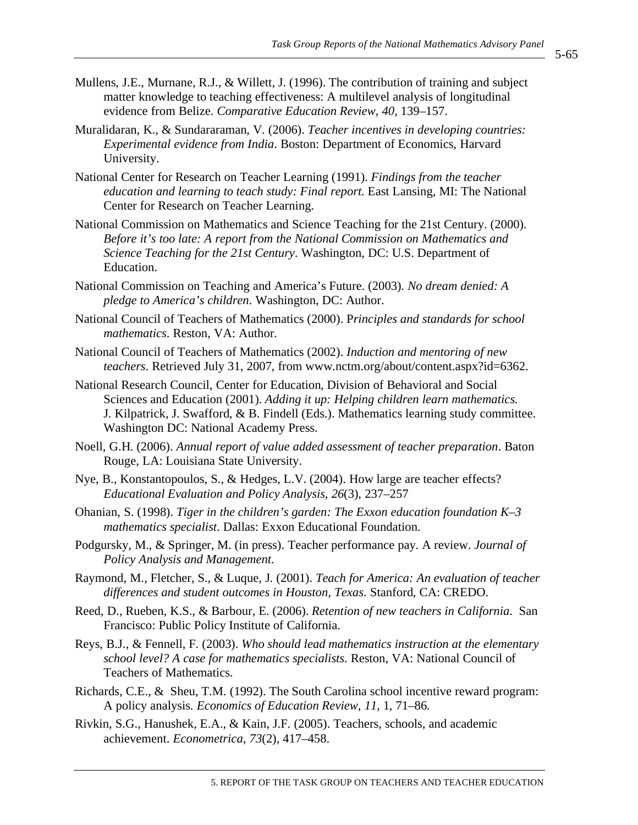- Mullens, J.E., Murnane, R.J., & Willett, J. (1996). The contribution of training and subject matter knowledge to teaching effectiveness: A multilevel analysis of longitudinal evidence from Belize. *Comparative Education Review*, *40,* 139–157.
- Muralidaran, K., & Sundararaman, V. (2006). *Teacher incentives in developing countries: Experimental evidence from India*. Boston: Department of Economics, Harvard University.
- National Center for Research on Teacher Learning (1991). *Findings from the teacher education and learning to teach study: Final report.* East Lansing, MI: The National Center for Research on Teacher Learning.
- National Commission on Mathematics and Science Teaching for the 21st Century. (2000). *Before it's too late: A report from the National Commission on Mathematics and Science Teaching for the 21st Century*. Washington, DC: U.S. Department of Education.
- National Commission on Teaching and America's Future. (2003). *No dream denied: A pledge to America's children*. Washington, DC: Author.
- National Council of Teachers of Mathematics (2000). P*rinciples and standards for school mathematics*. Reston, VA: Author.
- National Council of Teachers of Mathematics (2002). *Induction and mentoring of new teachers*. Retrieved July 31, 2007, from www.nctm.org/about/content.aspx?id=6362.
- National Research Council, Center for Education, Division of Behavioral and Social Sciences and Education (2001). *Adding it up: Helping children learn mathematics*. J. Kilpatrick, J. Swafford, & B. Findell (Eds.). Mathematics learning study committee. Washington DC: National Academy Press.
- Noell, G.H. (2006). *Annual report of value added assessment of teacher preparation*. Baton Rouge, LA: Louisiana State University.
- Nye, B., Konstantopoulos, S., & Hedges, L.V. (2004). How large are teacher effects? *Educational Evaluation and Policy Analysis*, *26*(3), 237–257
- Ohanian, S. (1998). *Tiger in the children's garden: The Exxon education foundation K–3 mathematics specialist*. Dallas: Exxon Educational Foundation.
- Podgursky, M., & Springer, M. (in press). Teacher performance pay. A review. *Journal of Policy Analysis and Management.*
- Raymond, M., Fletcher, S., & Luque, J. (2001). *Teach for America: An evaluation of teacher differences and student outcomes in Houston, Texas*. Stanford, CA: CREDO.
- Reed, D., Rueben, K.S., & Barbour, E. (2006). *Retention of new teachers in California*. San Francisco: Public Policy Institute of California.
- Reys, B.J., & Fennell, F. (2003). *Who should lead mathematics instruction at the elementary school level? A case for mathematics specialists*. Reston, VA: National Council of Teachers of Mathematics.
- Richards, C.E., & Sheu, T.M. (1992). The South Carolina school incentive reward program: A policy analysis. *Economics of Education Review*, *11,* 1, 71–86.
- Rivkin, S.G., Hanushek, E.A., & Kain, J.F. (2005). Teachers, schools, and academic achievement. *Econometrica*, *73*(2), 417–458.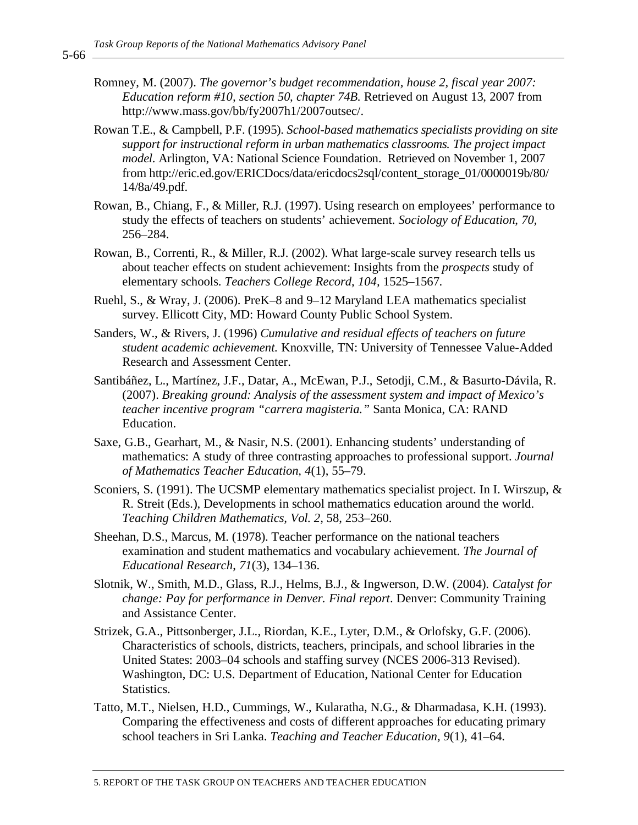- Romney, M. (2007). *The governor's budget recommendation, house 2, fiscal year 2007: Education reform #10, section 50, chapter 74B.* Retrieved on August 13, 2007 from http://www.mass.gov/bb/fy2007h1/2007outsec/.
- Rowan T.E., & Campbell, P.F. (1995). *School-based mathematics specialists providing on site support for instructional reform in urban mathematics classrooms. The project impact model*. Arlington, VA: National Science Foundation. Retrieved on November 1, 2007 from http://eric.ed.gov/ERICDocs/data/ericdocs2sql/content\_storage\_01/0000019b/80/ 14/8a/49.pdf.
- Rowan, B., Chiang, F., & Miller, R.J. (1997). Using research on employees' performance to study the effects of teachers on students' achievement. *Sociology of Education*, *70,* 256–284.
- Rowan, B., Correnti, R., & Miller, R.J. (2002). What large-scale survey research tells us about teacher effects on student achievement: Insights from the *prospects* study of elementary schools. *Teachers College Record*, *104,* 1525–1567.
- Ruehl, S., & Wray, J. (2006). PreK–8 and 9–12 Maryland LEA mathematics specialist survey. Ellicott City, MD: Howard County Public School System.
- Sanders, W., & Rivers, J. (1996) *Cumulative and residual effects of teachers on future student academic achievement.* Knoxville, TN: University of Tennessee Value-Added Research and Assessment Center.
- Santibáñez, L., Martínez, J.F., Datar, A., McEwan, P.J., Setodji, C.M., & Basurto-Dávila, R. (2007). *Breaking ground: Analysis of the assessment system and impact of Mexico's teacher incentive program "carrera magisteria."* Santa Monica, CA: RAND Education.
- Saxe, G.B., Gearhart, M., & Nasir, N.S. (2001). Enhancing students' understanding of mathematics: A study of three contrasting approaches to professional support. *Journal of Mathematics Teacher Education, 4*(1), 55–79.
- Sconiers, S. (1991). The UCSMP elementary mathematics specialist project. In I. Wirszup, & R. Streit (Eds.), Developments in school mathematics education around the world. *Teaching Children Mathematics, Vol. 2,* 58, 253–260.
- Sheehan, D.S., Marcus, M. (1978). Teacher performance on the national teachers examination and student mathematics and vocabulary achievement. *The Journal of Educational Research*, *71*(3), 134–136.
- Slotnik, W., Smith, M.D., Glass, R.J., Helms, B.J., & Ingwerson, D.W. (2004). *Catalyst for change: Pay for performance in Denver. Final report*. Denver: Community Training and Assistance Center.
- Strizek, G.A., Pittsonberger, J.L., Riordan, K.E., Lyter, D.M., & Orlofsky, G.F. (2006). Characteristics of schools, districts, teachers, principals, and school libraries in the United States: 2003–04 schools and staffing survey (NCES 2006-313 Revised). Washington, DC: U.S. Department of Education, National Center for Education Statistics.
- Tatto, M.T., Nielsen, H.D., Cummings, W., Kularatha, N.G., & Dharmadasa, K.H. (1993). Comparing the effectiveness and costs of different approaches for educating primary school teachers in Sri Lanka. *Teaching and Teacher Education, 9*(1), 41–64.